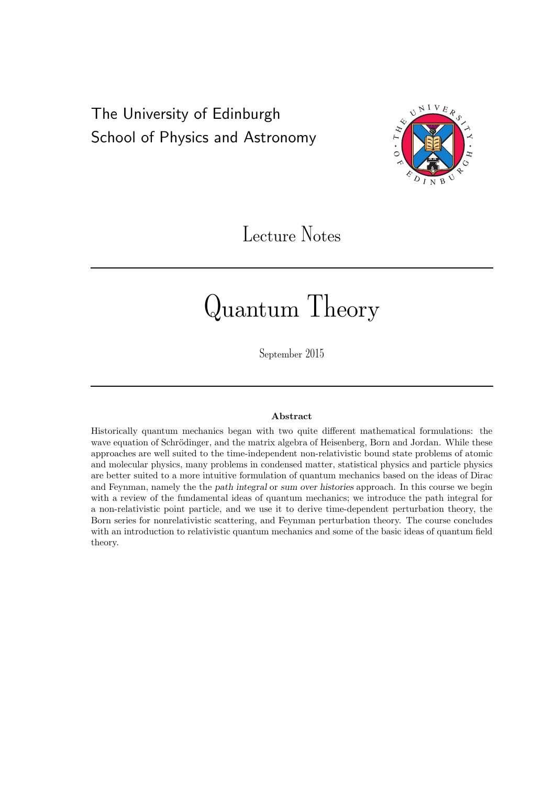## The University of Edinburgh School of Physics and Astronomy



# Lecture Notes

# Quantum Theory

September 2015

#### Abstract

Historically quantum mechanics began with two quite different mathematical formulations: the wave equation of Schrödinger, and the matrix algebra of Heisenberg, Born and Jordan. While these approaches are well suited to the time-independent non-relativistic bound state problems of atomic and molecular physics, many problems in condensed matter, statistical physics and particle physics are better suited to a more intuitive formulation of quantum mechanics based on the ideas of Dirac and Feynman, namely the the path integral or sum over histories approach. In this course we begin with a review of the fundamental ideas of quantum mechanics; we introduce the path integral for a non-relativistic point particle, and we use it to derive time-dependent perturbation theory, the Born series for nonrelativistic scattering, and Feynman perturbation theory. The course concludes with an introduction to relativistic quantum mechanics and some of the basic ideas of quantum field theory.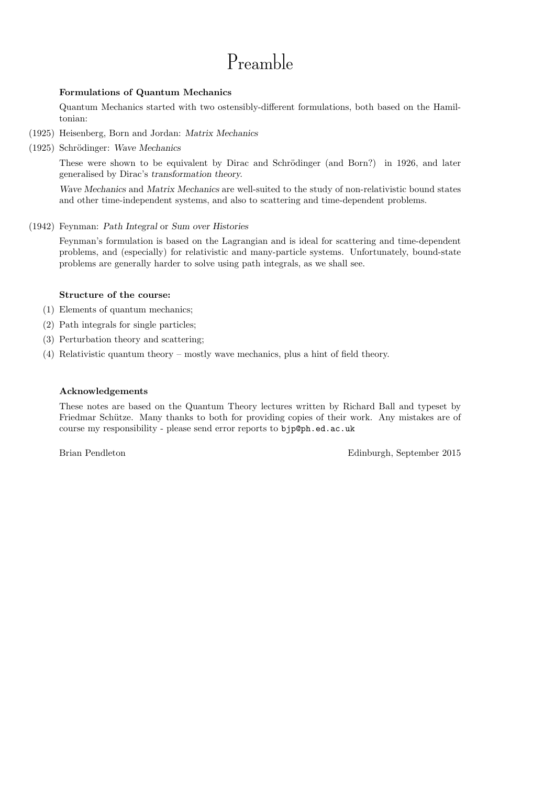# Preamble

#### Formulations of Quantum Mechanics

Quantum Mechanics started with two ostensibly-different formulations, both based on the Hamiltonian:

- (1925) Heisenberg, Born and Jordan: Matrix Mechanics
- (1925) Schrödinger: Wave Mechanics

These were shown to be equivalent by Dirac and Schrödinger (and Born?) in 1926, and later generalised by Dirac's transformation theory.

Wave Mechanics and Matrix Mechanics are well-suited to the study of non-relativistic bound states and other time-independent systems, and also to scattering and time-dependent problems.

(1942) Feynman: Path Integral or Sum over Histories

Feynman's formulation is based on the Lagrangian and is ideal for scattering and time-dependent problems, and (especially) for relativistic and many-particle systems. Unfortunately, bound-state problems are generally harder to solve using path integrals, as we shall see.

#### Structure of the course:

- (1) Elements of quantum mechanics;
- (2) Path integrals for single particles;
- (3) Perturbation theory and scattering;
- (4) Relativistic quantum theory mostly wave mechanics, plus a hint of field theory.

#### Acknowledgements

These notes are based on the Quantum Theory lectures written by Richard Ball and typeset by Friedmar Schütze. Many thanks to both for providing copies of their work. Any mistakes are of course my responsibility - please send error reports to bjp@ph.ed.ac.uk

Brian Pendleton Edinburgh, September 2015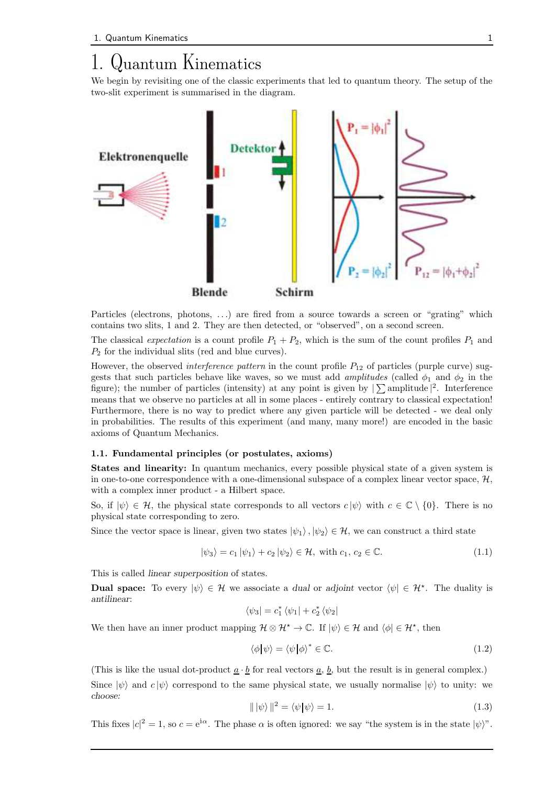## 1. Quantum Kinematics

We begin by revisiting one of the classic experiments that led to quantum theory. The setup of the two-slit experiment is summarised in the diagram.



Particles (electrons, photons, ...) are fired from a source towards a screen or "grating" which contains two slits, 1 and 2. They are then detected, or "observed", on a second screen.

The classical expectation is a count profile  $P_1 + P_2$ , which is the sum of the count profiles  $P_1$  and  $P_2$  for the individual slits (red and blue curves).

However, the observed *interference pattern* in the count profile  $P_{12}$  of particles (purple curve) suggests that such particles behave like waves, so we must add *amplitudes* (called  $\phi_1$  and  $\phi_2$  in the figure); the number of particles (intensity) at any point is given by  $|\sum$  amplitude  $|^2$ . Interference means that we observe no particles at all in some places - entirely contrary to classical expectation! Furthermore, there is no way to predict where any given particle will be detected - we deal only in probabilities. The results of this experiment (and many, many more!) are encoded in the basic axioms of Quantum Mechanics.

#### 1.1. Fundamental principles (or postulates, axioms)

States and linearity: In quantum mechanics, every possible physical state of a given system is in one-to-one correspondence with a one-dimensional subspace of a complex linear vector space,  $H$ , with a complex inner product - a Hilbert space.

So, if  $|\psi\rangle \in \mathcal{H}$ , the physical state corresponds to all vectors  $c |\psi\rangle$  with  $c \in \mathbb{C} \setminus \{0\}$ . There is no physical state corresponding to zero.

Since the vector space is linear, given two states  $|\psi_1\rangle, |\psi_2\rangle \in \mathcal{H}$ , we can construct a third state

$$
|\psi_3\rangle = c_1 |\psi_1\rangle + c_2 |\psi_2\rangle \in \mathcal{H}, \text{ with } c_1, c_2 \in \mathbb{C}. \tag{1.1}
$$

This is called linear superposition of states.

**Dual space:** To every  $|\psi\rangle \in \mathcal{H}$  we associate a dual or adjoint vector  $\langle \psi | \in \mathcal{H}^*$ . The duality is antilinear:

$$
\left\langle \psi _{3}\right\vert =c_{1}^{\ast }\left\langle \psi _{1}\right\vert +c_{2}^{\ast }\left\langle \psi _{2}\right\vert
$$

We then have an inner product mapping  $\mathcal{H} \otimes \mathcal{H}^* \to \mathbb{C}$ . If  $|\psi\rangle \in \mathcal{H}$  and  $\langle \phi | \in \mathcal{H}^*$ , then

$$
\langle \phi | \psi \rangle = \langle \psi | \phi \rangle^* \in \mathbb{C}.\tag{1.2}
$$

(This is like the usual dot-product  $\underline{a} \cdot \underline{b}$  for real vectors  $\underline{a}$ ,  $\underline{b}$ , but the result is in general complex.) Since  $|\psi\rangle$  and  $c |\psi\rangle$  correspond to the same physical state, we usually normalise  $|\psi\rangle$  to unity: we choose:

$$
\|\ket{\psi}\|^2 = \langle \psi|\psi \rangle = 1. \tag{1.3}
$$

This fixes  $|c|^2 = 1$ , so  $c = e^{i\alpha}$ . The phase  $\alpha$  is often ignored: we say "the system is in the state  $|\psi\rangle$ ".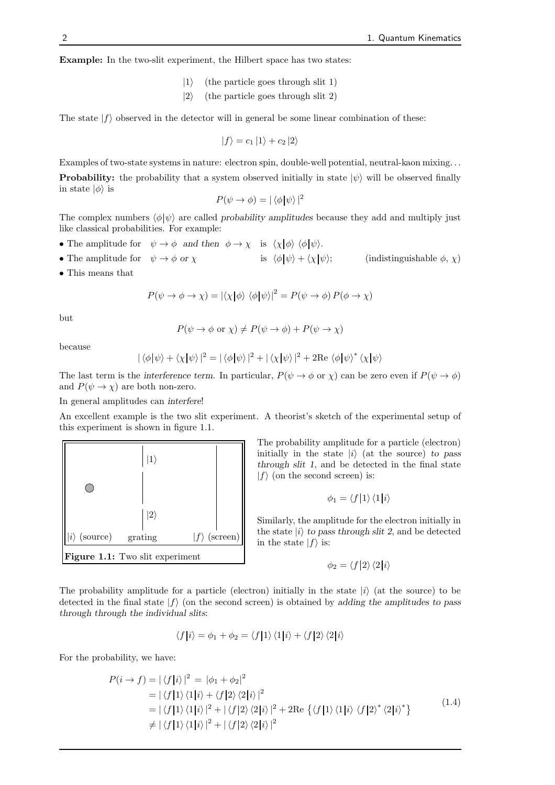Example: In the two-slit experiment, the Hilbert space has two states:

- $|1\rangle$  (the particle goes through slit 1)
- $|2\rangle$  (the particle goes through slit 2)

The state  $|f\rangle$  observed in the detector will in general be some linear combination of these:

$$
|f\rangle = c_1 |1\rangle + c_2 |2\rangle
$$

Examples of two-state systems in nature: electron spin, double-well potential, neutral-kaon mixing. . . **Probability:** the probability that a system observed initially in state  $|\psi\rangle$  will be observed finally in state  $|\phi\rangle$  is

$$
P(\psi \to \phi) = |\langle \phi | \psi \rangle|^2
$$

The complex numbers  $\langle \phi | \psi \rangle$  are called probability amplitudes because they add and multiply just like classical probabilities. For example:

- The amplitude for  $\psi \to \phi$  and then  $\phi \to \chi$  is  $\langle \chi | \phi \rangle \langle \phi | \psi \rangle$ .
- The amplitude for  $\psi \to \phi$  or  $\chi$  is  $\langle \phi | \psi \rangle + \langle \chi | \psi \rangle$ ; (indistinguishable  $\phi$ ,  $\chi$ )
- This means that

$$
P(\psi \to \phi \to \chi) = |\langle \chi | \phi \rangle \langle \phi | \psi \rangle|^2 = P(\psi \to \phi) P(\phi \to \chi)
$$

but

$$
P(\psi \to \phi \text{ or } \chi) \neq P(\psi \to \phi) + P(\psi \to \chi)
$$

because

$$
|\langle \phi | \psi \rangle + \langle \chi | \psi \rangle|^2 = |\langle \phi | \psi \rangle|^2 + |\langle \chi | \psi \rangle|^2 + 2 \text{Re} \langle \phi | \psi \rangle^* \langle \chi | \psi \rangle
$$

The last term is the interference term. In particular,  $P(\psi \to \phi \text{ or } \chi)$  can be zero even if  $P(\psi \to \phi)$ and  $P(\psi \to \chi)$  are both non-zero.

In general amplitudes can interfere!

An excellent example is the two slit experiment. A theorist's sketch of the experimental setup of this experiment is shown in figure 1.1.



The probability amplitude for a particle (electron) initially in the state  $|i\rangle$  (at the source) to pass through slit 1, and be detected in the final state  $|f\rangle$  (on the second screen) is:

$$
\phi_1 = \langle f|1\rangle\langle 1|i\rangle
$$

Similarly, the amplitude for the electron initially in the state  $|i\rangle$  to pass through slit 2, and be detected in the state  $|f\rangle$  is:

$$
\phi_2 = \langle f|2\rangle \langle 2|i\rangle
$$

The probability amplitude for a particle (electron) initially in the state  $|i\rangle$  (at the source) to be detected in the final state  $|f\rangle$  (on the second screen) is obtained by adding the amplitudes to pass through through the individual slits:

$$
\langle f|i\rangle = \phi_1 + \phi_2 = \langle f|1\rangle \langle 1|i\rangle + \langle f|2\rangle \langle 2|i\rangle
$$

For the probability, we have:

$$
P(i \rightarrow f) = |\langle f|i\rangle|^2 = |\phi_1 + \phi_2|^2
$$
  
=  $|\langle f|1\rangle \langle 1|i\rangle + \langle f|2\rangle \langle 2|i\rangle|^2$   
=  $|\langle f|1\rangle \langle 1|i\rangle|^2 + |\langle f|2\rangle \langle 2|i\rangle|^2 + 2\text{Re}\left\{ \langle f|1\rangle \langle 1|i\rangle \langle f|2\rangle^* \langle 2|i\rangle^* \right\}$   
 $\neq |\langle f|1\rangle \langle 1|i\rangle|^2 + |\langle f|2\rangle \langle 2|i\rangle|^2$  (1.4)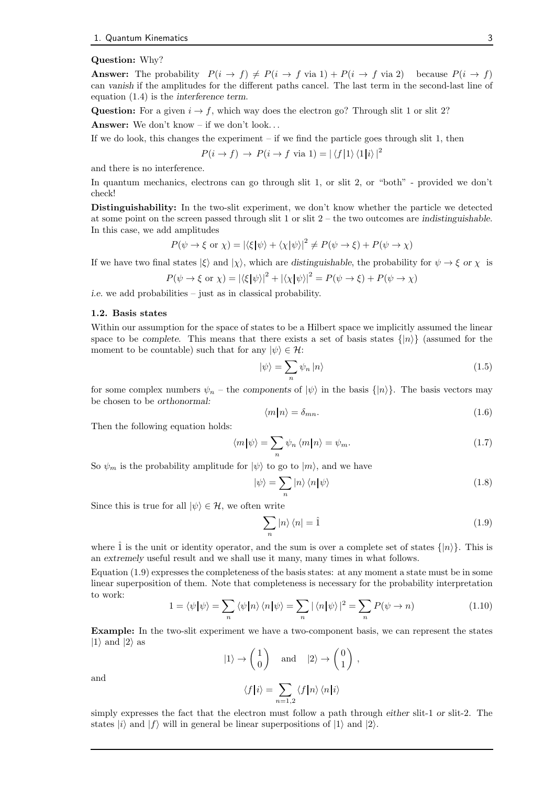#### Question: Why?

**Answer:** The probability  $P(i \to f) \neq P(i \to f \text{ via } 1) + P(i \to f \text{ via } 2)$  because  $P(i \to f)$ can vanish if the amplitudes for the different paths cancel. The last term in the second-last line of equation (1.4) is the interference term.

Question: For a given  $i \rightarrow f$ , which way does the electron go? Through slit 1 or slit 2?

Answer: We don't know – if we don't look. . .

If we do look, this changes the experiment  $-$  if we find the particle goes through slit 1, then

$$
P(i \to f) \to P(i \to f \text{ via } 1) = |\langle f|1 \rangle \langle 1|i \rangle|^2
$$

and there is no interference.

In quantum mechanics, electrons can go through slit 1, or slit 2, or "both" - provided we don't check!

Distinguishability: In the two-slit experiment, we don't know whether the particle we detected at some point on the screen passed through slit 1 or slit  $2$  – the two outcomes are indistinguishable. In this case, we add amplitudes

$$
P(\psi \to \xi \text{ or } \chi) = |\langle \xi | \psi \rangle + \langle \chi | \psi \rangle|^2 \neq P(\psi \to \xi) + P(\psi \to \chi)
$$

If we have two final states  $|\xi\rangle$  and  $|\chi\rangle$ , which are distinguishable, the probability for  $\psi \to \xi$  or  $\chi$  is

$$
P(\psi \to \xi \text{ or } \chi) = |\langle \xi | \psi \rangle|^2 + |\langle \chi | \psi \rangle|^2 = P(\psi \to \xi) + P(\psi \to \chi)
$$

i.e. we add probabilities – just as in classical probability.

#### 1.2. Basis states

Within our assumption for the space of states to be a Hilbert space we implicitly assumed the linear space to be complete. This means that there exists a set of basis states  $\{|n\rangle\}$  (assumed for the moment to be countable) such that for any  $|\psi\rangle \in \mathcal{H}$ :

$$
|\psi\rangle = \sum_{n} \psi_n |n\rangle \tag{1.5}
$$

for some complex numbers  $\psi_n$  – the components of  $|\psi\rangle$  in the basis  $\{|n\rangle\}$ . The basis vectors may be chosen to be orthonormal:

$$
\langle m|n\rangle = \delta_{mn}.\tag{1.6}
$$

Then the following equation holds:

$$
\langle m|\psi\rangle = \sum_{n} \psi_n \langle m|n\rangle = \psi_m. \tag{1.7}
$$

So  $\psi_m$  is the probability amplitude for  $|\psi\rangle$  to go to  $|m\rangle$ , and we have

$$
|\psi\rangle = \sum_{n} |n\rangle \langle n|\psi\rangle \tag{1.8}
$$

Since this is true for all  $|\psi\rangle \in \mathcal{H}$ , we often write

$$
\sum_{n} |n\rangle\langle n| = \hat{1}
$$
\n(1.9)

where  $\hat{1}$  is the unit or identity operator, and the sum is over a complete set of states  $\{|n\rangle\}$ . This is an extremely useful result and we shall use it many, many times in what follows.

Equation (1.9) expresses the completeness of the basis states: at any moment a state must be in some linear superposition of them. Note that completeness is necessary for the probability interpretation to work:

$$
1 = \langle \psi | \psi \rangle = \sum_{n} \langle \psi | n \rangle \langle n | \psi \rangle = \sum_{n} | \langle n | \psi \rangle |^{2} = \sum_{n} P(\psi \to n)
$$
 (1.10)

Example: In the two-slit experiment we have a two-component basis, we can represent the states  $|1\rangle$  and  $|2\rangle$  as

$$
|1\rangle \to \begin{pmatrix} 1 \\ 0 \end{pmatrix} \quad \text{and} \quad |2\rangle \to \begin{pmatrix} 0 \\ 1 \end{pmatrix},
$$

and

$$
\langle f|i\rangle = \sum_{n=1,2} \langle f|n\rangle \langle n|i\rangle
$$

simply expresses the fact that the electron must follow a path through either slit-1 or slit-2. The states  $|i\rangle$  and  $|f\rangle$  will in general be linear superpositions of  $|1\rangle$  and  $|2\rangle$ .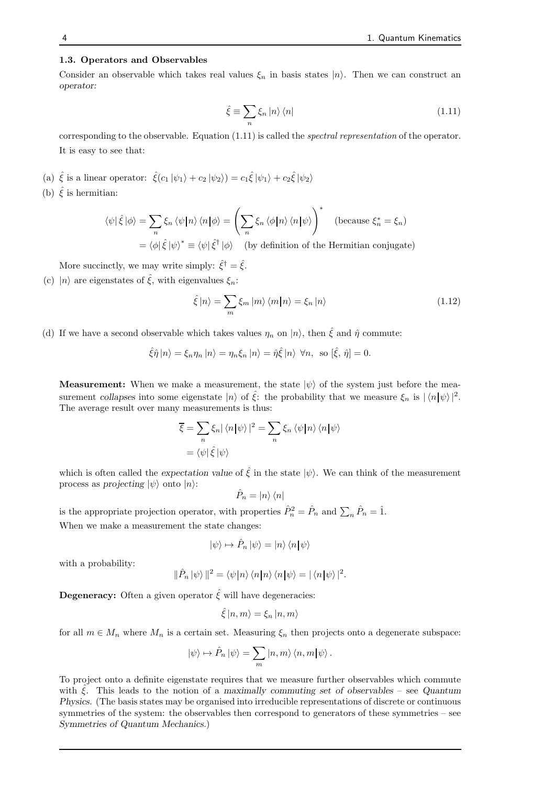#### 1.3. Operators and Observables

Consider an observable which takes real values  $\xi_n$  in basis states  $|n\rangle$ . Then we can construct an operator:

$$
\hat{\xi} \equiv \sum_{n} \xi_{n} |n\rangle \langle n| \tag{1.11}
$$

corresponding to the observable. Equation (1.11) is called the spectral representation of the operator. It is easy to see that:

- (a)  $\hat{\xi}$  is a linear operator:  $\hat{\xi}(c_1|\psi_1\rangle + c_2|\psi_2\rangle) = c_1 \hat{\xi} |\psi_1\rangle + c_2 \hat{\xi} |\psi_2\rangle$
- (b)  $\hat{\xi}$  is hermitian:

$$
\langle \psi | \hat{\xi} | \phi \rangle = \sum_{n} \xi_{n} \langle \psi | n \rangle \langle n | \phi \rangle = \left( \sum_{n} \xi_{n} \langle \phi | n \rangle \langle n | \psi \rangle \right)^{*} \text{ (because } \xi_{n}^{*} = \xi_{n})
$$

$$
= \langle \phi | \hat{\xi} | \psi \rangle^{*} \equiv \langle \psi | \hat{\xi}^{\dagger} | \phi \rangle \text{ (by definition of the Hermitian conjugate)}
$$

More succinctly, we may write simply:  $\hat{\xi}^{\dagger} = \hat{\xi}$ .

(c)  $|n\rangle$  are eigenstates of  $\hat{\xi}$ , with eigenvalues  $\xi_n$ :

$$
\hat{\xi}|n\rangle = \sum_{m} \xi_m |m\rangle \langle m|n\rangle = \xi_n |n\rangle \tag{1.12}
$$

(d) If we have a second observable which takes values  $\eta_n$  on  $|n\rangle$ , then  $\hat{\xi}$  and  $\hat{\eta}$  commute:

$$
\hat{\xi}\hat{\eta}\left|n\right\rangle = \xi_n \eta_n\left|n\right\rangle = \eta_n \xi_n\left|n\right\rangle = \hat{\eta}\hat{\xi}\left|n\right\rangle \ \forall n, \text{ so } [\hat{\xi}, \hat{\eta}] = 0.
$$

**Measurement:** When we make a measurement, the state  $|\psi\rangle$  of the system just before the measurement collapses into some eigenstate  $|n\rangle$  of  $\hat{\xi}$ : the probability that we measure  $\xi_n$  is  $|\langle n|\psi\rangle|^2$ . The average result over many measurements is thus:

$$
\overline{\xi} = \sum_{n} \xi_{n} |\langle n | \psi \rangle|^{2} = \sum_{n} \xi_{n} \langle \psi | n \rangle \langle n | \psi \rangle
$$

$$
= \langle \psi | \hat{\xi} | \psi \rangle
$$

which is often called the expectation value of  $\hat{\xi}$  in the state  $|\psi\rangle$ . We can think of the measurement process as projecting  $|\psi\rangle$  onto  $|n\rangle$ :

$$
\hat{P}_n = |n\rangle \langle n|
$$

is the appropriate projection operator, with properties  $\hat{P}_n^2 = \hat{P}_n$  and  $\sum_n \hat{P}_n = \hat{1}$ . When we make a measurement the state changes:

$$
|\psi\rangle \mapsto \hat{P}_n \, |\psi\rangle = |n\rangle \, \langle n | \psi \rangle
$$

with a probability:

$$
\|\hat{P}_n\ket{\psi}\|^2 = \langle \psi|n\rangle \langle n|n\rangle \langle n|\psi\rangle = |\langle n|\psi\rangle|^2.
$$

**Degeneracy:** Often a given operator  $\hat{\xi}$  will have degeneracies:

$$
\hat{\xi}|n,m\rangle = \xi_n |n,m\rangle
$$

for all  $m \in M_n$  where  $M_n$  is a certain set. Measuring  $\xi_n$  then projects onto a degenerate subspace:

$$
|\psi\rangle \mapsto \hat{P}_n | \psi\rangle = \sum_m |n,m\rangle \langle n,m| \psi\rangle.
$$

To project onto a definite eigenstate requires that we measure further observables which commute with  $\hat{\epsilon}$ . This leads to the notion of a maximally commuting set of observables – see Quantum Physics. (The basis states may be organised into irreducible representations of discrete or continuous symmetries of the system: the observables then correspond to generators of these symmetries – see Symmetries of Quantum Mechanics.)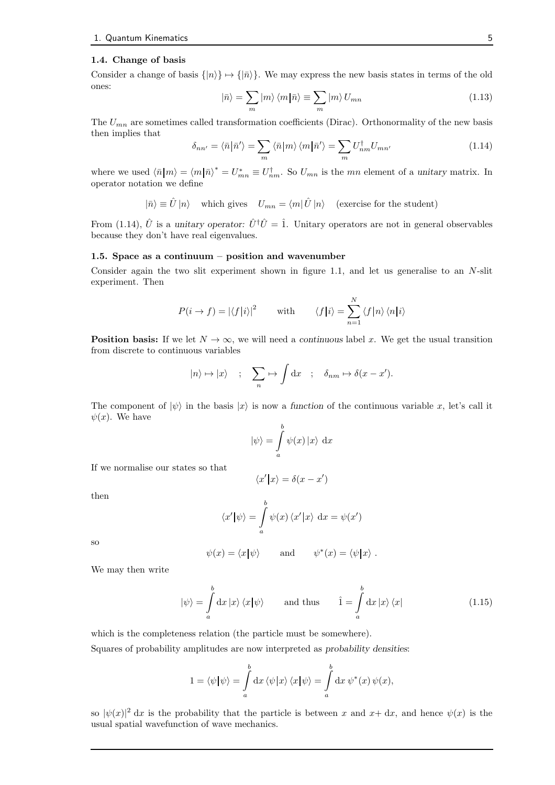#### 1.4. Change of basis

Consider a change of basis  $\{|n\rangle\} \rightarrow \{|\bar{n}\rangle\}$ . We may express the new basis states in terms of the old ones:

$$
|\bar{n}\rangle = \sum_{m} |m\rangle \langle m|\bar{n}\rangle \equiv \sum_{m} |m\rangle U_{mn} \tag{1.13}
$$

The  $U_{mn}$  are sometimes called transformation coefficients (Dirac). Orthonormality of the new basis then implies that

$$
\delta_{nn'} = \langle \bar{n} | \bar{n}' \rangle = \sum_{m} \langle \bar{n} | m \rangle \langle m | \bar{n}' \rangle = \sum_{m} U_{nm}^{\dagger} U_{mn'} \tag{1.14}
$$

where we used  $\langle \bar{n} | m \rangle = \langle m | \bar{n} \rangle^* = U^*_{mn} \equiv U^{\dagger}_{nm}$ . So  $U_{mn}$  is the mn element of a unitary matrix. In operator notation we define

 $|\bar{n}\rangle \equiv \hat{U}|n\rangle$  which gives  $U_{mn} = \langle m|\hat{U}|n\rangle$  (exercise for the student)

From (1.14),  $\hat{U}$  is a unitary operator:  $\hat{U}^{\dagger}\hat{U}=\hat{1}$ . Unitary operators are not in general observables because they don't have real eigenvalues.

#### 1.5. Space as a continuum – position and wavenumber

Consider again the two slit experiment shown in figure 1.1, and let us generalise to an N-slit experiment. Then

$$
P(i \to f) = |\langle f|i \rangle|^2 \quad \text{with} \quad \langle f|i \rangle = \sum_{n=1}^{N} \langle f|n \rangle \langle n|i \rangle
$$

**Position basis:** If we let  $N \to \infty$ , we will need a continuous label x. We get the usual transition from discrete to continuous variables

$$
|n\rangle \mapsto |x\rangle \quad ; \quad \sum_{n} \mapsto \int \mathrm{d}x \quad ; \quad \delta_{nm} \mapsto \delta(x - x').
$$

The component of  $|\psi\rangle$  in the basis  $|x\rangle$  is now a function of the continuous variable x, let's call it  $\psi(x)$ . We have

$$
|\psi\rangle = \int_a^b \psi(x) |x\rangle \, dx
$$

If we normalise our states so that

$$
\langle x' | x \rangle = \delta(x - x')
$$

then

$$
\langle x' | \psi \rangle = \int_a^b \psi(x) \langle x' | x \rangle \, dx = \psi(x')
$$

so

$$
\psi(x) = \langle x | \psi \rangle
$$
 and  $\psi^*(x) = \langle \psi | x \rangle$ .

We may then write

$$
|\psi\rangle = \int_{a}^{b} dx |x\rangle \langle x|\psi\rangle \quad \text{and thus} \quad \hat{1} = \int_{a}^{b} dx |x\rangle \langle x| \quad (1.15)
$$

which is the completeness relation (the particle must be somewhere).

Squares of probability amplitudes are now interpreted as probability densities:

$$
1 = \langle \psi | \psi \rangle = \int_a^b dx \, \langle \psi | x \rangle \, \langle x | \psi \rangle = \int_a^b dx \, \psi^*(x) \, \psi(x),
$$

so  $|\psi(x)|^2 dx$  is the probability that the particle is between x and  $x+dx$ , and hence  $\psi(x)$  is the usual spatial wavefunction of wave mechanics.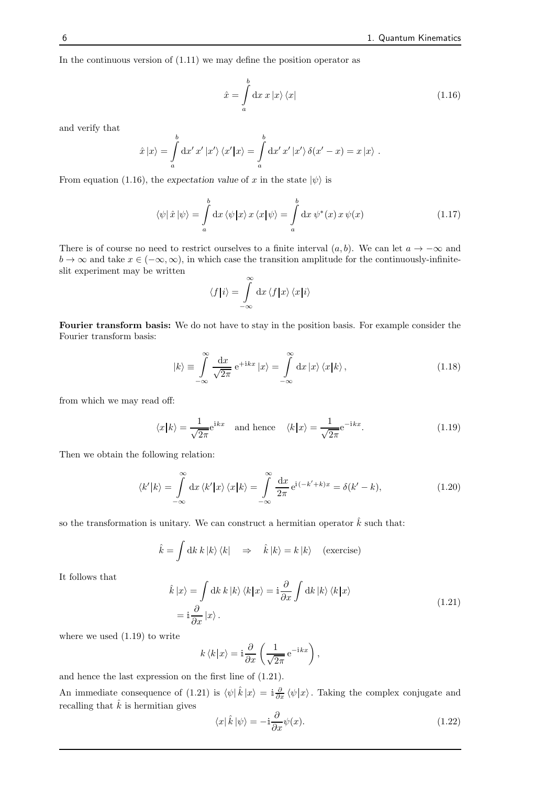In the continuous version of  $(1.11)$  we may define the position operator as

$$
\hat{x} = \int_{a}^{b} dx \, x \, |x\rangle \, \langle x| \tag{1.16}
$$

and verify that

$$
\hat{x}|x\rangle = \int_a^b \mathrm{d}x' \, x' \, |x'\rangle \, \langle x'|x\rangle = \int_a^b \mathrm{d}x' \, x' \, |x'\rangle \, \delta(x'-x) = x \, |x\rangle \; .
$$

From equation (1.16), the expectation value of x in the state  $|\psi\rangle$  is

$$
\langle \psi | \hat{x} | \psi \rangle = \int_{a}^{b} dx \, \langle \psi | x \rangle \, x \, \langle x | \psi \rangle = \int_{a}^{b} dx \, \psi^*(x) \, x \, \psi(x) \tag{1.17}
$$

There is of course no need to restrict ourselves to a finite interval  $(a, b)$ . We can let  $a \to -\infty$  and  $b \to \infty$  and take  $x \in (-\infty, \infty)$ , in which case the transition amplitude for the continuously-infiniteslit experiment may be written

$$
\langle f|i\rangle = \int\limits_{-\infty}^{\infty} \mathrm{d}x \, \langle f|x\rangle \, \langle x|i\rangle
$$

Fourier transform basis: We do not have to stay in the position basis. For example consider the Fourier transform basis:

$$
|k\rangle \equiv \int_{-\infty}^{\infty} \frac{\mathrm{d}x}{\sqrt{2\pi}} \,\mathrm{e}^{+ikx} \, |x\rangle = \int_{-\infty}^{\infty} \mathrm{d}x \, |x\rangle \, \langle x|k\rangle \,,\tag{1.18}
$$

from which we may read off:

$$
\langle x|k\rangle = \frac{1}{\sqrt{2\pi}} e^{ikx} \quad \text{and hence} \quad \langle k|x\rangle = \frac{1}{\sqrt{2\pi}} e^{-ikx}.
$$
 (1.19)

Then we obtain the following relation:

$$
\langle k'|k\rangle = \int_{-\infty}^{\infty} dx \langle k'|x\rangle \langle x|k\rangle = \int_{-\infty}^{\infty} \frac{dx}{2\pi} e^{i(-k'+k)x} = \delta(k'-k),\tag{1.20}
$$

so the transformation is unitary. We can construct a hermitian operator  $\dot{k}$  such that:

$$
\hat{k} = \int \mathrm{d}k \, k \, |k\rangle \, \langle k| \quad \Rightarrow \quad \hat{k} \, |k\rangle = k \, |k\rangle \quad \text{(exercise)}
$$

It follows that

$$
\hat{k}|x\rangle = \int \mathrm{d}k \, k |k\rangle \langle k|x\rangle = \mathrm{i} \frac{\partial}{\partial x} \int \mathrm{d}k |k\rangle \langle k|x\rangle
$$
\n
$$
= \mathrm{i} \frac{\partial}{\partial x} |x\rangle. \tag{1.21}
$$

where we used (1.19) to write

$$
k \langle k | x \rangle = \mathbf{i} \frac{\partial}{\partial x} \left( \frac{1}{\sqrt{2\pi}} e^{-\mathbf{i}kx} \right),
$$

and hence the last expression on the first line of (1.21).

An immediate consequence of (1.21) is  $\langle \psi | \hat{k} | x \rangle = i \frac{\partial}{\partial x} \langle \psi | x \rangle$ . Taking the complex conjugate and recalling that  $\hat{k}$  is hermitian gives

$$
\langle x|\,\hat{k}\,|\psi\rangle = -\mathrm{i}\frac{\partial}{\partial x}\psi(x). \tag{1.22}
$$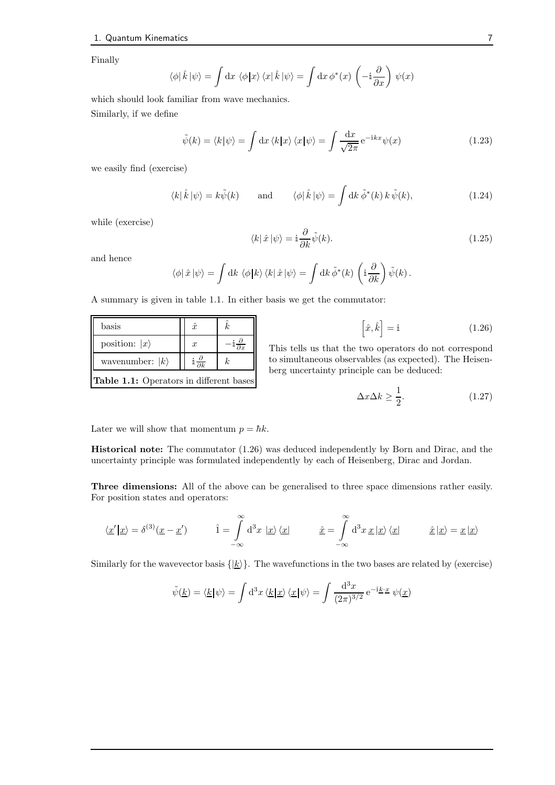Finally

$$
\langle \phi | \hat{k} | \psi \rangle = \int dx \langle \phi | x \rangle \langle x | \hat{k} | \psi \rangle = \int dx \phi^*(x) \left( -i \frac{\partial}{\partial x} \right) \psi(x)
$$

which should look familiar from wave mechanics.

Similarly, if we define

$$
\tilde{\psi}(k) = \langle k | \psi \rangle = \int \mathrm{d}x \, \langle k | x \rangle \, \langle x | \psi \rangle = \int \frac{\mathrm{d}x}{\sqrt{2\pi}} \, \mathrm{e}^{-\mathrm{i}kx} \psi(x) \tag{1.23}
$$

we easily find (exercise)

$$
\langle k|\,\hat{k}\,|\psi\rangle = k\tilde{\psi}(k) \qquad \text{and} \qquad \langle \phi|\,\hat{k}\,|\psi\rangle = \int \mathrm{d}k\,\tilde{\phi}^*(k)\,k\,\tilde{\psi}(k), \tag{1.24}
$$

while (exercise)

$$
\langle k|\,\hat{x}\,|\psi\rangle = \mathrm{i}\frac{\partial}{\partial k}\tilde{\psi}(k). \tag{1.25}
$$

and hence

$$
\langle \phi | \hat{x} | \psi \rangle = \int \mathrm{d}k \; \langle \phi | k \rangle \, \langle k | \hat{x} | \psi \rangle = \int \mathrm{d}k \, \tilde{\phi}^*(k) \, \left( \mathrm{i} \frac{\partial}{\partial k} \right) \tilde{\psi}(k) \, .
$$

A summary is given in table 1.1. In either basis we get the commutator:

| $_{\rm basis}$                                 |  | $\hat{x}$        |  |  |
|------------------------------------------------|--|------------------|--|--|
| position: $ x\rangle$                          |  | $\boldsymbol{x}$ |  |  |
| wavenumber: $ k\rangle$                        |  |                  |  |  |
| <b>Table 1.1:</b> Operators in different bases |  |                  |  |  |

 $\left[\hat{x}, \hat{k}\right]$  $(1.26)$ 

This tells us that the two operators do not correspond to simultaneous observables (as expected). The Heisenberg uncertainty principle can be deduced:

$$
\Delta x \Delta k \ge \frac{1}{2}.\tag{1.27}
$$

Later we will show that momentum  $p = \hbar k$ .

Historical note: The commutator (1.26) was deduced independently by Born and Dirac, and the uncertainty principle was formulated independently by each of Heisenberg, Dirac and Jordan.

Three dimensions: All of the above can be generalised to three space dimensions rather easily. For position states and operators:

$$
\langle \underline{x}' | \underline{x} \rangle = \delta^{(3)}(\underline{x} - \underline{x}') \qquad \quad \hat{1} = \int_{-\infty}^{\infty} d^3x \, |\underline{x}\rangle \langle \underline{x}| \qquad \quad \hat{\underline{x}} = \int_{-\infty}^{\infty} d^3x \, \underline{x} \, |\underline{x}\rangle \langle \underline{x}| \qquad \quad \hat{\underline{x}} \, |\underline{x}\rangle = \underline{x} \, |\underline{x}\rangle
$$

Similarly for the wavevector basis  $\{|\underline{k}\rangle\}$ . The wavefunctions in the two bases are related by (exercise)

$$
\tilde{\psi}(\underline{k}) = \langle \underline{k} | \psi \rangle = \int d^3x \, \langle \underline{k} | \underline{x} \rangle \, \langle \underline{x} | \psi \rangle = \int \frac{d^3x}{(2\pi)^{3/2}} e^{-i\underline{k} \cdot \underline{x}} \, \psi(\underline{x})
$$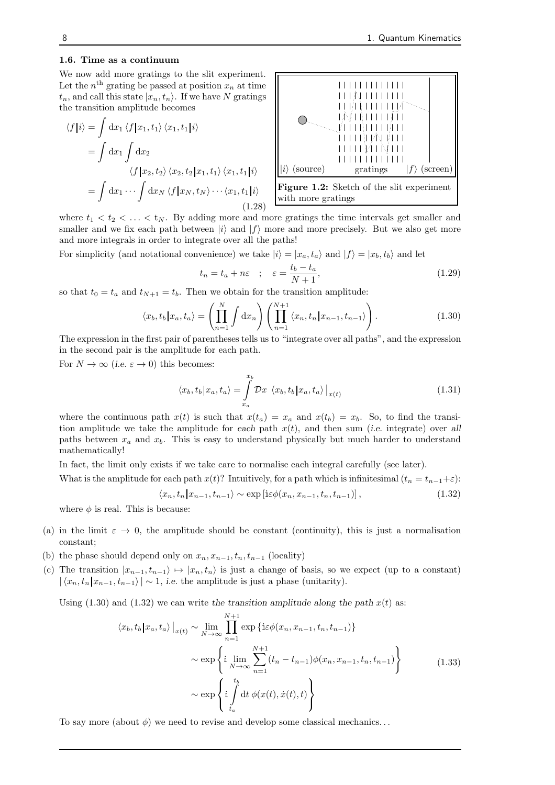#### 1.6. Time as a continuum

We now add more gratings to the slit experiment. Let the  $n<sup>th</sup>$  grating be passed at position  $x_n$  at time  $t_n$ , and call this state  $|x_n, t_n\rangle$ . If we have N gratings the transition amplitude becomes

$$
\langle f|i\rangle = \int dx_1 \langle f|x_1, t_1\rangle \langle x_1, t_1|i\rangle
$$
  
= 
$$
\int dx_1 \int dx_2
$$
  

$$
\langle f|x_2, t_2\rangle \langle x_2, t_2|x_1, t_1\rangle \langle x_1, t_1|i\rangle
$$
  
= 
$$
\int dx_1 \cdots \int dx_N \langle f|x_N, t_N\rangle \cdots \langle x_1, t_1|i\rangle
$$
(1.28)



Figure 1.2: Sketch of the slit experiment with more gratings

where  $t_1 < t_2 < \ldots < t_N$ . By adding more and more gratings the time intervals get smaller and smaller and we fix each path between  $|i\rangle$  and  $|f\rangle$  more and more precisely. But we also get more and more integrals in order to integrate over all the paths!

For simplicity (and notational convenience) we take  $|i\rangle = |x_a, t_a\rangle$  and  $|f\rangle = |x_b, t_b\rangle$  and let

$$
t_n = t_a + n\varepsilon \quad ; \quad \varepsilon = \frac{t_b - t_a}{N + 1}, \tag{1.29}
$$

so that  $t_0 = t_a$  and  $t_{N+1} = t_b$ . Then we obtain for the transition amplitude:

$$
\langle x_b, t_b | x_a, t_a \rangle = \left( \prod_{n=1}^N \int \mathrm{d}x_n \right) \left( \prod_{n=1}^{N+1} \langle x_n, t_n | x_{n-1}, t_{n-1} \rangle \right). \tag{1.30}
$$

The expression in the first pair of parentheses tells us to "integrate over all paths", and the expression in the second pair is the amplitude for each path.

For  $N \to \infty$  (i.e.  $\varepsilon \to 0$ ) this becomes:

$$
\langle x_b, t_b | x_a, t_a \rangle = \int_{x_a}^{x_b} \mathcal{D}x \langle x_b, t_b | x_a, t_a \rangle \big|_{x(t)}
$$
(1.31)

where the continuous path  $x(t)$  is such that  $x(t_a) = x_a$  and  $x(t_b) = x_b$ . So, to find the transition amplitude we take the amplitude for each path  $x(t)$ , and then sum (i.e. integrate) over all paths between  $x_a$  and  $x_b$ . This is easy to understand physically but much harder to understand mathematically!

In fact, the limit only exists if we take care to normalise each integral carefully (see later).

What is the amplitude for each path  $x(t)$ ? Intuitively, for a path which is infinitesimal  $(t_n = t_{n-1} + \varepsilon)$ :

$$
\langle x_n, t_n | x_{n-1}, t_{n-1} \rangle \sim \exp\left[i\varepsilon \phi(x_n, x_{n-1}, t_n, t_{n-1})\right],\tag{1.32}
$$

where  $\phi$  is real. This is because:

- (a) in the limit  $\varepsilon \to 0$ , the amplitude should be constant (continuity), this is just a normalisation constant;
- (b) the phase should depend only on  $x_n, x_{n-1}, t_n, t_{n-1}$  (locality)
- (c) The transition  $|x_{n-1}, t_{n-1}\rangle \mapsto |x_n, t_n\rangle$  is just a change of basis, so we expect (up to a constant)  $|\langle x_n, t_n | x_{n-1}, t_{n-1}\rangle| \sim 1$ , i.e. the amplitude is just a phase (unitarity).

Using  $(1.30)$  and  $(1.32)$  we can write the transition amplitude along the path  $x(t)$  as:

$$
\langle x_b, t_b | x_a, t_a \rangle |_{x(t)} \sim \lim_{N \to \infty} \prod_{n=1}^{N+1} \exp \{ i \varepsilon \phi(x_n, x_{n-1}, t_n, t_{n-1}) \}
$$
  

$$
\sim \exp \left\{ i \lim_{N \to \infty} \sum_{n=1}^{N+1} (t_n - t_{n-1}) \phi(x_n, x_{n-1}, t_n, t_{n-1}) \right\}
$$
  

$$
\sim \exp \left\{ i \int_{t_a}^{t_b} dt \phi(x(t), \dot{x}(t), t) \right\}
$$
 (1.33)

To say more (about  $\phi$ ) we need to revise and develop some classical mechanics...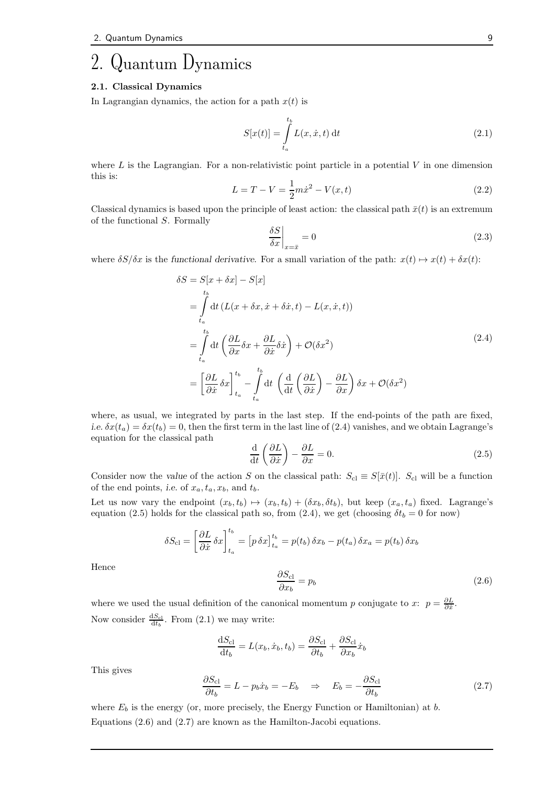# 2. Quantum Dynamics

#### 2.1. Classical Dynamics

In Lagrangian dynamics, the action for a path  $x(t)$  is

$$
S[x(t)] = \int_{t_a}^{t_b} L(x, \dot{x}, t) dt
$$
\n(2.1)

where  $L$  is the Lagrangian. For a non-relativistic point particle in a potential  $V$  in one dimension this is:

$$
L = T - V = \frac{1}{2}m\dot{x}^{2} - V(x, t)
$$
\n(2.2)

Classical dynamics is based upon the principle of least action: the classical path  $\bar{x}(t)$  is an extremum of the functional S. Formally

$$
\left. \frac{\delta S}{\delta x} \right|_{x=\bar{x}} = 0 \tag{2.3}
$$

where  $\delta S/\delta x$  is the functional derivative. For a small variation of the path:  $x(t) \mapsto x(t) + \delta x(t)$ :

$$
\delta S = S[x + \delta x] - S[x]
$$
  
\n
$$
= \int_{t_a}^{t_b} dt \left( L(x + \delta x, \dot{x} + \delta \dot{x}, t) - L(x, \dot{x}, t) \right)
$$
  
\n
$$
= \int_{t_a}^{t_b} dt \left( \frac{\partial L}{\partial x} \delta x + \frac{\partial L}{\partial \dot{x}} \delta \dot{x} \right) + \mathcal{O}(\delta x^2)
$$
  
\n
$$
= \left[ \frac{\partial L}{\partial \dot{x}} \delta x \right]_{t_a}^{t_b} - \int_{t_a}^{t_b} dt \left( \frac{d}{dt} \left( \frac{\partial L}{\partial \dot{x}} \right) - \frac{\partial L}{\partial x} \right) \delta x + \mathcal{O}(\delta x^2)
$$
\n(2.4)

where, as usual, we integrated by parts in the last step. If the end-points of the path are fixed, i.e.  $\delta x(t_a) = \delta x(t_b) = 0$ , then the first term in the last line of (2.4) vanishes, and we obtain Lagrange's equation for the classical path

$$
\frac{\mathrm{d}}{\mathrm{d}t} \left( \frac{\partial L}{\partial \dot{x}} \right) - \frac{\partial L}{\partial x} = 0. \tag{2.5}
$$

Consider now the value of the action S on the classical path:  $S_{\text{cl}} \equiv S[\bar{x}(t)]$ . S<sub>cl</sub> will be a function of the end points, i.e. of  $x_a, t_a, x_b$ , and  $t_b$ .

Let us now vary the endpoint  $(x_b, t_b) \mapsto (x_b, t_b) + (\delta x_b, \delta t_b)$ , but keep  $(x_a, t_a)$  fixed. Lagrange's equation (2.5) holds for the classical path so, from (2.4), we get (choosing  $\delta t_b = 0$  for now)

$$
\delta S_{\text{cl}} = \left[\frac{\partial L}{\partial \dot{x}} \delta x\right]_{t_a}^{t_b} = \left[p \,\delta x\right]_{t_a}^{t_b} = p(t_b) \,\delta x_b - p(t_a) \,\delta x_a = p(t_b) \,\delta x_b
$$

Hence

$$
\frac{\partial S_{\text{cl}}}{\partial x_b} = p_b \tag{2.6}
$$

where we used the usual definition of the canonical momentum p conjugate to x:  $p = \frac{\partial L}{\partial \dot{x}}$ . Now consider  $\frac{dS_{\text{cl}}}{dt_b}$ . From (2.1) we may write:

$$
\frac{dS_{\text{cl}}}{dt_b} = L(x_b, \dot{x}_b, t_b) = \frac{\partial S_{\text{cl}}}{\partial t_b} + \frac{\partial S_{\text{cl}}}{\partial x_b} \dot{x}_b
$$
\n
$$
\frac{\partial S_{\text{cl}}}{\partial t_b} = L - p_b \dot{x}_b = -E_b \quad \Rightarrow \quad E_b = -\frac{\partial S_{\text{cl}}}{\partial t_b} \tag{2.7}
$$

This gives

where 
$$
E_b
$$
 is the energy (or, more precisely, the Energy Function or Hamiltonian) at b. Equations (2.6) and (2.7) are known as the Hamilton-Jacobi equations.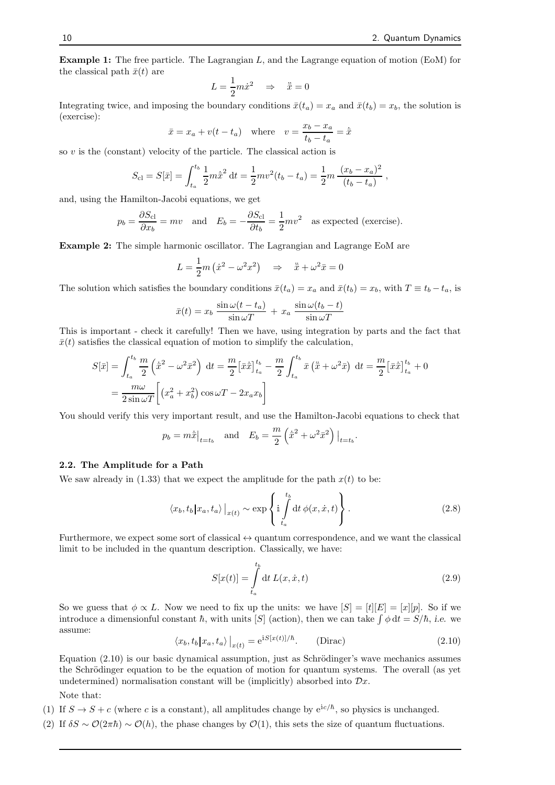Example 1: The free particle. The Lagrangian L, and the Lagrange equation of motion (EoM) for the classical path  $\bar{x}(t)$  are

$$
L = \frac{1}{2}m\dot{x}^2 \quad \Rightarrow \quad \ddot{\bar{x}} = 0
$$

Integrating twice, and imposing the boundary conditions  $\bar{x}(t_a) = x_a$  and  $\bar{x}(t_b) = x_b$ , the solution is (exercise):

$$
\bar{x} = x_a + v(t - t_a)
$$
 where  $v = \frac{x_b - x_a}{t_b - t_a} = \dot{\bar{x}}$ 

so  $v$  is the (constant) velocity of the particle. The classical action is

$$
S_{\rm cl} = S[\bar{x}] = \int_{t_a}^{t_b} \frac{1}{2} m \dot{\bar{x}}^2 dt = \frac{1}{2} m v^2 (t_b - t_a) = \frac{1}{2} m \frac{(x_b - x_a)^2}{(t_b - t_a)} ,
$$

and, using the Hamilton-Jacobi equations, we get

$$
p_b = \frac{\partial S_{\text{cl}}}{\partial x_b} = mv
$$
 and  $E_b = -\frac{\partial S_{\text{cl}}}{\partial t_b} = \frac{1}{2}mv^2$  as expected (exercise).

Example 2: The simple harmonic oscillator. The Lagrangian and Lagrange EoM are

$$
L = \frac{1}{2}m(\dot{x}^2 - \omega^2 x^2) \quad \Rightarrow \quad \ddot{x} + \omega^2 \bar{x} = 0
$$

The solution which satisfies the boundary conditions  $\bar{x}(t_a) = x_a$  and  $\bar{x}(t_b) = x_b$ , with  $T \equiv t_b - t_a$ , is

$$
\bar{x}(t) = x_b \frac{\sin \omega(t - t_a)}{\sin \omega T} + x_a \frac{\sin \omega(t_b - t)}{\sin \omega T}
$$

This is important - check it carefully! Then we have, using integration by parts and the fact that  $\bar{x}(t)$  satisfies the classical equation of motion to simplify the calculation,

$$
S[\bar{x}] = \int_{t_a}^{t_b} \frac{m}{2} \left(\dot{\bar{x}}^2 - \omega^2 \bar{x}^2\right) dt = \frac{m}{2} \left[\bar{x}\dot{\bar{x}}\right]_{t_a}^{t_b} - \frac{m}{2} \int_{t_a}^{t_b} \bar{x} \left(\ddot{\bar{x}} + \omega^2 \bar{x}\right) dt = \frac{m}{2} \left[\bar{x}\dot{\bar{x}}\right]_{t_a}^{t_b} + 0
$$

$$
= \frac{m\omega}{2\sin\omega T} \left[ \left(x_a^2 + x_b^2\right)\cos\omega T - 2x_a x_b \right]
$$

You should verify this very important result, and use the Hamilton-Jacobi equations to check that

$$
p_b = m\dot{\bar{x}}|_{t=t_b}
$$
 and  $E_b = \frac{m}{2} (\dot{\bar{x}}^2 + \omega^2 \bar{x}^2)|_{t=t_b}$ .

#### 2.2. The Amplitude for a Path

We saw already in (1.33) that we expect the amplitude for the path  $x(t)$  to be:

$$
\langle x_b, t_b | x_a, t_a \rangle \big|_{x(t)} \sim \exp \left\{ i \int_{t_a}^{t_b} dt \, \phi(x, \dot{x}, t) \right\}.
$$
 (2.8)

Furthermore, we expect some sort of classical  $\leftrightarrow$  quantum correspondence, and we want the classical limit to be included in the quantum description. Classically, we have:

$$
S[x(t)] = \int_{t_a}^{t_b} dt L(x, \dot{x}, t)
$$
\n(2.9)

So we guess that  $\phi \propto L$ . Now we need to fix up the units: we have  $|S| = |t||E| = |x||p|$ . So if we introduce a dimensionful constant  $\hbar$ , with units [S] (action), then we can take  $\int \phi \, dt = S/\hbar$ , i.e. we assume:

$$
\langle x_b, t_b | x_a, t_a \rangle \Big|_{x(t)} = e^{iS[x(t)]/\hbar}.
$$
 (Dirac) \t(2.10)

Equation  $(2.10)$  is our basic dynamical assumption, just as Schrödinger's wave mechanics assumes the Schrödinger equation to be the equation of motion for quantum systems. The overall (as yet undetermined) normalisation constant will be (implicitly) absorbed into  $\mathcal{D}x$ .

Note that:

- (1) If  $S \to S + c$  (where c is a constant), all amplitudes change by  $e^{ic/\hbar}$ , so physics is unchanged.
- (2) If  $\delta S \sim \mathcal{O}(2\pi\hbar) \sim \mathcal{O}(h)$ , the phase changes by  $\mathcal{O}(1)$ , this sets the size of quantum fluctuations.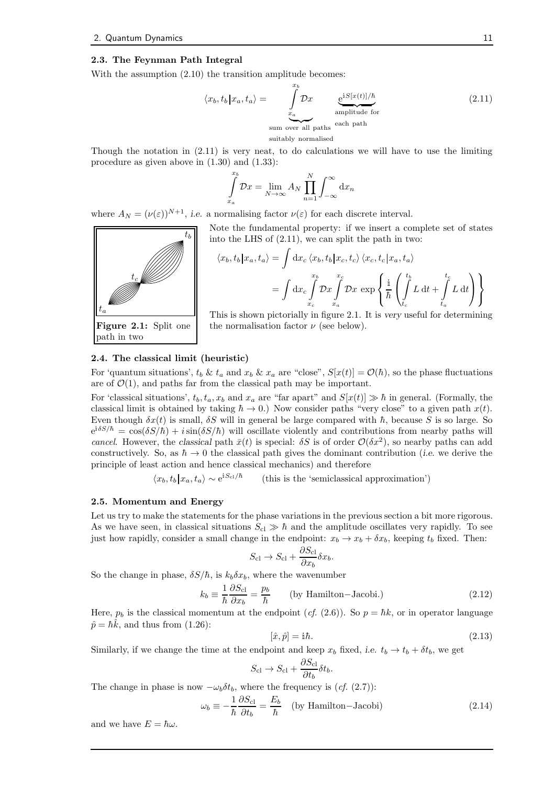#### 2.3. The Feynman Path Integral

With the assumption  $(2.10)$  the transition amplitude becomes:

$$
\langle x_b, t_b | x_a, t_a \rangle = \int_{x_a}^{x_b} \mathcal{D}x \underbrace{e^{iS[x(t)]/\hbar}}_{\text{amplitude for}} \tag{2.11}
$$
  
sum over all paths each path  
suitably normalised

Though the notation in  $(2.11)$  is very neat, to do calculations we will have to use the limiting procedure as given above in (1.30) and (1.33):

$$
\int_{x_a}^{x_b} \mathcal{D}x = \lim_{N \to \infty} A_N \prod_{n=1}^N \int_{-\infty}^{\infty} dx_n
$$

where  $A_N = (\nu(\varepsilon))^{N+1}$ , i.e. a normalising factor  $\nu(\varepsilon)$  for each discrete interval.

 $t_a$  $t_c$  $t_b$ Figure 2.1: Split one Note the fundamental property: if we insert a complete set of states

path in two



This is shown pictorially in figure 2.1. It is very useful for determining the normalisation factor  $\nu$  (see below).

#### 2.4. The classical limit (heuristic)

For 'quantum situations',  $t_b \& t_a$  and  $x_b \& x_a$  are "close",  $S[x(t)] = \mathcal{O}(\hbar)$ , so the phase fluctuations are of  $\mathcal{O}(1)$ , and paths far from the classical path may be important.

For 'classical situations',  $t_b$ ,  $t_a$ ,  $x_b$  and  $x_a$  are "far apart" and  $S[x(t)] \gg \hbar$  in general. (Formally, the classical limit is obtained by taking  $\hbar \to 0$ .) Now consider paths "very close" to a given path  $x(t)$ . Even though  $\delta x(t)$  is small,  $\delta S$  will in general be large compared with  $\hbar$ , because S is so large. So  $e^{i\delta S/\hbar} = \cos(\delta S/\hbar) + i\sin(\delta S/\hbar)$  will oscillate violently and contributions from nearby paths will cancel. However, the classical path  $\bar{x}(t)$  is special:  $\delta S$  is of order  $\mathcal{O}(\delta x^2)$ , so nearby paths can add constructively. So, as  $\hbar \to 0$  the classical path gives the dominant contribution (*i.e.* we derive the principle of least action and hence classical mechanics) and therefore

> $\langle x_b, t_b | x_a, t_a \rangle \sim e^{iS_{\rm cl}/\hbar}$ (this is the 'semiclassical approximation')

#### 2.5. Momentum and Energy

Let us try to make the statements for the phase variations in the previous section a bit more rigorous. As we have seen, in classical situations  $S_{\text{cl}} \gg \hbar$  and the amplitude oscillates very rapidly. To see just how rapidly, consider a small change in the endpoint:  $x_b \rightarrow x_b + \delta x_b$ , keeping  $t_b$  fixed. Then:

$$
S_{\rm cl} \to S_{\rm cl} + \frac{\partial S_{\rm cl}}{\partial x_b} \delta x_b.
$$

So the change in phase,  $\delta S/\hbar$ , is  $k_b \delta x_b$ , where the wavenumber

$$
k_b \equiv \frac{1}{\hbar} \frac{\partial S_{\rm cl}}{\partial x_b} = \frac{p_b}{\hbar} \qquad \text{(by Hamilton–Jacobi.)} \tag{2.12}
$$

Here,  $p_b$  is the classical momentum at the endpoint (*cf.* (2.6)). So  $p = \hbar k$ , or in operator language  $\hat{p} = \hbar k$ , and thus from (1.26):

$$
[\hat{x}, \hat{p}] = \mathbf{i}\hbar. \tag{2.13}
$$

Similarly, if we change the time at the endpoint and keep  $x_b$  fixed, i.e.  $t_b \to t_b + \delta t_b$ , we get

$$
S_{\rm cl} \to S_{\rm cl} + \frac{\partial S_{\rm cl}}{\partial t_b} \delta t_b.
$$

The change in phase is now  $-\omega_b \delta t_b$ , where the frequency is (cf. (2.7)):

$$
\omega_b \equiv -\frac{1}{\hbar} \frac{\partial S_{\rm cl}}{\partial t_b} = \frac{E_b}{\hbar} \quad \text{(by Hamilton-Jacobi)}\tag{2.14}
$$

and we have  $E = \hbar \omega$ .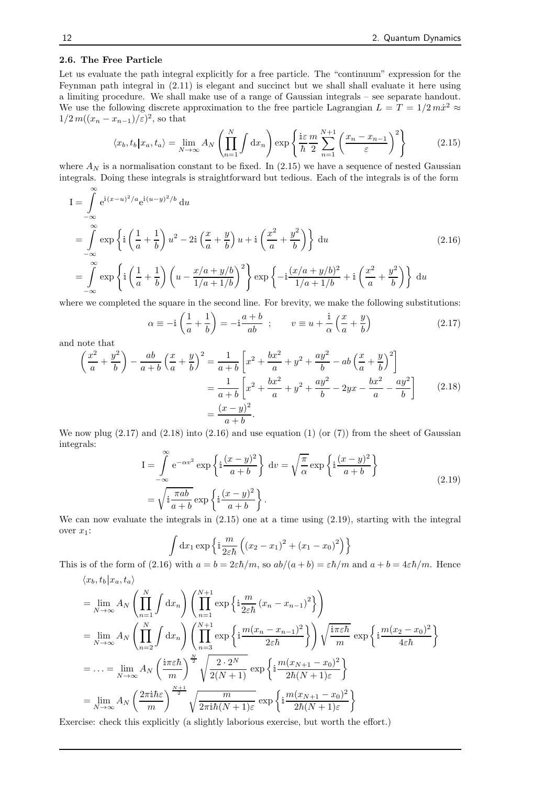#### 2.6. The Free Particle

Let us evaluate the path integral explicitly for a free particle. The "continuum" expression for the Feynman path integral in (2.11) is elegant and succinct but we shall shall evaluate it here using a limiting procedure. We shall make use of a range of Gaussian integrals – see separate handout. We use the following discrete approximation to the free particle Lagrangian  $L = T = 1/2 m\dot{x}^2 \approx$  $1/2 m((x_n - x_{n-1})/\varepsilon)^2$ , so that

$$
\langle x_b, t_b | x_a, t_a \rangle = \lim_{N \to \infty} A_N \left( \prod_{n=1}^N \int dx_n \right) \exp \left\{ \frac{\mathrm{i} \varepsilon}{\hbar} \frac{m}{2} \sum_{n=1}^{N+1} \left( \frac{x_n - x_{n-1}}{\varepsilon} \right)^2 \right\} \tag{2.15}
$$

where  $A_N$  is a normalisation constant to be fixed. In (2.15) we have a sequence of nested Gaussian integrals. Doing these integrals is straightforward but tedious. Each of the integrals is of the form

$$
I = \int_{-\infty}^{\infty} e^{i(x-u)^2/a} e^{i(u-y)^2/b} du
$$
  
\n
$$
= \int_{-\infty}^{\infty} \exp\left\{ i \left( \frac{1}{a} + \frac{1}{b} \right) u^2 - 2i \left( \frac{x}{a} + \frac{y}{b} \right) u + i \left( \frac{x^2}{a} + \frac{y^2}{b} \right) \right\} du
$$
\n
$$
= \int_{-\infty}^{\infty} \exp\left\{ i \left( \frac{1}{a} + \frac{1}{b} \right) \left( u - \frac{x/a + y/b}{1/a + 1/b} \right)^2 \right\} \exp\left\{ -i \frac{(x/a + y/b)^2}{1/a + 1/b} + i \left( \frac{x^2}{a} + \frac{y^2}{b} \right) \right\} du
$$
\n(2.16)

where we completed the square in the second line. For brevity, we make the following substitutions:

$$
\alpha \equiv -\mathrm{i}\left(\frac{1}{a} + \frac{1}{b}\right) = -\mathrm{i}\frac{a+b}{ab} \ ; \qquad v \equiv u + \frac{\mathrm{i}}{\alpha}\left(\frac{x}{a} + \frac{y}{b}\right) \tag{2.17}
$$

and note that

$$
\left(\frac{x^2}{a} + \frac{y^2}{b}\right) - \frac{ab}{a+b}\left(\frac{x}{a} + \frac{y}{b}\right)^2 = \frac{1}{a+b}\left[x^2 + \frac{bx^2}{a} + y^2 + \frac{ay^2}{b} - ab\left(\frac{x}{a} + \frac{y}{b}\right)^2\right]
$$

$$
= \frac{1}{a+b}\left[x^2 + \frac{bx^2}{a} + y^2 + \frac{ay^2}{b} - 2yx - \frac{bx^2}{a} - \frac{ay^2}{b}\right] \tag{2.18}
$$

$$
= \frac{(x-y)^2}{a+b}.
$$

We now plug  $(2.17)$  and  $(2.18)$  into  $(2.16)$  and use equation  $(1)$  (or  $(7)$ ) from the sheet of Gaussian integrals:

$$
I = \int_{-\infty}^{\infty} e^{-\alpha v^2} \exp\left\{ i \frac{(x-y)^2}{a+b} \right\} dv = \sqrt{\frac{\pi}{\alpha}} \exp\left\{ i \frac{(x-y)^2}{a+b} \right\}
$$
  
=  $\sqrt{i \frac{\pi ab}{a+b}} \exp\left\{ i \frac{(x-y)^2}{a+b} \right\}.$  (2.19)

We can now evaluate the integrals in (2.15) one at a time using (2.19), starting with the integral over  $x_1$ :

$$
\int dx_1 \exp \left\{ i \frac{m}{2\varepsilon \hbar} \left( (x_2 - x_1)^2 + (x_1 - x_0)^2 \right) \right\}
$$

This is of the form of (2.16) with  $a = b = 2\varepsilon\hbar/m$ , so  $ab/(a+b) = \varepsilon\hbar/m$  and  $a+b = 4\varepsilon\hbar/m$ . Hence

$$
\langle x_b, t_b | x_a, t_a \rangle
$$
  
\n
$$
= \lim_{N \to \infty} A_N \left( \prod_{n=1}^N \int dx_n \right) \left( \prod_{n=1}^{N+1} \exp \left\{ i \frac{m}{2\varepsilon \hbar} (x_n - x_{n-1})^2 \right\} \right)
$$
  
\n
$$
= \lim_{N \to \infty} A_N \left( \prod_{n=2}^N \int dx_n \right) \left( \prod_{n=3}^{N+1} \exp \left\{ i \frac{m(x_n - x_{n-1})^2}{2\varepsilon \hbar} \right\} \right) \sqrt{\frac{i\pi \varepsilon \hbar}{m}} \exp \left\{ i \frac{m(x_2 - x_0)^2}{4\varepsilon \hbar} \right\}
$$
  
\n
$$
= \dots = \lim_{N \to \infty} A_N \left( \frac{i\pi \varepsilon \hbar}{m} \right)^{\frac{N}{2}} \sqrt{\frac{2 \cdot 2^N}{2(N+1)}} \exp \left\{ i \frac{m(x_{N+1} - x_0)^2}{2\hbar (N+1) \varepsilon} \right\}
$$
  
\n
$$
= \lim_{N \to \infty} A_N \left( \frac{2\pi i \hbar \varepsilon}{m} \right)^{\frac{N+1}{2}} \sqrt{\frac{m}{2\pi i \hbar (N+1) \varepsilon}} \exp \left\{ i \frac{m(x_{N+1} - x_0)^2}{2\hbar (N+1) \varepsilon} \right\}
$$

Exercise: check this explicitly (a slightly laborious exercise, but worth the effort.)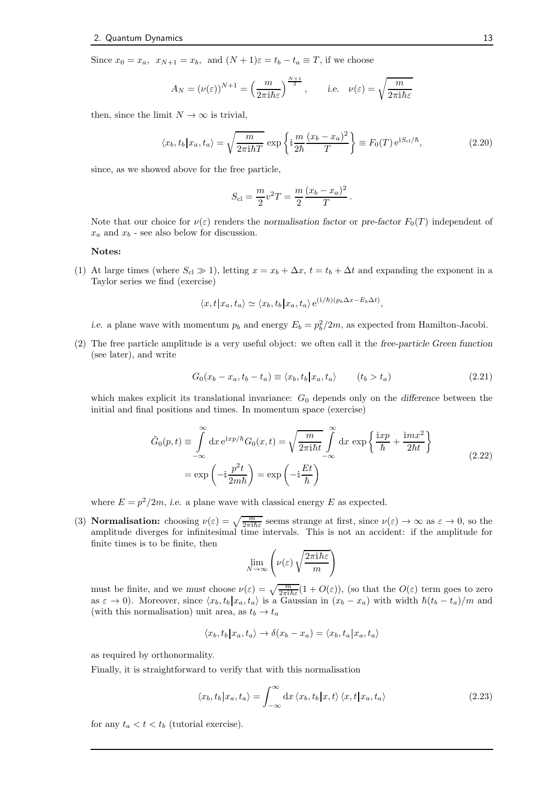Since  $x_0 = x_a$ ,  $x_{N+1} = x_b$ , and  $(N+1)\varepsilon = t_b - t_a \equiv T$ , if we choose

$$
A_N = (\nu(\varepsilon))^{N+1} = \left(\frac{m}{2\pi i\hbar\varepsilon}\right)^{\frac{N+1}{2}}, \qquad \text{i.e.} \quad \nu(\varepsilon) = \sqrt{\frac{m}{2\pi i\hbar\varepsilon}}
$$

then, since the limit  $N \to \infty$  is trivial,

$$
\langle x_b, t_b | x_a, t_a \rangle = \sqrt{\frac{m}{2\pi i \hbar T}} \exp\left\{ i \frac{m}{2\hbar} \frac{(x_b - x_a)^2}{T} \right\} \equiv F_0(T) e^{iS_{cl}/\hbar},\tag{2.20}
$$

since, as we showed above for the free particle,

$$
S_{\rm cl} = \frac{m}{2}v^2T = \frac{m}{2}\frac{(x_b - x_a)^2}{T}.
$$

Note that our choice for  $\nu(\varepsilon)$  renders the normalisation factor or pre-factor  $F_0(T)$  independent of  $x_a$  and  $x_b$  - see also below for discussion.

#### Notes:

(1) At large times (where  $S_{c} \gg 1$ ), letting  $x = x_b + \Delta x$ ,  $t = t_b + \Delta t$  and expanding the exponent in a Taylor series we find (exercise)

$$
\langle x, t | x_a, t_a \rangle \simeq \langle x_b, t_b | x_a, t_a \rangle e^{(i/\hbar)(p_b \Delta x - E_b \Delta t)},
$$

*i.e.* a plane wave with momentum  $p_b$  and energy  $E_b = p_b^2/2m$ , as expected from Hamilton-Jacobi.

(2) The free particle amplitude is a very useful object: we often call it the free-particle Green function (see later), and write

$$
G_0(x_b - x_a, t_b - t_a) \equiv \langle x_b, t_b | x_a, t_a \rangle \qquad (t_b > t_a)
$$
\n
$$
(2.21)
$$

which makes explicit its translational invariance:  $G_0$  depends only on the difference between the initial and final positions and times. In momentum space (exercise)

$$
\tilde{G}_0(p,t) \equiv \int_{-\infty}^{\infty} dx \, e^{ixp/\hbar} G_0(x,t) = \sqrt{\frac{m}{2\pi i \hbar t}} \int_{-\infty}^{\infty} dx \, \exp\left\{ \frac{ixp}{\hbar} + \frac{imx^2}{2\hbar t} \right\}
$$
\n
$$
= \exp\left(-i\frac{p^2 t}{2m\hbar}\right) = \exp\left(-i\frac{Et}{\hbar}\right)
$$
\n(2.22)

where  $E = p^2/2m$ , i.e. a plane wave with classical energy E as expected.

(3) **Normalisation:** choosing  $\nu(\varepsilon) = \sqrt{\frac{m}{2\pi i\hbar\varepsilon}}$  seems strange at first, since  $\nu(\varepsilon) \to \infty$  as  $\varepsilon \to 0$ , so the amplitude diverges for infinitesimal time intervals. This is not an accident: if the amplitude for finite times is to be finite, then

$$
\lim_{N \to \infty} \left( \nu(\varepsilon) \sqrt{\frac{2\pi i \hbar \varepsilon}{m}} \right)
$$

must be finite, and we must choose  $\nu(\varepsilon) = \sqrt{\frac{m}{2\pi i \hbar \varepsilon}}(1 + O(\varepsilon))$ , (so that the  $O(\varepsilon)$  term goes to zero as  $\varepsilon \to 0$ ). Moreover, since  $\langle x_b, t_b | x_a, t_a \rangle$  is a Gaussian in  $(x_b - x_a)$  with width  $\hbar (t_b - t_a)/m$  and (with this normalisation) unit area, as  $t_b \rightarrow t_a$ 

$$
\langle x_b, t_b | x_a, t_a \rangle \rightarrow \delta(x_b - x_a) = \langle x_b, t_a | x_a, t_a \rangle
$$

as required by orthonormality.

Finally, it is straightforward to verify that with this normalisation

$$
\langle x_b, t_b | x_a, t_a \rangle = \int_{-\infty}^{\infty} dx \, \langle x_b, t_b | x, t \rangle \, \langle x, t | x_a, t_a \rangle \tag{2.23}
$$

for any  $t_a < t < t_b$  (tutorial exercise).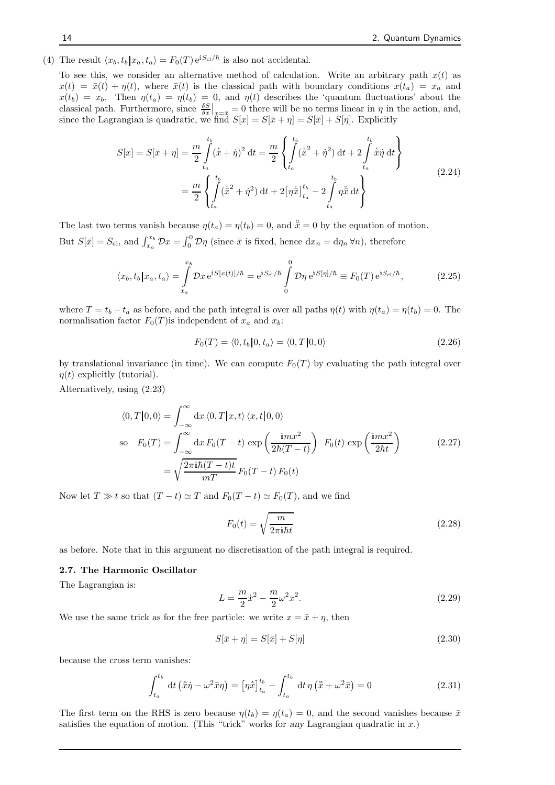(4) The result  $\langle x_b, t_b | x_a, t_a \rangle = F_0(T) e^{iS_{cl}/\hbar}$  is also not accidental.

To see this, we consider an alternative method of calculation. Write an arbitrary path  $x(t)$  as  $x(t) = \bar{x}(t) + \eta(t)$ , where  $\bar{x}(t)$  is the classical path with boundary conditions  $x(t_a) = x_a$  and  $x(t_b) = x_b$ . Then  $\eta(t_a) = \eta(t_b) = 0$ , and  $\eta(t)$  describes the 'quantum fluctuations' about the classical path. Furthermore, since  $\frac{\delta S}{\delta x}\Big|_{x=\bar{x}} = 0$  there will be no terms linear in  $\eta$  in the action, and, since the Lagrangian is quadratic, we find  $S[x] = S[\bar{x} + \eta] = S[\bar{x}] + S[\eta]$ . Explicitly

$$
S[x] = S[\bar{x} + \eta] = \frac{m}{2} \int_{t_a}^{t_b} (\dot{\bar{x}} + \dot{\eta})^2 dt = \frac{m}{2} \left\{ \int_{t_a}^{t_b} (\dot{\bar{x}}^2 + \dot{\eta}^2) dt + 2 \int_{t_a}^{t_b} \dot{\bar{x}} \dot{\eta} dt \right\}
$$
  

$$
= \frac{m}{2} \left\{ \int_{t_a}^{t_b} (\dot{\bar{x}}^2 + \dot{\eta}^2) dt + 2 [\eta \dot{\bar{x}}]_{t_a}^{t_b} - 2 \int_{t_a}^{t_b} \eta \ddot{\bar{x}} dt \right\}
$$
(2.24)

The last two terms vanish because  $\eta(t_a) = \eta(t_b) = 0$ , and  $\ddot{\bar{x}} = 0$  by the equation of motion. But  $S[\bar{x}] = S_{\text{cl}}$ , and  $\int_{x_a}^{x_b} \mathcal{D}x = \int_0^0 \mathcal{D}\eta$  (since  $\bar{x}$  is fixed, hence  $dx_n = d\eta_n \forall n$ ), therefore

$$
\langle x_b, t_b | x_a, t_a \rangle = \int_{x_a}^{x_b} \mathcal{D}x \, \mathrm{e}^{\mathrm{i} S[x(t)]/\hbar} = \mathrm{e}^{\mathrm{i} S_{\text{cl}}/\hbar} \int_{0}^{0} \mathcal{D}\eta \, \mathrm{e}^{\mathrm{i} S[\eta]/\hbar} \equiv F_0(T) \, \mathrm{e}^{\mathrm{i} S_{\text{cl}}/\hbar},\tag{2.25}
$$

where  $T = t_b - t_a$  as before, and the path integral is over all paths  $\eta(t)$  with  $\eta(t_a) = \eta(t_b) = 0$ . The normalisation factor  $F_0(T)$  is independent of  $x_a$  and  $x_b$ :

$$
F_0(T) = \langle 0, t_b | 0, t_a \rangle = \langle 0, T | 0, 0 \rangle \tag{2.26}
$$

by translational invariance (in time). We can compute  $F_0(T)$  by evaluating the path integral over  $\eta(t)$  explicitly (tutorial).

Alternatively, using (2.23)

$$
\langle 0, T | 0, 0 \rangle = \int_{-\infty}^{\infty} dx \langle 0, T | x, t \rangle \langle x, t | 0, 0 \rangle
$$
  
so  $F_0(T) = \int_{-\infty}^{\infty} dx F_0(T - t) \exp\left(\frac{imx^2}{2\hbar(T - t)}\right) F_0(t) \exp\left(\frac{imx^2}{2\hbar t}\right)$   

$$
= \sqrt{\frac{2\pi i \hbar (T - t)t}{mT}} F_0(T - t) F_0(t)
$$
 (2.27)

Now let  $T \gg t$  so that  $(T - t) \simeq T$  and  $F_0(T - t) \simeq F_0(T)$ , and we find

$$
F_0(t) = \sqrt{\frac{m}{2\pi i\hbar t}}\tag{2.28}
$$

as before. Note that in this argument no discretisation of the path integral is required.

#### 2.7. The Harmonic Oscillator

The Lagrangian is:

$$
L = \frac{m}{2}\dot{x}^2 - \frac{m}{2}\omega^2 x^2.
$$
\n(2.29)

We use the same trick as for the free particle: we write  $x = \bar{x} + \eta$ , then

$$
S[\bar{x} + \eta] = S[\bar{x}] + S[\eta]
$$
\n(2.30)

because the cross term vanishes:

$$
\int_{t_a}^{t_b} dt \left(\dot{\bar{x}}\dot{\eta} - \omega^2 \bar{x}\eta\right) = \left[\eta \dot{\bar{x}}\right]_{t_a}^{t_b} - \int_{t_a}^{t_b} dt \,\eta \left(\ddot{\bar{x}} + \omega^2 \bar{x}\right) = 0\tag{2.31}
$$

The first term on the RHS is zero because  $\eta(t_b) = \eta(t_a) = 0$ , and the second vanishes because  $\bar{x}$ satisfies the equation of motion. (This "trick" works for any Lagrangian quadratic in  $x$ .)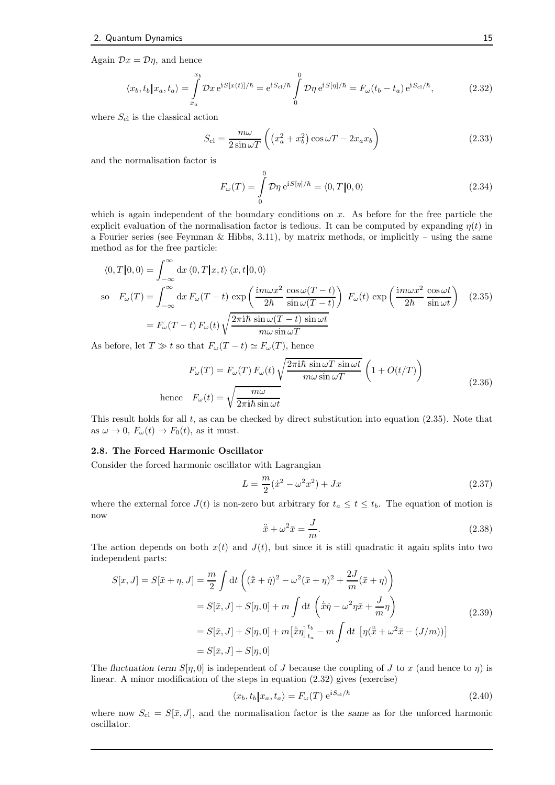Again  $\mathcal{D}x = \mathcal{D}\eta$ , and hence

$$
\langle x_b, t_b | x_a, t_a \rangle = \int_{x_a}^{x_b} \mathcal{D}x \, \mathrm{e}^{\mathrm{i} S[x(t)]/\hbar} = \mathrm{e}^{\mathrm{i} S_{\text{cl}}/\hbar} \int_{0}^{0} \mathcal{D}\eta \, \mathrm{e}^{\mathrm{i} S[\eta]/\hbar} = F_{\omega}(t_b - t_a) \, \mathrm{e}^{\mathrm{i} S_{\text{cl}}/\hbar},\tag{2.32}
$$

where  $S_{\text{cl}}$  is the classical action

$$
S_{\rm cl} = \frac{m\omega}{2\sin\omega T} \left( \left( x_a^2 + x_b^2 \right) \cos\omega T - 2x_a x_b \right) \tag{2.33}
$$

and the normalisation factor is

$$
F_{\omega}(T) = \int_{0}^{0} \mathcal{D}\eta \,\mathrm{e}^{\mathrm{i}S[\eta]/\hbar} = \langle 0, T | 0, 0 \rangle \tag{2.34}
$$

which is again independent of the boundary conditions on  $x$ . As before for the free particle the explicit evaluation of the normalisation factor is tedious. It can be computed by expanding  $\eta(t)$  in a Fourier series (see Feynman & Hibbs, 3.11), by matrix methods, or implicitly – using the same method as for the free particle:

$$
\langle 0, T | 0, 0 \rangle = \int_{-\infty}^{\infty} dx \langle 0, T | x, t \rangle \langle x, t | 0, 0 \rangle
$$
  
so  $F_{\omega}(T) = \int_{-\infty}^{\infty} dx F_{\omega}(T - t) \exp\left(\frac{im\omega x^2}{2\hbar} \frac{\cos\omega(T - t)}{\sin\omega(T - t)}\right) F_{\omega}(t) \exp\left(\frac{im\omega x^2}{2\hbar} \frac{\cos\omega t}{\sin\omega t}\right)$  (2.35)  

$$
= F_{\omega}(T - t) F_{\omega}(t) \sqrt{\frac{2\pi i \hbar \sin\omega(T - t) \sin\omega t}{m\omega \sin\omega T}}
$$

As before, let  $T \gg t$  so that  $F_{\omega}(T-t) \simeq F_{\omega}(T)$ , hence

$$
F_{\omega}(T) = F_{\omega}(T) F_{\omega}(t) \sqrt{\frac{2\pi i\hbar \sin \omega T \sin \omega t}{m\omega \sin \omega T}} \left(1 + O(t/T)\right)
$$
  
hence 
$$
F_{\omega}(t) = \sqrt{\frac{m\omega}{2\pi i\hbar \sin \omega t}}
$$
 (2.36)

This result holds for all  $t$ , as can be checked by direct substitution into equation (2.35). Note that as  $\omega \to 0$ ,  $F_{\omega}(t) \to F_0(t)$ , as it must.

#### 2.8. The Forced Harmonic Oscillator

Consider the forced harmonic oscillator with Lagrangian

$$
L = \frac{m}{2}(\dot{x}^2 - \omega^2 x^2) + Jx \tag{2.37}
$$

where the external force  $J(t)$  is non-zero but arbitrary for  $t_a \leq t \leq t_b$ . The equation of motion is now

$$
\ddot{\bar{x}} + \omega^2 \bar{x} = \frac{J}{m}.\tag{2.38}
$$

The action depends on both  $x(t)$  and  $J(t)$ , but since it is still quadratic it again splits into two independent parts:

$$
S[x, J] = S[\bar{x} + \eta, J] = \frac{m}{2} \int dt \left( (\dot{\bar{x}} + \dot{\eta})^2 - \omega^2 (\bar{x} + \eta)^2 + \frac{2J}{m} (\bar{x} + \eta) \right)
$$
  
\n
$$
= S[\bar{x}, J] + S[\eta, 0] + m \int dt \left( \dot{\bar{x}} \dot{\eta} - \omega^2 \eta \bar{x} + \frac{J}{m} \eta \right)
$$
  
\n
$$
= S[\bar{x}, J] + S[\eta, 0] + m [\dot{\bar{x}} \eta]_{t_a}^{t_b} - m \int dt \left[ \eta (\ddot{\bar{x}} + \omega^2 \bar{x} - (J/m)) \right]
$$
  
\n
$$
= S[\bar{x}, J] + S[\eta, 0]
$$
 (2.39)

The fluctuation term  $S[\eta, 0]$  is independent of J because the coupling of J to x (and hence to  $\eta$ ) is linear. A minor modification of the steps in equation (2.32) gives (exercise)

$$
\langle x_b, t_b | x_a, t_a \rangle = F_{\omega}(T) e^{iS_{\text{cl}}/\hbar}
$$
\n(2.40)

where now  $S_{\rm cl} = S[\bar{x}, J]$ , and the normalisation factor is the same as for the unforced harmonic oscillator.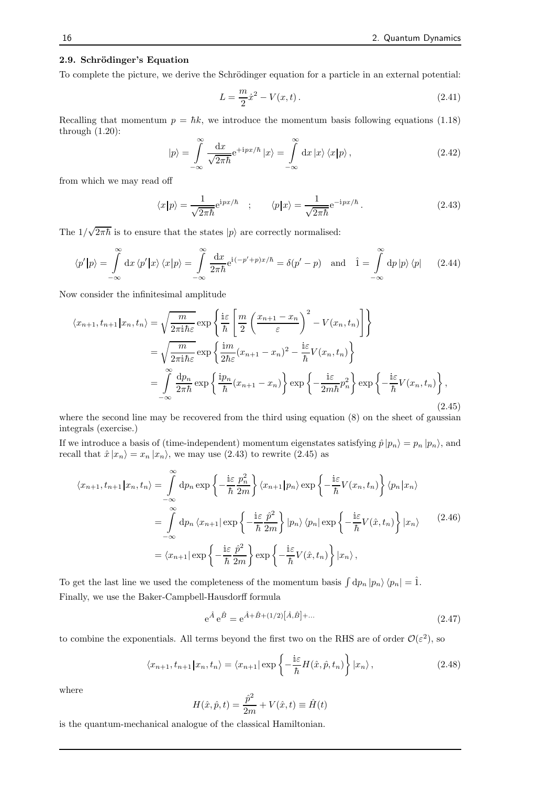#### 2.9. Schrödinger's Equation

To complete the picture, we derive the Schrödinger equation for a particle in an external potential:

$$
L = \frac{m}{2}\dot{x}^2 - V(x, t). \tag{2.41}
$$

Recalling that momentum  $p = \hbar k$ , we introduce the momentum basis following equations (1.18) through (1.20):

$$
|p\rangle = \int_{-\infty}^{\infty} \frac{\mathrm{d}x}{\sqrt{2\pi\hbar}} e^{+ipx/\hbar} |x\rangle = \int_{-\infty}^{\infty} \mathrm{d}x |x\rangle \langle x|p\rangle, \qquad (2.42)
$$

from which we may read off

$$
\langle x|p\rangle = \frac{1}{\sqrt{2\pi\hbar}} e^{ipx/\hbar} \quad ; \qquad \langle p|x\rangle = \frac{1}{\sqrt{2\pi\hbar}} e^{-ipx/\hbar} \,. \tag{2.43}
$$

The  $1/\sqrt{2\pi\hbar}$  is to ensure that the states  $|p\rangle$  are correctly normalised:

$$
\langle p'|p\rangle = \int_{-\infty}^{\infty} dx \langle p'|x\rangle \langle x|p\rangle = \int_{-\infty}^{\infty} \frac{dx}{2\pi\hbar} e^{i(-p'+p)x/\hbar} = \delta(p'-p) \text{ and } \hat{1} = \int_{-\infty}^{\infty} dp |p\rangle \langle p| \qquad (2.44)
$$

Now consider the infinitesimal amplitude

$$
\langle x_{n+1}, t_{n+1} | x_n, t_n \rangle = \sqrt{\frac{m}{2\pi i \hbar \varepsilon}} \exp \left\{ \frac{i\varepsilon}{\hbar} \left[ \frac{m}{2} \left( \frac{x_{n+1} - x_n}{\varepsilon} \right)^2 - V(x_n, t_n) \right] \right\}
$$
  

$$
= \sqrt{\frac{m}{2\pi i \hbar \varepsilon}} \exp \left\{ \frac{i m}{2\hbar \varepsilon} (x_{n+1} - x_n)^2 - \frac{i\varepsilon}{\hbar} V(x_n, t_n) \right\}
$$
  

$$
= \int_{-\infty}^{\infty} \frac{dp_n}{2\pi\hbar} \exp \left\{ \frac{i p_n}{\hbar} (x_{n+1} - x_n) \right\} \exp \left\{ -\frac{i\varepsilon}{2m\hbar} p_n^2 \right\} \exp \left\{ -\frac{i\varepsilon}{\hbar} V(x_n, t_n) \right\},
$$
(2.45)

where the second line may be recovered from the third using equation (8) on the sheet of gaussian integrals (exercise.)

If we introduce a basis of (time-independent) momentum eigenstates satisfying  $\hat{p} |p_n\rangle = p_n |p_n\rangle$ , and recall that  $\hat{x} |x_n\rangle = x_n |x_n\rangle$ , we may use (2.43) to rewrite (2.45) as

$$
\langle x_{n+1}, t_{n+1} | x_n, t_n \rangle = \int_{-\infty}^{\infty} \mathrm{d}p_n \exp \left\{ -\frac{\mathrm{i}\varepsilon}{\hbar} \frac{p_n^2}{2m} \right\} \langle x_{n+1} | p_n \rangle \exp \left\{ -\frac{\mathrm{i}\varepsilon}{\hbar} V(x_n, t_n) \right\} \langle p_n | x_n \rangle
$$

$$
= \int_{-\infty}^{\infty} \mathrm{d}p_n \langle x_{n+1} | \exp \left\{ -\frac{\mathrm{i}\varepsilon}{\hbar} \frac{\hat{p}^2}{2m} \right\} | p_n \rangle \langle p_n | \exp \left\{ -\frac{\mathrm{i}\varepsilon}{\hbar} V(\hat{x}, t_n) \right\} | x_n \rangle \tag{2.46}
$$

$$
= \langle x_{n+1} | \exp \left\{ -\frac{\mathrm{i}\varepsilon}{\hbar} \frac{\hat{p}^2}{2m} \right\} \exp \left\{ -\frac{\mathrm{i}\varepsilon}{\hbar} V(\hat{x}, t_n) \right\} | x_n \rangle,
$$

To get the last line we used the completeness of the momentum basis  $\int dp_n |p_n\rangle \langle p_n| = \hat{1}$ . Finally, we use the Baker-Campbell-Hausdorff formula

$$
e^{\hat{A}} e^{\hat{B}} = e^{\hat{A} + \hat{B} + (1/2)\left[\hat{A}, \hat{B}\right] + \dots}
$$
\n(2.47)

to combine the exponentials. All terms beyond the first two on the RHS are of order  $\mathcal{O}(\varepsilon^2)$ , so

$$
\langle x_{n+1}, t_{n+1} | x_n, t_n \rangle = \langle x_{n+1} | \exp \left\{ -\frac{i\varepsilon}{\hbar} H(\hat{x}, \hat{p}, t_n) \right\} | x_n \rangle, \qquad (2.48)
$$

where

$$
H(\hat{x}, \hat{p}, t) = \frac{\hat{p}^2}{2m} + V(\hat{x}, t) \equiv \hat{H}(t)
$$

is the quantum-mechanical analogue of the classical Hamiltonian.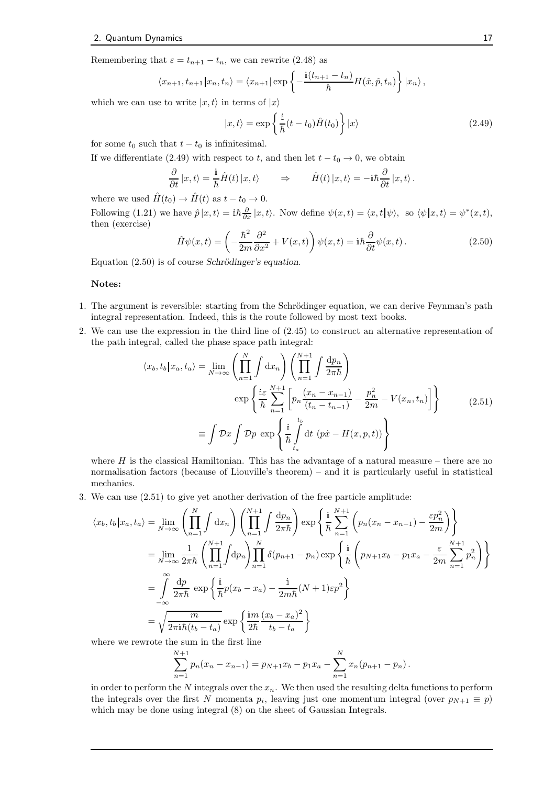Remembering that  $\varepsilon = t_{n+1} - t_n$ , we can rewrite (2.48) as

$$
\langle x_{n+1}, t_{n+1} | x_n, t_n \rangle = \langle x_{n+1} | \exp \left\{-\frac{\mathrm{i} (t_{n+1} - t_n)}{\hbar} H(\hat{x}, \hat{p}, t_n)\right\} | x_n \rangle,
$$

which we can use to write  $|x, t\rangle$  in terms of  $|x\rangle$ 

$$
|x,t\rangle = \exp\left\{\frac{i}{\hbar}(t-t_0)\hat{H}(t_0)\right\}|x\rangle
$$
\n(2.49)

for some  $t_0$  such that  $t - t_0$  is infinitesimal.

If we differentiate (2.49) with respect to t, and then let  $t - t_0 \rightarrow 0$ , we obtain

$$
\frac{\partial}{\partial t} |x, t\rangle = \frac{\mathrm{i}}{\hbar} \hat{H}(t) |x, t\rangle \qquad \Rightarrow \qquad \hat{H}(t) |x, t\rangle = -\mathrm{i} \hbar \frac{\partial}{\partial t} |x, t\rangle.
$$

where we used  $\hat{H}(t_0) \rightarrow \hat{H}(t)$  as  $t - t_0 \rightarrow 0$ .

Following (1.21) we have  $\hat{p}|x,t\rangle = i\hbar \frac{\partial}{\partial x}|x,t\rangle$ . Now define  $\psi(x,t) = \langle x,t|\psi\rangle$ , so  $\langle \psi|x,t\rangle = \psi^*(x,t)$ , then (exercise)

$$
\hat{H}\psi(x,t) = \left(-\frac{\hbar^2}{2m}\frac{\partial^2}{\partial x^2} + V(x,t)\right)\psi(x,t) = i\hbar\frac{\partial}{\partial t}\psi(x,t). \tag{2.50}
$$

Equation  $(2.50)$  is of course Schrödinger's equation.

#### Notes:

- 1. The argument is reversible: starting from the Schrödinger equation, we can derive Feynman's path integral representation. Indeed, this is the route followed by most text books.
- 2. We can use the expression in the third line of (2.45) to construct an alternative representation of the path integral, called the phase space path integral:

$$
\langle x_b, t_b | x_a, t_a \rangle = \lim_{N \to \infty} \left( \prod_{n=1}^N \int dx_n \right) \left( \prod_{n=1}^{N+1} \int \frac{dp_n}{2\pi \hbar} \right)
$$
  

$$
\exp \left\{ \frac{i\varepsilon}{\hbar} \sum_{n=1}^{N+1} \left[ p_n \frac{(x_n - x_{n-1})}{(t_n - t_{n-1})} - \frac{p_n^2}{2m} - V(x_n, t_n) \right] \right\}
$$
  

$$
\equiv \int \mathcal{D}x \int \mathcal{D}p \exp \left\{ \frac{i}{\hbar} \int_{t_a}^{t_b} dt \left( p\dot{x} - H(x, p, t) \right) \right\}
$$
 (2.51)

where  $H$  is the classical Hamiltonian. This has the advantage of a natural measure – there are no normalisation factors (because of Liouville's theorem) – and it is particularly useful in statistical mechanics.

3. We can use (2.51) to give yet another derivation of the free particle amplitude:

$$
\langle x_b, t_b | x_a, t_a \rangle = \lim_{N \to \infty} \left( \prod_{n=1}^N \int dx_n \right) \left( \prod_{n=1}^{N+1} \int \frac{dp_n}{2\pi \hbar} \right) \exp \left\{ \frac{i}{\hbar} \sum_{n=1}^{N+1} \left( p_n (x_n - x_{n-1}) - \frac{\varepsilon p_n^2}{2m} \right) \right\}
$$
  
\n
$$
= \lim_{N \to \infty} \frac{1}{2\pi \hbar} \left( \prod_{n=1}^{N+1} \int dp_n \right) \prod_{n=1}^N \delta(p_{n+1} - p_n) \exp \left\{ \frac{i}{\hbar} \left( p_{N+1} x_b - p_1 x_a - \frac{\varepsilon}{2m} \sum_{n=1}^{N+1} p_n^2 \right) \right\}
$$
  
\n
$$
= \int_{-\infty}^{\infty} \frac{dp}{2\pi \hbar} \exp \left\{ \frac{i}{\hbar} p(x_b - x_a) - \frac{i}{2m\hbar} (N+1) \varepsilon p^2 \right\}
$$
  
\n
$$
= \sqrt{\frac{m}{2\pi \hbar (t_b - t_a)}} \exp \left\{ \frac{im}{2\hbar} \frac{(x_b - x_a)^2}{t_b - t_a} \right\}
$$

where we rewrote the sum in the first line

$$
\sum_{n=1}^{N+1} p_n(x_n - x_{n-1}) = p_{N+1}x_b - p_1x_a - \sum_{n=1}^{N} x_n(p_{n+1} - p_n).
$$

in order to perform the N integrals over the  $x_n$ . We then used the resulting delta functions to perform the integrals over the first N momenta  $p_i$ , leaving just one momentum integral (over  $p_{N+1} \equiv p$ ) which may be done using integral (8) on the sheet of Gaussian Integrals.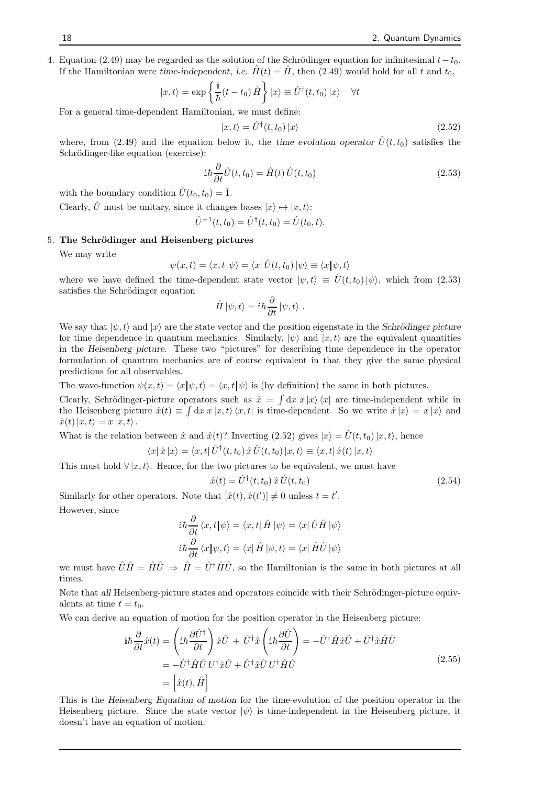4. Equation (2.49) may be regarded as the solution of the Schrödinger equation for infinitesimal  $t-t_0$ . If the Hamiltonian were time-independent, i.e.  $\hat{H}(t) = \hat{H}$ , then (2.49) would hold for all t and  $t_0$ ,

$$
|x,t\rangle = \exp\left\{\frac{\mathrm{i}}{\hbar}(t-t_0)\hat{H}\right\}|x\rangle \equiv \hat{U}^{\dagger}(t,t_0)|x\rangle \quad \forall t
$$

For a general time-dependent Hamiltonian, we must define:

$$
|x,t\rangle = \hat{U}^{\dagger}(t,t_0) |x\rangle \tag{2.52}
$$

where, from (2.49) and the equation below it, the time evolution operator  $\hat{U}(t, t_0)$  satisfies the Schrödinger-like equation (exercise):

$$
i\hbar \frac{\partial}{\partial t}\hat{U}(t, t_0) = \hat{H}(t)\,\hat{U}(t, t_0)
$$
\n(2.53)

with the boundary condition  $\hat{U}(t_0, t_0) = \hat{1}$ .

Clearly,  $\hat{U}$  must be unitary, since it changes bases  $|x\rangle \mapsto |x, t\rangle$ :

$$
\hat{U}^{-1}(t,t_0) = \hat{U}^{\dagger}(t,t_0) = \hat{U}(t_0,t).
$$

#### 5. The Schrödinger and Heisenberg pictures

We may write

$$
\psi(x,t) = \langle x, t | \psi \rangle = \langle x | \hat{U}(t,t_0) | \psi \rangle \equiv \langle x | \psi, t \rangle
$$

where we have defined the time-dependent state vector  $|\psi, t\rangle \equiv \hat{U}(t, t_0)|\psi\rangle$ , which from (2.53) satisfies the Schrödinger equation

$$
\hat{H}|\psi,t\rangle = \mathrm{i}\hbar\frac{\partial}{\partial t}|\psi,t\rangle.
$$

We say that  $|\psi, t\rangle$  and  $|x\rangle$  are the state vector and the position eigenstate in the Schrödinger picture for time dependence in quantum mechanics. Similarly,  $|\psi\rangle$  and  $|x, t\rangle$  are the equivalent quantities in the Heisenberg picture. These two "pictures" for describing time dependence in the operator formulation of quantum mechanics are of course equivalent in that they give the same physical predictions for all observables.

The wave-function  $\psi(x, t) = \langle x | \psi, t \rangle = \langle x, t | \psi \rangle$  is (by definition) the same in both pictures.

Clearly, Schrödinger-picture operators such as  $\hat{x} = \int dx x |x\rangle \langle x|$  are time-independent while in the Heisenberg picture  $\hat{x}(t) \equiv \int dx \, x |x, t \rangle \langle x, t|$  is time-dependent. So we write  $\hat{x} |x \rangle = x |x \rangle$  and  $\hat{x}(t)|x, t\rangle = x |x, t\rangle.$ 

What is the relation between  $\hat{x}$  and  $\hat{x}(t)$ ? Inverting (2.52) gives  $|x\rangle = \hat{U}(t, t_0)|x, t\rangle$ , hence

$$
\langle x | \hat{x} | x \rangle = \langle x, t | \hat{U}^{\dagger}(t, t_0) \hat{x} \hat{U}(t, t_0) | x, t \rangle \equiv \langle x, t | \hat{x}(t) | x, t \rangle
$$

This must hold  $\forall |x, t\rangle$ . Hence, for the two pictures to be equivalent, we must have

$$
\hat{x}(t) = \hat{U}^{\dagger}(t, t_0) \,\hat{x}\,\hat{U}(t, t_0) \tag{2.54}
$$

Similarly for other operators. Note that  $[\hat{x}(t), \hat{x}(t')] \neq 0$  unless  $t = t'$ . However, since

$$
\mathrm{i}\hbar\frac{\partial}{\partial t}\left\langle x,t|\psi\right\rangle = \left\langle x,t|\hat{H}|\psi\right\rangle = \left\langle x|\hat{U}\hat{H}|\psi\right\rangle
$$

$$
\mathrm{i}\hbar\frac{\partial}{\partial t}\left\langle x|\psi,t\right\rangle = \left\langle x|\hat{H}|\psi,t\right\rangle = \left\langle x|\hat{H}\hat{U}|\psi\right\rangle
$$

we must have  $\hat{U}\hat{H} = \hat{H}\hat{U} \Rightarrow \hat{H} = \hat{U}^{\dagger}\hat{H}\hat{U}$ , so the Hamiltonian is the same in both pictures at all times.

Note that all Heisenberg-picture states and operators coincide with their Schrödinger-picture equivalents at time  $t = t_0$ .

We can derive an equation of motion for the position operator in the Heisenberg picture:

$$
i\hbar \frac{\partial}{\partial t}\hat{x}(t) = \left(i\hbar \frac{\partial \hat{U}^{\dagger}}{\partial t}\right)\hat{x}\hat{U} + \hat{U}^{\dagger}\hat{x}\left(i\hbar \frac{\partial \hat{U}}{\partial t}\right) = -\hat{U}^{\dagger}\hat{H}\hat{x}\hat{U} + \hat{U}^{\dagger}\hat{x}\hat{H}\hat{U}
$$
  

$$
= -\hat{U}^{\dagger}\hat{H}\hat{U}U^{\dagger}\hat{x}\hat{U} + \hat{U}^{\dagger}\hat{x}\hat{U}U^{\dagger}\hat{H}\hat{U}
$$
  

$$
= \left[\hat{x}(t), \hat{H}\right]
$$
(2.55)

This is the Heisenberg Equation of motion for the time-evolution of the position operator in the Heisenberg picture. Since the state vector  $|\psi\rangle$  is time-independent in the Heisenberg picture, it doesn't have an equation of motion.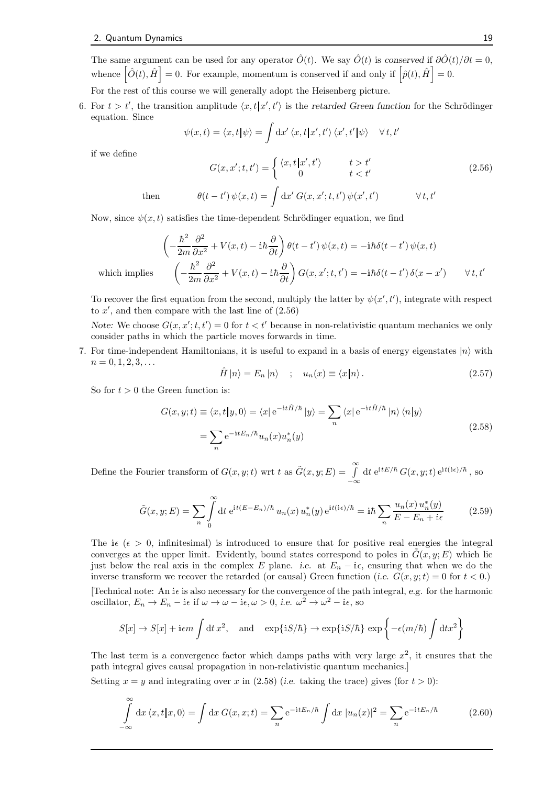The same argument can be used for any operator  $\hat{O}(t)$ . We say  $\hat{O}(t)$  is conserved if  $\partial \hat{O}(t)/\partial t = 0$ , whence  $\left[\hat{O}(t),\hat{H}\right]=0$ . For example, momentum is conserved if and only if  $\left[\hat{p}(t),\hat{H}\right]=0$ .

For the rest of this course we will generally adopt the Heisenberg picture.

6. For  $t > t'$ , the transition amplitude  $\langle x, t | x', t' \rangle$  is the retarded Green function for the Schrödinger equation. Since

$$
\psi(x,t) = \langle x,t | \psi \rangle = \int \mathrm{d}x' \langle x,t | x',t' \rangle \langle x',t' | \psi \rangle \quad \forall t,t'
$$

if we define

$$
G(x, x'; t, t') = \begin{cases} \langle x, t | x', t' \rangle & t > t' \\ 0 & t < t' \end{cases}
$$
 (2.56)

then 
$$
\theta(t-t')\,\psi(x,t) = \int \mathrm{d}x' \, G(x,x';t,t')\,\psi(x',t') \qquad \forall\, t,t'
$$

Now, since  $\psi(x, t)$  satisfies the time-dependent Schrödinger equation, we find

$$
\left(-\frac{\hbar^2}{2m}\frac{\partial^2}{\partial x^2} + V(x,t) - i\hbar\frac{\partial}{\partial t}\right)\theta(t-t')\psi(x,t) = -i\hbar\delta(t-t')\psi(x,t)
$$

$$
\left(-\frac{\hbar^2}{2m}\frac{\partial^2}{\partial x^2} + V(x,t) - i\hbar\frac{\partial}{\partial t}\right)G(x,x';t,t') = -i\hbar\delta(t-t')\delta(x-x') \qquad \forall t,t'
$$

which implies

To recover the first equation from the second, multiply the latter by  $\psi(x', t')$ , integrate with respect to  $x'$ , and then compare with the last line of  $(2.56)$ 

Note: We choose  $G(x, x'; t, t') = 0$  for  $t < t'$  because in non-relativistic quantum mechanics we only consider paths in which the particle moves forwards in time.

7. For time-independent Hamiltonians, it is useful to expand in a basis of energy eigenstates  $|n\rangle$  with  $n = 0, 1, 2, 3, \ldots$ 

$$
\hat{H} |n\rangle = E_n |n\rangle \quad ; \quad u_n(x) \equiv \langle x | n \rangle. \tag{2.57}
$$

So for  $t > 0$  the Green function is:

$$
G(x, y; t) \equiv \langle x, t | y, 0 \rangle = \langle x | e^{-it\hat{H}/\hbar} | y \rangle = \sum_{n} \langle x | e^{-it\hat{H}/\hbar} | n \rangle \langle n | y \rangle
$$

$$
= \sum_{n} e^{-itE_{n}/\hbar} u_{n}(x) u_{n}^{*}(y)
$$
(2.58)

Define the Fourier transform of  $G(x, y; t)$  wrt t as  $\tilde{G}(x, y; E) = \int_{0}^{\infty}$ −∞  $\mathrm{d} t\ \mathrm{e}^{\mathrm{i} t E/\hbar}\, G(x,y;t)\, \mathrm{e}^{\mathrm{i} t (\mathrm{i}\epsilon)/\hbar}$  , so

$$
\tilde{G}(x, y; E) = \sum_{n} \int_{0}^{\infty} dt \ e^{it(E - E_n)/\hbar} u_n(x) u_n^*(y) e^{it(i\epsilon)/\hbar} = i\hbar \sum_{n} \frac{u_n(x) u_n^*(y)}{E - E_n + i\epsilon}
$$
(2.59)

The i $\epsilon \ (\epsilon > 0$ , infinitesimal) is introduced to ensure that for positive real energies the integral converges at the upper limit. Evidently, bound states correspond to poles in  $\tilde{G}(x, y; E)$  which lie just below the real axis in the complex E plane. i.e. at  $E_n - i\epsilon$ , ensuring that when we do the inverse transform we recover the retarded (or causal) Green function (i.e.  $G(x, y; t) = 0$  for  $t < 0$ .) [Technical note: An i $\epsilon$  is also necessary for the convergence of the path integral, e.g. for the harmonic oscillator,  $E_n \to E_n - i\epsilon$  if  $\omega \to \omega - i\epsilon, \omega > 0$ , i.e.  $\omega^2 \to \omega^2 - i\epsilon$ , so

$$
S[x] \to S[x] + i\epsilon m \int dt \, x^2, \quad \text{and} \quad \exp\{iS/\hbar\} \to \exp\{iS/\hbar\} \, \exp\left\{-\epsilon (m/\hbar) \int dt \, x^2\right\}
$$

The last term is a convergence factor which damps paths with very large  $x^2$ , it ensures that the path integral gives causal propagation in non-relativistic quantum mechanics.]

Setting  $x = y$  and integrating over x in (2.58) (*i.e.* taking the trace) gives (for  $t > 0$ ):

$$
\int_{-\infty}^{\infty} dx \langle x, t | x, 0 \rangle = \int dx G(x, x; t) = \sum_{n} e^{-itE_n/\hbar} \int dx |u_n(x)|^2 = \sum_{n} e^{-itE_n/\hbar}
$$
(2.60)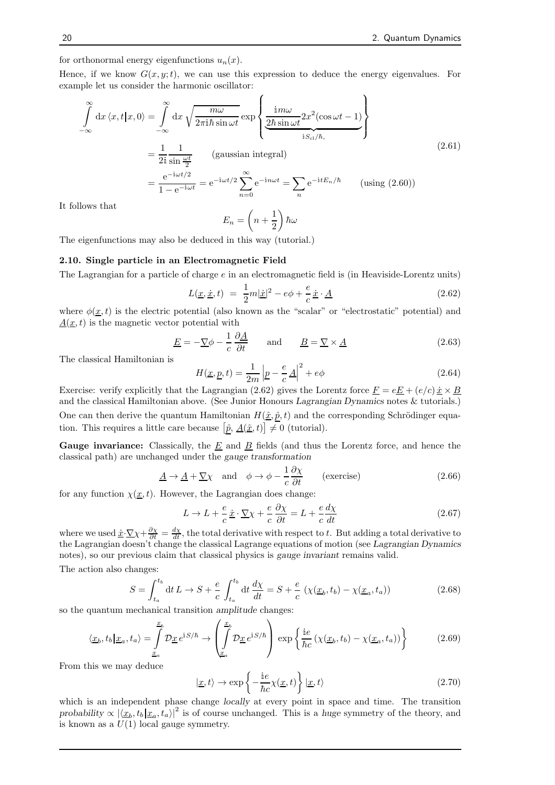for orthonormal energy eigenfunctions  $u_n(x)$ .

Hence, if we know  $G(x, y; t)$ , we can use this expression to deduce the energy eigenvalues. For example let us consider the harmonic oscillator:

$$
\int_{-\infty}^{\infty} dx \langle x, t | x, 0 \rangle = \int_{-\infty}^{\infty} dx \sqrt{\frac{m\omega}{2\pi i\hbar \sin \omega t}} \exp \left\{ \frac{i m\omega}{\frac{2\hbar \sin \omega t}{i S_{\text{cl}}/\hbar}} 2x^2 (\cos \omega t - 1) \right\}
$$
\n
$$
= \frac{1}{2i} \frac{1}{\sin \frac{\omega t}{2}} \qquad \text{(gaussian integral)}
$$
\n
$$
= \frac{e^{-i\omega t/2}}{1 - e^{-i\omega t}} = e^{-i\omega t/2} \sum_{n=0}^{\infty} e^{-in\omega t} = \sum_{n} e^{-i t E_n/\hbar} \qquad \text{(using (2.60))}
$$
\n
$$
\text{lows that}
$$
\n
$$
\left( \frac{1}{\sqrt{2\pi i \omega t}} \right)
$$

It fol

$$
E_n=\left(n+\frac{1}{2}\right)\hbar\omega
$$

The eigenfunctions may also be deduced in this way (tutorial.)

#### 2.10. Single particle in an Electromagnetic Field

The Lagrangian for a particle of charge  $e$  in an electromagnetic field is (in Heaviside-Lorentz units)

$$
L(\underline{x}, \dot{\underline{x}}, t) = \frac{1}{2}m|\dot{\underline{x}}|^2 - e\phi + \frac{e}{c}\dot{\underline{x}} \cdot \underline{A}
$$
\n(2.62)

where  $\phi(\underline{x},t)$  is the electric potential (also known as the "scalar" or "electrostatic" potential) and  $\underline{A}(\underline{x}, t)$  is the magnetic vector potential with

$$
\underline{E} = -\nabla \phi - \frac{1}{c} \frac{\partial \underline{A}}{\partial t} \quad \text{and} \quad \underline{B} = \nabla \times \underline{A} \tag{2.63}
$$

The classical Hamiltonian is

$$
H(\underline{x}, \underline{p}, t) = \frac{1}{2m} \left| \underline{p} - \frac{e}{c} \underline{A} \right|^2 + e\phi \tag{2.64}
$$

Exercise: verify explicitly that the Lagrangian (2.62) gives the Lorentz force  $\underline{F} = e\underline{E} + (e/c)\dot{x} \times \underline{B}$ and the classical Hamiltonian above. (See Junior Honours Lagrangian Dynamics notes & tutorials.) One can then derive the quantum Hamiltonian  $H(\hat{\underline{x}}, \hat{p}, t)$  and the corresponding Schrödinger equation. This requires a little care because  $\left[\underline{\hat{p}}, \underline{A}(\underline{\hat{x}}, t)\right] \neq 0$  (tutorial).

Gauge invariance: Classically, the  $E$  and  $B$  fields (and thus the Lorentz force, and hence the classical path) are unchanged under the gauge transformation

$$
\underline{A} \to \underline{A} + \underline{\nabla}\chi \quad \text{and} \quad \phi \to \phi - \frac{1}{c}\frac{\partial \chi}{\partial t} \qquad \text{(exercise)} \tag{2.66}
$$

for any function  $\chi(\underline{x}, t)$ . However, the Lagrangian does change:

$$
L \to L + \frac{e}{c} \underline{\dot{x}} \cdot \underline{\nabla} \chi + \frac{e}{c} \frac{\partial \chi}{\partial t} = L + \frac{e}{c} \frac{d\chi}{dt}
$$
 (2.67)

where we used  $\underline{\dot{x}} \cdot \nabla \chi + \frac{\partial \chi}{\partial t} = \frac{d\chi}{dt}$ , the total derivative with respect to t. But adding a total derivative to the Lagrangian doesn't change the classical Lagrange equations of motion (see Lagrangian Dynamics notes), so our previous claim that classical physics is gauge invariant remains valid.

The action also changes:

$$
S = \int_{t_a}^{t_b} dt L \to S + \frac{e}{c} \int_{t_a}^{t_b} dt \frac{d\chi}{dt} = S + \frac{e}{c} \left( \chi(\underline{x}_b, t_b) - \chi(\underline{x}_a, t_a) \right)
$$
(2.68)

so the quantum mechanical transition amplitude changes:

$$
\langle \underline{x}_b, t_b | \underline{x}_a, t_a \rangle = \int_{\underline{x}_a}^{\underline{x}_b} \mathcal{D} \underline{x} \, e^{iS/\hbar} \to \left( \int_{\underline{x}_a}^{\underline{x}_b} \mathcal{D} \underline{x} \, e^{iS/\hbar} \right) \exp \left\{ \frac{i e}{\hbar c} \left( \chi(\underline{x}_b, t_b) - \chi(\underline{x}_a, t_a) \right) \right\} \tag{2.69}
$$

From this we may deduce

$$
|\underline{x},t\rangle \to \exp\left\{-\frac{ie}{\hbar c}\chi(\underline{x},t)\right\}|\underline{x},t\rangle
$$
\n(2.70)

which is an independent phase change *locally* at every point in space and time. The transition probability  $\propto |\langle x_b, t_b | x_a, t_a \rangle|^2$  is of course unchanged. This is a huge symmetry of the theory, and is known as a  $U(1)$  local gauge symmetry.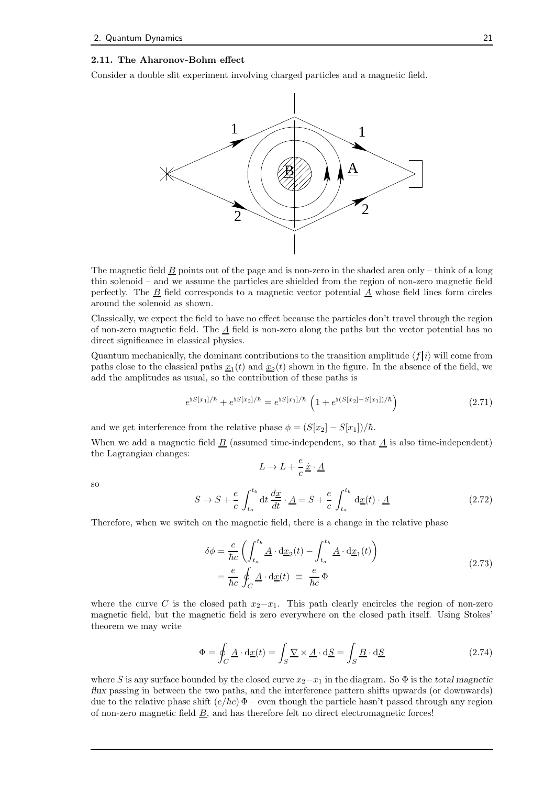#### 2.11. The Aharonov-Bohm effect

Consider a double slit experiment involving charged particles and a magnetic field.



The magnetic field  $\underline{B}$  points out of the page and is non-zero in the shaded area only – think of a long thin solenoid – and we assume the particles are shielded from the region of non-zero magnetic field perfectly. The B field corresponds to a magnetic vector potential A whose field lines form circles around the solenoid as shown.

Classically, we expect the field to have no effect because the particles don't travel through the region of non-zero magnetic field. The  $\underline{A}$  field is non-zero along the paths but the vector potential has no direct significance in classical physics.

Quantum mechanically, the dominant contributions to the transition amplitude  $\langle f | i \rangle$  will come from paths close to the classical paths  $\underline{x}_1(t)$  and  $\underline{x}_2(t)$  shown in the figure. In the absence of the field, we add the amplitudes as usual, so the contribution of these paths is

$$
e^{iS[x_1]/\hbar} + e^{iS[x_2]/\hbar} = e^{iS[x_1]/\hbar} \left(1 + e^{i(S[x_2] - S[x_1])/\hbar}\right)
$$
\n(2.71)

and we get interference from the relative phase  $\phi = (S[x_2] - S[x_1])/\hbar$ .

When we add a magnetic field  $\underline{B}$  (assumed time-independent, so that  $\underline{A}$  is also time-independent) the Lagrangian changes:

$$
L \to L + \frac{e}{c} \underline{\dot{x}} \cdot \underline{A}
$$

so

$$
S \to S + \frac{e}{c} \int_{t_a}^{t_b} dt \frac{dx}{dt} \cdot \underline{A} = S + \frac{e}{c} \int_{t_a}^{t_b} d\underline{x}(t) \cdot \underline{A}
$$
 (2.72)

Therefore, when we switch on the magnetic field, there is a change in the relative phase

$$
\delta\phi = \frac{e}{\hbar c} \left( \int_{t_a}^{t_b} \underline{A} \cdot d\underline{x}_2(t) - \int_{t_a}^{t_b} \underline{A} \cdot d\underline{x}_1(t) \right)
$$
  
=  $\frac{e}{\hbar c} \oint_C \underline{A} \cdot d\underline{x}(t) \equiv \frac{e}{\hbar c} \Phi$  (2.73)

where the curve C is the closed path  $x_2-x_1$ . This path clearly encircles the region of non-zero magnetic field, but the magnetic field is zero everywhere on the closed path itself. Using Stokes' theorem we may write

$$
\Phi = \oint_C \underline{A} \cdot d\underline{x}(t) = \int_S \underline{\nabla} \times \underline{A} \cdot d\underline{S} = \int_S \underline{B} \cdot d\underline{S}
$$
\n(2.74)

where S is any surface bounded by the closed curve  $x_2-x_1$  in the diagram. So  $\Phi$  is the total magnetic flux passing in between the two paths, and the interference pattern shifts upwards (or downwards) due to the relative phase shift  $(e/\hbar c) \Phi$  – even though the particle hasn't passed through any region of non-zero magnetic field  $\underline{B}$ , and has therefore felt no direct electromagnetic forces!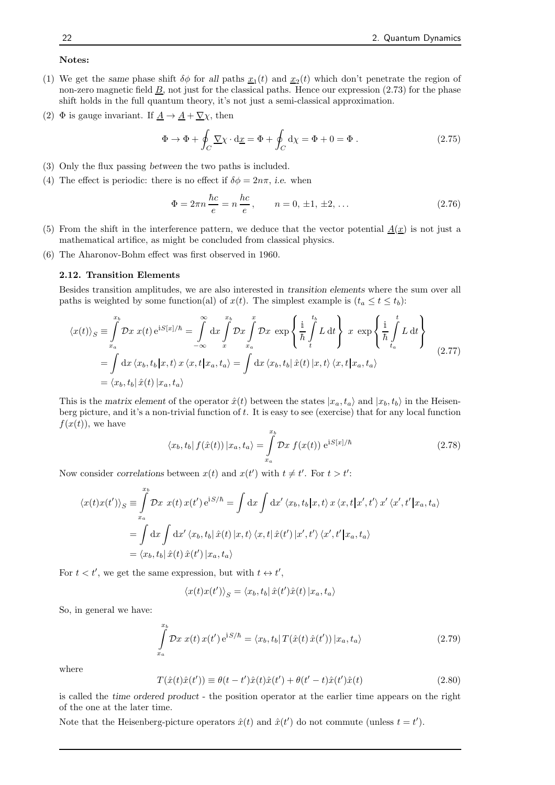#### Notes:

- (1) We get the same phase shift  $\delta\phi$  for all paths  $\underline{x}_1(t)$  and  $\underline{x}_2(t)$  which don't penetrate the region of non-zero magnetic field  $\underline{B}$ , not just for the classical paths. Hence our expression (2.73) for the phase shift holds in the full quantum theory, it's not just a semi-classical approximation.
- (2)  $\Phi$  is gauge invariant. If  $\underline{A} \to \underline{A} + \underline{\nabla} \chi$ , then

$$
\Phi \to \Phi + \oint_C \underline{\nabla} \chi \cdot d\underline{x} = \Phi + \oint_C d\chi = \Phi + 0 = \Phi.
$$
 (2.75)

- (3) Only the flux passing between the two paths is included.
- (4) The effect is periodic: there is no effect if  $\delta \phi = 2n\pi$ , *i.e.* when

$$
\Phi = 2\pi n \frac{\hbar c}{e} = n \frac{hc}{e}, \qquad n = 0, \pm 1, \pm 2, \dots
$$
 (2.76)

- (5) From the shift in the interference pattern, we deduce that the vector potential  $\underline{A}(\underline{x})$  is not just a mathematical artifice, as might be concluded from classical physics.
- (6) The Aharonov-Bohm effect was first observed in 1960.

#### 2.12. Transition Elements

Besides transition amplitudes, we are also interested in transition elements where the sum over all paths is weighted by some function(al) of  $x(t)$ . The simplest example is  $(t_a \le t \le t_b)$ :

$$
\langle x(t) \rangle_{S} \equiv \int_{x_a}^{x_b} \mathcal{D}x \ x(t) e^{iS[x]/\hbar} = \int_{-\infty}^{\infty} dx \int_{x}^{x_b} \mathcal{D}x \int_{x_a}^{x} \mathcal{D}x \ \exp\left\{\frac{i}{\hbar} \int_{t}^{t_b} L dt\right\} \ x \ \exp\left\{\frac{i}{\hbar} \int_{t_a}^{t} L dt\right\}
$$

$$
= \int dx \ \langle x_b, t_b | x, t \rangle \ x \ \langle x, t | x_a, t_a \rangle = \int dx \ \langle x_b, t_b | \hat{x}(t) | x, t \rangle \ \langle x, t | x_a, t_a \rangle
$$

$$
= \langle x_b, t_b | \hat{x}(t) | x_a, t_a \rangle
$$
(2.77)

This is the matrix element of the operator  $\hat{x}(t)$  between the states  $|x_a, t_a\rangle$  and  $|x_b, t_b\rangle$  in the Heisenberg picture, and it's a non-trivial function of t. It is easy to see (exercise) that for any local function  $f(x(t))$ , we have

$$
\langle x_b, t_b | f(\hat{x}(t)) | x_a, t_a \rangle = \int_{x_a}^{x_b} \mathcal{D}x f(x(t)) e^{iS[x]/\hbar}
$$
\n(2.78)

Now consider correlations between  $x(t)$  and  $x(t')$  with  $t \neq t'$ . For  $t > t'$ :

$$
\langle x(t)x(t')\rangle_S \equiv \int_{x_a}^{x_b} \mathcal{D}x \ x(t) \ x(t') \ e^{iS/\hbar} = \int dx \int dx' \ \langle x_b, t_b | x, t \rangle \ x \ \langle x, t | x', t' \rangle \ x' \ \langle x', t' | x_a, t_a \rangle
$$

$$
= \int dx \int dx' \ \langle x_b, t_b | \ \hat{x}(t) | x, t \rangle \ \langle x, t | \ \hat{x}(t') | x', t' \rangle \ \langle x', t' | x_a, t_a \rangle
$$

$$
= \langle x_b, t_b | \ \hat{x}(t) \ \hat{x}(t') | x_a, t_a \rangle
$$

For  $t < t'$ , we get the same expression, but with  $t \leftrightarrow t'$ ,

$$
\langle x(t)x(t')\rangle_S = \langle x_b, t_b | \hat{x}(t')\hat{x}(t) | x_a, t_a \rangle
$$

So, in general we have:

$$
\int_{x_a}^{x_b} \mathcal{D}x \; x(t) \, x(t') \, \mathrm{e}^{\mathrm{i} S/\hbar} = \langle x_b, t_b | \, T(\hat{x}(t) \, \hat{x}(t')) | x_a, t_a \rangle \tag{2.79}
$$

where

$$
T(\hat{x}(t)\hat{x}(t')) \equiv \theta(t-t')\hat{x}(t)\hat{x}(t') + \theta(t'-t)\hat{x}(t')\hat{x}(t)
$$
\n(2.80)

is called the time ordered product - the position operator at the earlier time appears on the right of the one at the later time.

Note that the Heisenberg-picture operators  $\hat{x}(t)$  and  $\hat{x}(t')$  do not commute (unless  $t = t'$ ).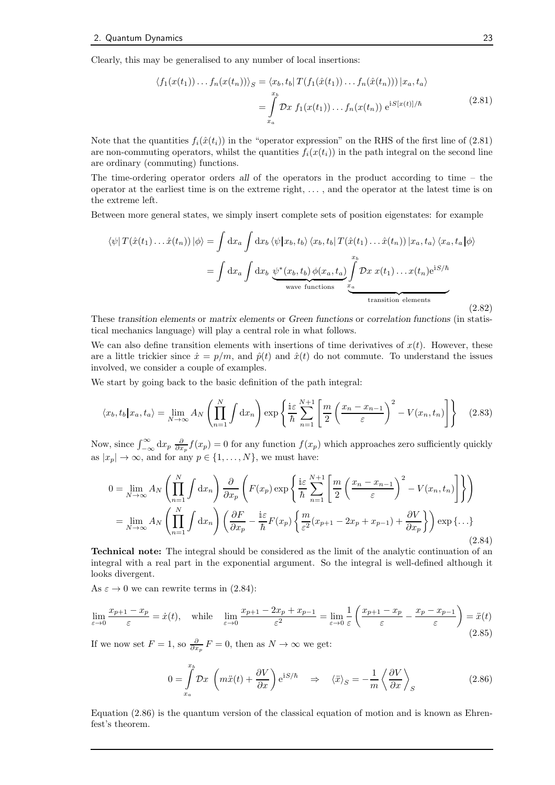Clearly, this may be generalised to any number of local insertions:

$$
\langle f_1(x(t_1)) \dots f_n(x(t_n)) \rangle_S = \langle x_b, t_b | T(f_1(\hat{x}(t_1)) \dots f_n(\hat{x}(t_n))) | x_a, t_a \rangle
$$
  
= 
$$
\int_{x_a}^{x_b} \mathcal{D}x f_1(x(t_1)) \dots f_n(x(t_n)) e^{iS[x(t)]/\hbar}
$$
(2.81)

Note that the quantities  $f_i(\hat{x}(t_i))$  in the "operator expression" on the RHS of the first line of (2.81) are non-commuting operators, whilst the quantities  $f_i(x(t_i))$  in the path integral on the second line are ordinary (commuting) functions.

The time-ordering operator orders all of the operators in the product according to time – the operator at the earliest time is on the extreme right, . . . , and the operator at the latest time is on the extreme left.

Between more general states, we simply insert complete sets of position eigenstates: for example

$$
\langle \psi | T(\hat{x}(t_1) \dots \hat{x}(t_n)) | \phi \rangle = \int dx_a \int dx_b \langle \psi | x_b, t_b \rangle \langle x_b, t_b | T(\hat{x}(t_1) \dots \hat{x}(t_n)) | x_a, t_a \rangle \langle x_a, t_a | \phi \rangle
$$

$$
= \int dx_a \int dx_b \underbrace{\psi^*(x_b, t_b) \phi(x_a, t_a)}_{\text{wave functions}} \underbrace{\int_x^{x_b} \mathcal{D}x \ x(t_1) \dots x(t_n) e^{iS/\hbar}}_{\text{transition elements}}
$$
(2.82)

These transition elements or matrix elements or Green functions or correlation functions (in statistical mechanics language) will play a central role in what follows.

We can also define transition elements with insertions of time derivatives of  $x(t)$ . However, these are a little trickier since  $\dot{x} = p/m$ , and  $\hat{p}(t)$  and  $\hat{x}(t)$  do not commute. To understand the issues involved, we consider a couple of examples.

We start by going back to the basic definition of the path integral:

$$
\langle x_b, t_b | x_a, t_a \rangle = \lim_{N \to \infty} A_N \left( \prod_{n=1}^N \int dx_n \right) \exp \left\{ \frac{\mathrm{i} \varepsilon}{\hbar} \sum_{n=1}^{N+1} \left[ \frac{m}{2} \left( \frac{x_n - x_{n-1}}{\varepsilon} \right)^2 - V(x_n, t_n) \right] \right\} \tag{2.83}
$$

Now, since  $\int_{-\infty}^{\infty} dx_p \frac{\partial}{\partial x_p} f(x_p) = 0$  for any function  $f(x_p)$  which approaches zero sufficiently quickly as  $|x_p| \to \infty$ , and for any  $p \in \{1, \ldots, N\}$ , we must have:

$$
0 = \lim_{N \to \infty} A_N \left( \prod_{n=1}^N \int dx_n \right) \frac{\partial}{\partial x_p} \left( F(x_p) \exp \left\{ \frac{i \varepsilon}{\hbar} \sum_{n=1}^{N+1} \left[ \frac{m}{2} \left( \frac{x_n - x_{n-1}}{\varepsilon} \right)^2 - V(x_n, t_n) \right] \right\} \right)
$$
  

$$
= \lim_{N \to \infty} A_N \left( \prod_{n=1}^N \int dx_n \right) \left( \frac{\partial F}{\partial x_p} - \frac{i \varepsilon}{\hbar} F(x_p) \left\{ \frac{m}{\varepsilon^2} (x_{p+1} - 2x_p + x_{p-1}) + \frac{\partial V}{\partial x_p} \right\} \right) \exp \left\{ \dots \right\}
$$
(2.84)

Technical note: The integral should be considered as the limit of the analytic continuation of an integral with a real part in the exponential argument. So the integral is well-defined although it looks divergent.

As  $\varepsilon \to 0$  we can rewrite terms in (2.84):

$$
\lim_{\varepsilon \to 0} \frac{x_{p+1} - x_p}{\varepsilon} = \dot{x}(t), \quad \text{while} \quad \lim_{\varepsilon \to 0} \frac{x_{p+1} - 2x_p + x_{p-1}}{\varepsilon^2} = \lim_{\varepsilon \to 0} \frac{1}{\varepsilon} \left( \frac{x_{p+1} - x_p}{\varepsilon} - \frac{x_p - x_{p-1}}{\varepsilon} \right) = \ddot{x}(t)
$$
\n(2.85)

If we now set  $F = 1$ , so  $\frac{\partial}{\partial x_p} F = 0$ , then as  $N \to \infty$  we get:

$$
0 = \int_{x_a}^{x_b} \mathcal{D}x \, \left( m\ddot{x}(t) + \frac{\partial V}{\partial x} \right) e^{iS/\hbar} \quad \Rightarrow \quad \langle \ddot{x} \rangle_S = -\frac{1}{m} \left\langle \frac{\partial V}{\partial x} \right\rangle_S \tag{2.86}
$$

Equation (2.86) is the quantum version of the classical equation of motion and is known as Ehrenfest's theorem.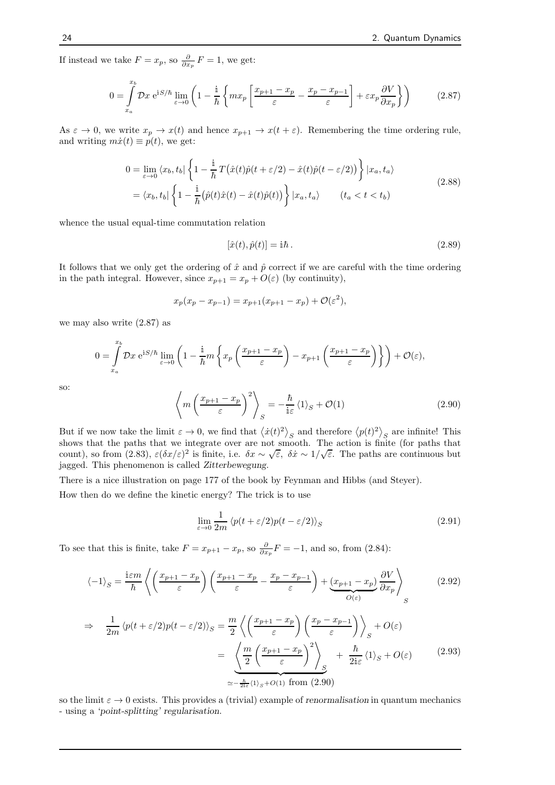If instead we take  $F = x_p$ , so  $\frac{\partial}{\partial x_p} F = 1$ , we get:

$$
0 = \int_{x_a}^{x_b} \mathcal{D}x \ e^{iS/\hbar} \lim_{\varepsilon \to 0} \left( 1 - \frac{i}{\hbar} \left\{ m x_p \left[ \frac{x_{p+1} - x_p}{\varepsilon} - \frac{x_p - x_{p-1}}{\varepsilon} \right] + \varepsilon x_p \frac{\partial V}{\partial x_p} \right\} \right) \tag{2.87}
$$

As  $\varepsilon \to 0$ , we write  $x_p \to x(t)$  and hence  $x_{p+1} \to x(t + \varepsilon)$ . Remembering the time ordering rule, and writing  $m\dot{x}(t) \equiv p(t)$ , we get:

$$
0 = \lim_{\varepsilon \to 0} \langle x_b, t_b | \left\{ 1 - \frac{i}{\hbar} T(\hat{x}(t)\hat{p}(t + \varepsilon/2) - \hat{x}(t)\hat{p}(t - \varepsilon/2)) \right\} | x_a, t_a \rangle
$$
  
=  $\langle x_b, t_b | \left\{ 1 - \frac{i}{\hbar} (\hat{p}(t)\hat{x}(t) - \hat{x}(t)\hat{p}(t)) \right\} | x_a, t_a \rangle$   $(t_a < t < t_b)$  (2.88)

whence the usual equal-time commutation relation

$$
[\hat{x}(t), \hat{p}(t)] = \mathbf{i}\hbar. \tag{2.89}
$$

It follows that we only get the ordering of  $\hat{x}$  and  $\hat{p}$  correct if we are careful with the time ordering in the path integral. However, since  $x_{p+1} = x_p + O(\varepsilon)$  (by continuity),

$$
x_p(x_p - x_{p-1}) = x_{p+1}(x_{p+1} - x_p) + \mathcal{O}(\varepsilon^2),
$$

we may also write (2.87) as

$$
0 = \int_{x_a}^{x_b} \mathcal{D}x \ e^{iS/\hbar} \lim_{\varepsilon \to 0} \left( 1 - \frac{i}{\hbar} m \left\{ x_p \left( \frac{x_{p+1} - x_p}{\varepsilon} \right) - x_{p+1} \left( \frac{x_{p+1} - x_p}{\varepsilon} \right) \right\} \right) + \mathcal{O}(\varepsilon),
$$

so:

$$
\left\langle m\left(\frac{x_{p+1} - x_p}{\varepsilon}\right)^2 \right\rangle_S = -\frac{\hbar}{i\varepsilon} \langle 1 \rangle_S + \mathcal{O}(1) \tag{2.90}
$$

But if we now take the limit  $\varepsilon \to 0$ , we find that  $\langle \dot{x}(t)^2 \rangle_S$  and therefore  $\langle p(t)^2 \rangle_S$  are infinite! This shows that the paths that we integrate over are not smooth. The action is finite (for paths that count), so from (2.83),  $\varepsilon(\delta x/\varepsilon)^2$  is finite, i.e.  $\delta x \sim \sqrt{\varepsilon}$ ,  $\delta \dot{x} \sim 1/\sqrt{\varepsilon}$ . The paths are continuous but jagged. This phenomenon is called Zitterbewegung.

There is a nice illustration on page 177 of the book by Feynman and Hibbs (and Steyer).

How then do we define the kinetic energy? The trick is to use

$$
\lim_{\varepsilon \to 0} \frac{1}{2m} \left\langle p(t + \varepsilon/2) p(t - \varepsilon/2) \right\rangle_S \tag{2.91}
$$

To see that this is finite, take  $F = x_{p+1} - x_p$ , so  $\frac{\partial}{\partial x_p} F = -1$ , and so, from (2.84):

$$
\langle -1 \rangle_{S} = \frac{\mathrm{i}\varepsilon m}{\hbar} \left\langle \left( \frac{x_{p+1} - x_p}{\varepsilon} \right) \left( \frac{x_{p+1} - x_p}{\varepsilon} - \frac{x_p - x_{p-1}}{\varepsilon} \right) + \underbrace{\left( x_{p+1} - x_p \right)}_{O(\varepsilon)} \frac{\partial V}{\partial x_p} \right\rangle_{S} \tag{2.92}
$$

$$
\Rightarrow \frac{1}{2m} \langle p(t+\varepsilon/2)p(t-\varepsilon/2) \rangle_S = \frac{m}{2} \left\langle \left( \frac{x_{p+1} - x_p}{\varepsilon} \right) \left( \frac{x_p - x_{p-1}}{\varepsilon} \right) \right\rangle_S + O(\varepsilon)
$$

$$
= \underbrace{\left\langle \frac{m}{2} \left( \frac{x_{p+1} - x_p}{\varepsilon} \right)^2 \right\rangle_S}_{\simeq -\frac{\hbar}{2\mathrm{i}\varepsilon} \langle 1 \rangle_S + O(1)} + \frac{\hbar}{2\mathrm{i}\varepsilon} \langle 1 \rangle_S + O(\varepsilon) \tag{2.93}
$$

so the limit  $\varepsilon \to 0$  exists. This provides a (trivial) example of renormalisation in quantum mechanics - using a 'point-splitting' regularisation.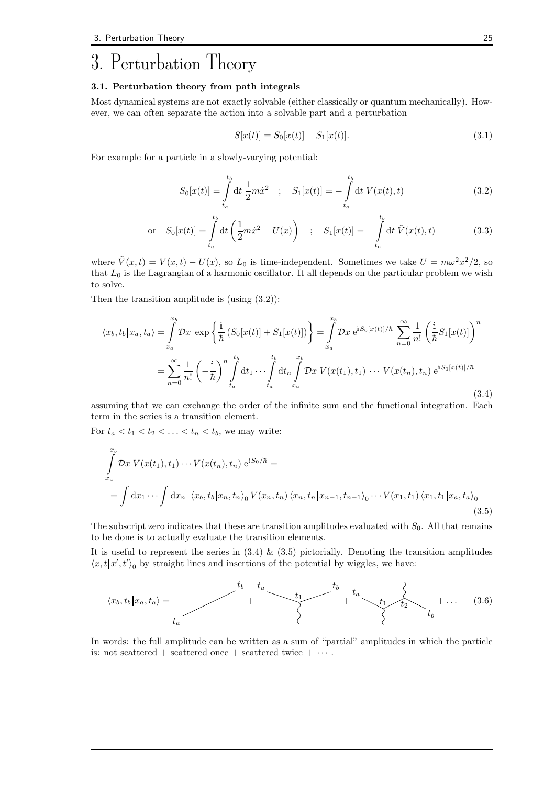# 3. Perturbation Theory

#### 3.1. Perturbation theory from path integrals

Most dynamical systems are not exactly solvable (either classically or quantum mechanically). However, we can often separate the action into a solvable part and a perturbation

$$
S[x(t)] = S_0[x(t)] + S_1[x(t)].
$$
\n(3.1)

For example for a particle in a slowly-varying potential:

$$
S_0[x(t)] = \int_{t_a}^{t_b} dt \frac{1}{2} m \dot{x}^2 \quad ; \quad S_1[x(t)] = -\int_{t_a}^{t_b} dt \ V(x(t), t) \tag{3.2}
$$

or 
$$
S_0[x(t)] = \int_{t_a}^{t_b} dt \left(\frac{1}{2}m\dot{x}^2 - U(x)\right)
$$
;  $S_1[x(t)] = -\int_{t_a}^{t_b} dt \ \tilde{V}(x(t), t)$  (3.3)

where  $\tilde{V}(x,t) = V(x,t) - U(x)$ , so  $L_0$  is time-independent. Sometimes we take  $U = m\omega^2 x^2/2$ , so that  $L_0$  is the Lagrangian of a harmonic oscillator. It all depends on the particular problem we wish to solve.

Then the transition amplitude is  $(u\sin g(3.2))$ :

$$
\langle x_b, t_b | x_a, t_a \rangle = \int_{x_a}^{x_b} \mathcal{D}x \, \exp\left\{\frac{i}{\hbar} \left(S_0[x(t)] + S_1[x(t)]\right)\right\} = \int_{x_a}^{x_b} \mathcal{D}x \, e^{iS_0[x(t)]/\hbar} \sum_{n=0}^{\infty} \frac{1}{n!} \left(\frac{i}{\hbar} S_1[x(t)]\right)^n
$$

$$
= \sum_{n=0}^{\infty} \frac{1}{n!} \left(-\frac{i}{\hbar}\right)^n \int_{t_a}^{t_b} dt_1 \cdots \int_{t_a}^{t_b} dt_n \int_{x_a}^{x_b} \mathcal{D}x \, V(x(t_1), t_1) \cdots V(x(t_n), t_n) \, e^{iS_0[x(t)]/\hbar}
$$
(3.4)

assuming that we can exchange the order of the infinite sum and the functional integration. Each term in the series is a transition element.

For  $t_a < t_1 < t_2 < \ldots < t_n < t_b$ , we may write:

$$
\int_{x_a}^{x_b} \mathcal{D}x \ V(x(t_1), t_1) \cdots V(x(t_n), t_n) \ e^{iS_0/\hbar} =
$$
\n
$$
= \int dx_1 \cdots \int dx_n \ \langle x_b, t_b | x_n, t_n \rangle_0 V(x_n, t_n) \langle x_n, t_n | x_{n-1}, t_{n-1} \rangle_0 \cdots V(x_1, t_1) \langle x_1, t_1 | x_a, t_a \rangle_0
$$
\n(3.5)

The subscript zero indicates that these are transition amplitudes evaluated with  $S_0$ . All that remains to be done is to actually evaluate the transition elements.

It is useful to represent the series in  $(3.4) \& (3.5)$  pictorially. Denoting the transition amplitudes  $\langle x, t | x', t' \rangle_0$  by straight lines and insertions of the potential by wiggles, we have:



In words: the full amplitude can be written as a sum of "partial" amplitudes in which the particle is: not scattered + scattered once + scattered twice +  $\cdots$ .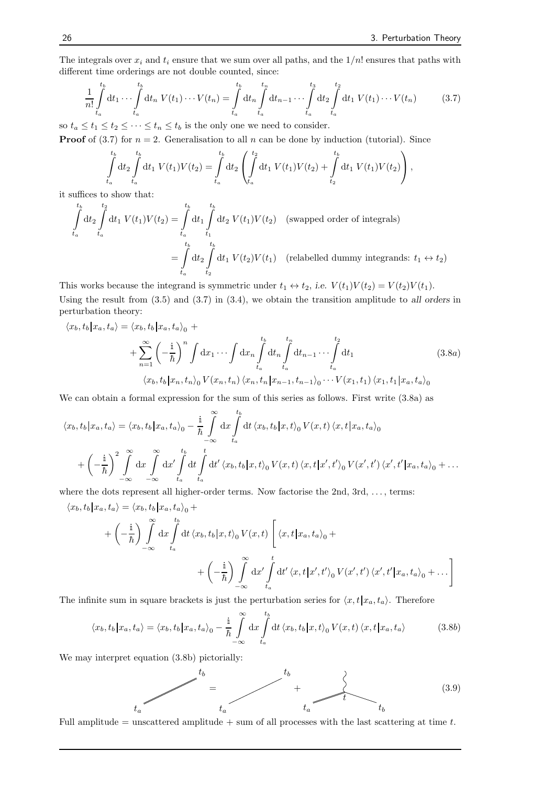The integrals over  $x_i$  and  $t_i$  ensure that we sum over all paths, and the  $1/n!$  ensures that paths with different time orderings are not double counted, since:

$$
\frac{1}{n!} \int_{t_a}^{t_b} dt_1 \cdots \int_{t_a}^{t_b} dt_n \ V(t_1) \cdots V(t_n) = \int_{t_a}^{t_b} dt_n \int_{t_a}^{t_n} dt_{n-1} \cdots \int_{t_a}^{t_3} dt_2 \int_{t_a}^{t_2} dt_1 \ V(t_1) \cdots V(t_n) \tag{3.7}
$$

so  $t_a \leq t_1 \leq t_2 \leq \cdots \leq t_n \leq t_b$  is the only one we need to consider.

**Proof** of (3.7) for  $n = 2$ . Generalisation to all n can be done by induction (tutorial). Since

$$
\int_{t_a}^{t_b} dt_2 \int_{t_a}^{t_b} dt_1 V(t_1) V(t_2) = \int_{t_a}^{t_b} dt_2 \left( \int_{t_a}^{t_2} dt_1 V(t_1) V(t_2) + \int_{t_2}^{t_b} dt_1 V(t_1) V(t_2) \right),
$$

it suffices to show that:

$$
\int_{t_a}^{t_b} dt_2 \int_{t_a}^{t_2} dt_1 V(t_1) V(t_2) = \int_{t_a}^{t_b} dt_1 \int_{t_1}^{t_b} dt_2 V(t_1) V(t_2)
$$
 (swapped order of integrals)  

$$
= \int_{t_a}^{t_b} dt_2 \int_{t_2}^{t_b} dt_1 V(t_2) V(t_1)
$$
 (relabelled dummy integrands:  $t_1 \leftrightarrow t_2$ )

This works because the integrand is symmetric under  $t_1 \leftrightarrow t_2$ , i.e.  $V(t_1)V(t_2) = V(t_2)V(t_1)$ . Using the result from (3.5) and (3.7) in (3.4), we obtain the transition amplitude to all orders in perturbation theory:

$$
\langle x_b, t_b | x_a, t_a \rangle = \langle x_b, t_b | x_a, t_a \rangle_0 +
$$
  
+ 
$$
\sum_{n=1}^{\infty} \left( -\frac{i}{\hbar} \right)^n \int dx_1 \cdots \int dx_n \int_{t_a}^{t_b} dt_n \int_{t_a}^{t_n} dt_{n-1} \cdots \int_{t_a}^{t_2} dt_1 \qquad (3.8a)
$$
  

$$
\langle x_b, t_b | x_n, t_n \rangle_0 V(x_n, t_n) \langle x_n, t_n | x_{n-1}, t_{n-1} \rangle_0 \cdots V(x_1, t_1) \langle x_1, t_1 | x_a, t_a \rangle_0
$$

We can obtain a formal expression for the sum of this series as follows. First write (3.8a) as

$$
\langle x_b, t_b | x_a, t_a \rangle = \langle x_b, t_b | x_a, t_a \rangle_0 - \frac{\mathrm{i}}{\hbar} \int_{-\infty}^{\infty} \mathrm{d}x \int_{t_a}^{t_b} \mathrm{d}t \, \langle x_b, t_b | x, t \rangle_0 V(x, t) \, \langle x, t | x_a, t_a \rangle_0
$$

$$
+ \left( -\frac{\mathrm{i}}{\hbar} \right)^2 \int_{-\infty}^{\infty} \mathrm{d}x \int_{-\infty}^{\infty} \mathrm{d}x' \int_{t_a}^{t_b} \mathrm{d}t \int_{t_a}^{t} \mathrm{d}t' \, \langle x_b, t_b | x, t \rangle_0 V(x, t) \, \langle x, t | x', t' \rangle_0 V(x', t') \, \langle x', t' | x_a, t_a \rangle_0 + \dots
$$

where the dots represent all higher-order terms. Now factorise the 2nd, 3rd, ..., terms:

$$
\langle x_b, t_b | x_a, t_a \rangle = \langle x_b, t_b | x_a, t_a \rangle_0 +
$$
  
+  $\left( -\frac{i}{\hbar} \right) \int_{-\infty}^{\infty} dx \int_{t_a}^{t_b} dt \langle x_b, t_b | x, t \rangle_0 V(x, t) \left[ \langle x, t | x_a, t_a \rangle_0 +$   
+  $\left( -\frac{i}{\hbar} \right) \int_{-\infty}^{\infty} dx' \int_{t_a}^{t} dt' \langle x, t | x', t' \rangle_0 V(x', t') \langle x', t' | x_a, t_a \rangle_0 + \dots \right]$ 

The infinite sum in square brackets is just the perturbation series for  $\langle x, t | x_a, t_a \rangle$ . Therefore

$$
\langle x_b, t_b | x_a, t_a \rangle = \langle x_b, t_b | x_a, t_a \rangle_0 - \frac{\mathrm{i}}{\hbar} \int_{-\infty}^{\infty} \mathrm{d}x \int_{t_a}^{t_b} \mathrm{d}t \, \langle x_b, t_b | x, t \rangle_0 V(x, t) \, \langle x, t | x_a, t_a \rangle \tag{3.8b}
$$

We may interpret equation (3.8b) pictorially:



Full amplitude  $=$  unscattered amplitude  $+$  sum of all processes with the last scattering at time  $t$ .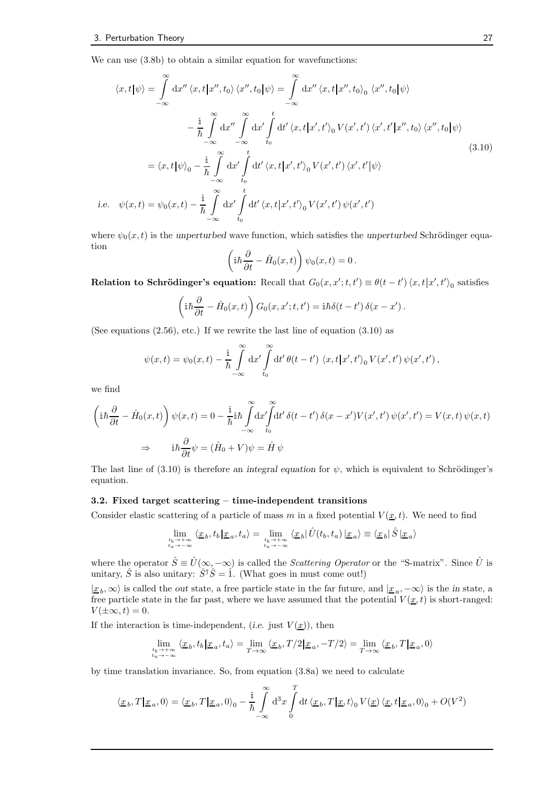We can use  $(3.8b)$  to obtain a similar equation for wavefunctions:

$$
\langle x, t | \psi \rangle = \int_{-\infty}^{\infty} dx'' \langle x, t | x'', t_0 \rangle \langle x'', t_0 | \psi \rangle = \int_{-\infty}^{\infty} dx'' \langle x, t | x'', t_0 \rangle_0 \langle x'', t_0 | \psi \rangle
$$

$$
- \frac{i}{\hbar} \int_{-\infty}^{\infty} dx'' \int_{-\infty}^{\infty} dx' \int_{t_0}^{t} dt' \langle x, t | x', t' \rangle_0 V(x', t') \langle x', t' | x'', t_0 \rangle \langle x'', t_0 | \psi \rangle
$$

$$
= \langle x, t | \psi \rangle_0 - \frac{i}{\hbar} \int_{-\infty}^{\infty} dx' \int_{t_0}^{t} dt' \langle x, t | x', t' \rangle_0 V(x', t') \langle x', t' | \psi \rangle
$$

$$
\text{i.e. } \psi(x, t) = \psi_0(x, t) - \frac{i}{\hbar} \int_{-\infty}^{\infty} dx' \int_{t_0}^{t} dt' \langle x, t | x', t' \rangle_0 V(x', t') \psi(x', t')
$$
(3.10)

where  $\psi_0(x, t)$  is the unperturbed wave function, which satisfies the unperturbed Schrödinger equation

$$
\left(\mathrm{i}\hbar\frac{\partial}{\partial t} - \hat{H}_0(x,t)\right)\psi_0(x,t) = 0.
$$

Relation to Schrödinger's equation: Recall that  $G_0(x, x'; t, t') \equiv \theta(t - t') \langle x, t | x', t' \rangle_0$  satisfies

$$
\left(\mathrm{i}\hbar\frac{\partial}{\partial t} - \hat{H}_0(x,t)\right)G_0(x,x';t,t') = \mathrm{i}\hbar\delta(t-t')\,\delta(x-x')\,.
$$

(See equations  $(2.56)$ , etc.) If we rewrite the last line of equation  $(3.10)$  as

$$
\psi(x,t) = \psi_0(x,t) - \frac{\mathrm{i}}{\hbar} \int_{-\infty}^{\infty} \mathrm{d}x' \int_{t_0}^{\infty} \mathrm{d}t' \,\theta(t-t') \, \langle x,t | x',t' \rangle_0 \, V(x',t') \, \psi(x',t') \,,
$$

we find

$$
\left(i\hbar\frac{\partial}{\partial t} - \hat{H}_0(x,t)\right)\psi(x,t) = 0 - \frac{i}{\hbar}i\hbar\int_{-\infty}^{\infty} dx'\int_{t_0}^{\infty} dt'\,\delta(t-t')\,\delta(x-x')V(x',t')\,\psi(x',t') = V(x,t)\,\psi(x,t)
$$

$$
\Rightarrow \qquad i\hbar\frac{\partial}{\partial t}\psi = (\hat{H}_0 + V)\psi = \hat{H}\,\psi
$$

The last line of (3.10) is therefore an integral equation for  $\psi$ , which is equivalent to Schrödinger's equation.

#### 3.2. Fixed target scattering – time-independent transitions

Consider elastic scattering of a particle of mass m in a fixed potential  $V(\underline{x},t)$ . We need to find

$$
\lim_{\begin{smallmatrix} t_b\to +\infty\\ t_a\to -\infty\end{smallmatrix}}\langle \underline{x}_b,t_b|\underline{x}_a,t_a\rangle=\lim_{\begin{smallmatrix} t_b\to +\infty\\ t_a\to -\infty\end{smallmatrix}}\langle \underline{x}_b|\hat{U}(t_b,t_a)|\underline{x}_a\rangle\equiv \langle \underline{x}_b|\hat{S}|\underline{x}_a\rangle
$$

where the operator  $\hat{S} \equiv \hat{U}(\infty, -\infty)$  is called the *Scattering Operator* or the "S-matrix". Since  $\hat{U}$  is unitary,  $\hat{S}$  is also unitary:  $\hat{S}^{\dagger} \hat{S} = \hat{1}$ . (What goes in must come out!)

 $|x_b,\infty\rangle$  is called the *out* state, a free particle state in the far future, and  $|x_a,-\infty\rangle$  is the *in* state, a free particle state in the far past, where we have assumed that the potential  $V(\underline{x}, t)$  is short-ranged:  $V(\pm\infty,t)=0.$ 

If the interaction is time-independent, (i.e. just  $V(\underline{x})$ ), then

$$
\lim_{\substack{t_b \to +\infty \\ t_a \to -\infty}} \langle \underline{x}_b, t_b | \underline{x}_a, t_a \rangle = \lim_{T \to \infty} \langle \underline{x}_b, T/2 | \underline{x}_a, -T/2 \rangle = \lim_{T \to \infty} \langle \underline{x}_b, T | \underline{x}_a, 0 \rangle
$$

by time translation invariance. So, from equation (3.8a) we need to calculate

$$
\langle \underline{x}_b, T | \underline{x}_a, 0 \rangle = \langle \underline{x}_b, T | \underline{x}_a, 0 \rangle_0 - \frac{\mathrm{i}}{\hbar} \int_{-\infty}^{\infty} \mathrm{d}^3 x \int_0^T \mathrm{d}t \, \langle \underline{x}_b, T | \underline{x}, t \rangle_0 V(\underline{x}) \, \langle \underline{x}, t | \underline{x}_a, 0 \rangle_0 + O(V^2)
$$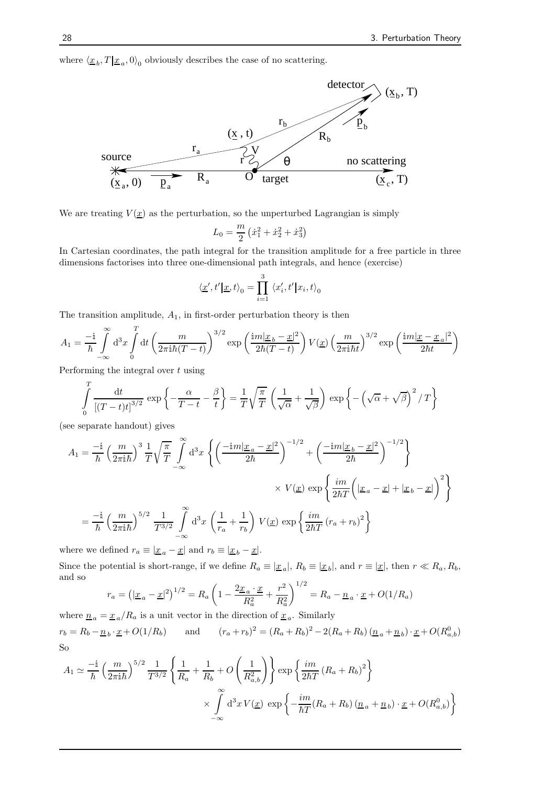where  $\langle \underline{x}_b, T | \underline{x}_a, 0 \rangle_0$  obviously describes the case of no scattering.



We are treating  $V(\underline{x})$  as the perturbation, so the unperturbed Lagrangian is simply

$$
L_0 = \frac{m}{2} \left( \dot{x}_1^2 + \dot{x}_2^2 + \dot{x}_3^2 \right)
$$

In Cartesian coordinates, the path integral for the transition amplitude for a free particle in three dimensions factorises into three one-dimensional path integrals, and hence (exercise)

$$
\langle \underline{x}', t' | \underline{x}, t \rangle_0 = \prod_{i=1}^3 \langle x'_i, t' | x_i, t \rangle_0
$$

The transition amplitude,  $A_1$ , in first-order perturbation theory is then

$$
A_1 = \frac{-i}{\hbar} \int_{-\infty}^{\infty} d^3 x \int_{0}^{T} dt \left( \frac{m}{2\pi i \hbar (T-t)} \right)^{3/2} \exp\left( \frac{im|\underline{x}_b - \underline{x}|^2}{2\hbar (T-t)} \right) V(\underline{x}) \left( \frac{m}{2\pi i \hbar t} \right)^{3/2} \exp\left( \frac{im|\underline{x} - \underline{x}_a|^2}{2\hbar t} \right)
$$

Performing the integral over  $t$  using

$$
\int_{0}^{T} \frac{\mathrm{d}t}{\left[ (T-t)t \right]^{3/2}} \exp \left\{ -\frac{\alpha}{T-t} - \frac{\beta}{t} \right\} = \frac{1}{T} \sqrt{\frac{\pi}{T}} \left( \frac{1}{\sqrt{\alpha}} + \frac{1}{\sqrt{\beta}} \right) \exp \left\{ -\left( \sqrt{\alpha} + \sqrt{\beta} \right)^2 / T \right\}
$$

(see separate handout) gives

$$
A_1 = \frac{-\mathrm{i}}{\hbar} \left(\frac{m}{2\pi \mathrm{i} \hbar}\right)^3 \frac{1}{T} \sqrt{\frac{\pi}{T}} \int_{-\infty}^{\infty} \mathrm{d}^3 x \left\{ \left(\frac{-\mathrm{i} m |\underline{x}_a - \underline{x}|^2}{2\hbar}\right)^{-1/2} + \left(\frac{-\mathrm{i} m |\underline{x}_b - \underline{x}|^2}{2\hbar}\right)^{-1/2} \right\}
$$

$$
\times V(\underline{x}) \exp \left\{ \frac{\mathrm{i} m}{2\hbar T} \left(|\underline{x}_a - \underline{x}| + |\underline{x}_b - \underline{x}| \right)^2 \right\}
$$

$$
= \frac{-\mathrm{i}}{\hbar} \left(\frac{m}{2\pi \mathrm{i} \hbar}\right)^{5/2} \frac{1}{T^{3/2}} \int_{-\infty}^{\infty} \mathrm{d}^3 x \left(\frac{1}{r_a} + \frac{1}{r_b}\right) V(\underline{x}) \exp \left\{ \frac{\mathrm{i} m}{2\hbar T} (r_a + r_b)^2 \right\}
$$

where we defined  $r_a \equiv |\underline{x}_a - \underline{x}|$  and  $r_b \equiv |\underline{x}_b - \underline{x}|$ .

Since the potential is short-range, if we define  $R_a \equiv |\underline{x}_a|, R_b \equiv |\underline{x}_b|$ , and  $r \equiv |\underline{x}|$ , then  $r \ll R_a, R_b$ , and so

$$
r_a = \left(|\underline{x}_a - \underline{x}|^2\right)^{1/2} = R_a \left(1 - \frac{2\underline{x}_a \cdot \underline{x}}{R_a^2} + \frac{r^2}{R_a^2}\right)^{1/2} = R_a - \underline{n}_a \cdot \underline{x} + O(1/R_a)
$$

where  $\underline{n}_a = \underline{x}_a / R_a$  is a unit vector in the direction of  $\underline{x}_a$ . Similarly  $r_b = R_b - \underline{n}_b \cdot \underline{x} + O(1/R_b)$  and  $(r_a + r_b)^2 = (R_a + R_b)^2 - 2(R_a + R_b)(\underline{n}_a + \underline{n}_b) \cdot \underline{x} + O(R_{a,b}^0)$ So

$$
A_1 \simeq \frac{-\mathrm{i}}{\hbar} \left(\frac{m}{2\pi \mathrm{i} \hbar}\right)^{5/2} \frac{1}{T^{3/2}} \left\{\frac{1}{R_a} + \frac{1}{R_b} + O\left(\frac{1}{R_{a,b}^2}\right) \right\} \exp\left\{\frac{im}{2\hbar T} \left(R_a + R_b\right)^2\right\}
$$

$$
\times \int\limits_{-\infty}^{\infty} \mathrm{d}^3 x \, V(\underline{x}) \, \exp\left\{-\frac{im}{\hbar T} (R_a + R_b) \left(\underline{n}_a + \underline{n}_b\right) \cdot \underline{x} + O(R_{a,b}^0)\right\}
$$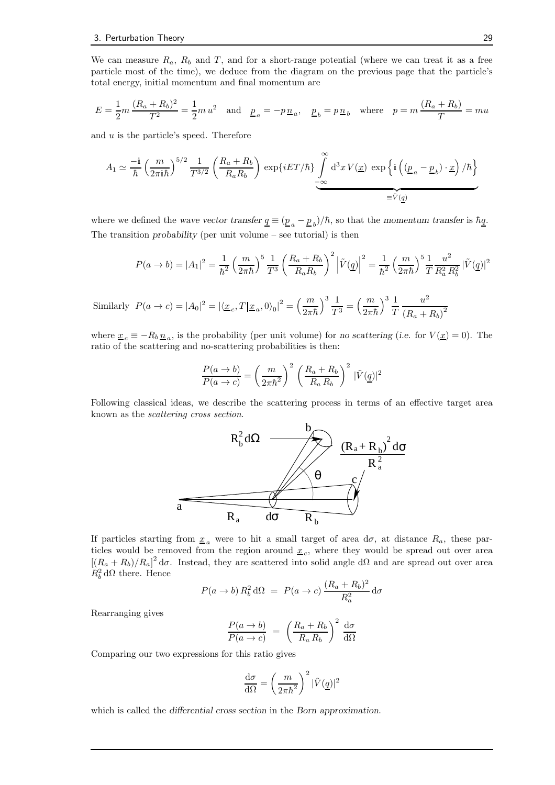We can measure  $R_a$ ,  $R_b$  and T, and for a short-range potential (where we can treat it as a free particle most of the time), we deduce from the diagram on the previous page that the particle's total energy, initial momentum and final momentum are

$$
E=\frac{1}{2}m\,\frac{(R_a+R_b)^2}{T^2}=\frac{1}{2}m\,u^2\quad\text{and}\quad \underline{p}_a=-p\,\underline{n}_a,\quad \underline{p}_b=p\,\underline{n}_b\quad\text{where}\quad p=m\,\frac{(R_a+R_b)}{T}=mu
$$

and  $u$  is the particle's speed. Therefore

$$
A_1 \simeq \frac{-\mathrm{i}}{\hbar} \left(\frac{m}{2\pi \mathrm{i} \hbar}\right)^{5/2} \frac{1}{T^{3/2}} \left(\frac{R_a + R_b}{R_a R_b}\right) \exp\{i E T/\hbar\} \underbrace{\int}_{-\infty}^{\infty} \mathrm{d}^3 x \, V(\underline{x}) \, \exp\left\{\mathrm{i} \left((\underline{p}_a - \underline{p}_b) \cdot \underline{x}\right)/\hbar\right\}}_{\equiv \tilde{V}(\underline{q})}
$$

where we defined the wave vector transfer  $\underline{q} \equiv (\underline{p}_a - \underline{p}_b)/\hbar$ , so that the momentum transfer is  $\hbar \underline{q}$ . The transition probability (per unit volume  $-$  see tutorial) is then

$$
P(a \to b) = |A_1|^2 = \frac{1}{\hbar^2} \left(\frac{m}{2\pi\hbar}\right)^5 \frac{1}{T^3} \left(\frac{R_a + R_b}{R_a R_b}\right)^2 \left|\tilde{V}(q)\right|^2 = \frac{1}{\hbar^2} \left(\frac{m}{2\pi\hbar}\right)^5 \frac{1}{T} \frac{u^2}{R_a^2 R_b^2} |\tilde{V}(q)|^2
$$

Similarly  $P(a \to c) = |A_0|^2 = |\langle \underline{x}_c, T | \underline{x}_a, 0 \rangle_0|^2 = \left(\frac{m}{2\pi i}\right)$  $2\pi\hbar$  $\setminus^3$ <sup>1</sup>  $\frac{1}{T^3} = \left(\frac{m}{2\pi i}\right)$  $2\pi\hbar$  $\left.\right\}$ <sup>3</sup>  $\frac{1}{2}$ T  $u^2$  $(R_a + R_b)^2$ 

where  $\underline{x}_c \equiv -R_b \underline{n}_a$ , is the probability (per unit volume) for no scattering (i.e. for  $V(\underline{x}) = 0$ ). The ratio of the scattering and no-scattering probabilities is then:

$$
\frac{P(a \to b)}{P(a \to c)} = \left(\frac{m}{2\pi\hbar^2}\right)^2 \left(\frac{R_a + R_b}{R_a R_b}\right)^2 |\tilde{V}(\underline{q})|^2
$$

Following classical ideas, we describe the scattering process in terms of an effective target area known as the scattering cross section.



If particles starting from  $\underline{x}_a$  were to hit a small target of area  $d\sigma$ , at distance  $R_a$ , these particles would be removed from the region around  $\underline{x}_c$ , where they would be spread out over area  $[(R_a + R_b)/R_a]^2$  d $\sigma$ . Instead, they are scattered into solid angle d $\Omega$  and are spread out over area  $R_b^2 d\Omega$  there. Hence

$$
P(a \to b) R_b^2 d\Omega = P(a \to c) \frac{(R_a + R_b)^2}{R_a^2} d\sigma
$$

Rearranging gives

$$
\frac{P(a \to b)}{P(a \to c)} = \left(\frac{R_a + R_b}{R_a R_b}\right)^2 \frac{d\sigma}{d\Omega}
$$

Comparing our two expressions for this ratio gives

$$
\frac{\mathrm{d}\sigma}{\mathrm{d}\Omega}=\left(\frac{m}{2\pi\hbar^2}\right)^2|\tilde{V}(\underline{q})|^2
$$

which is called the differential cross section in the Born approximation.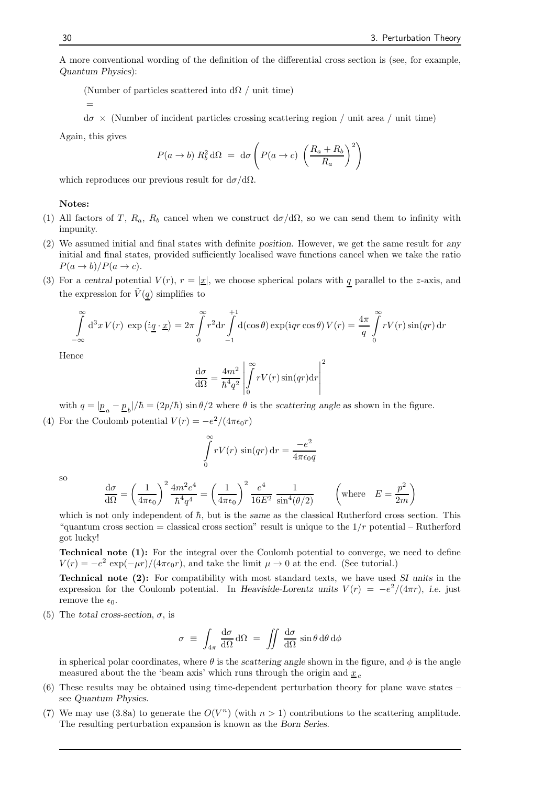A more conventional wording of the definition of the differential cross section is (see, for example, Quantum Physics):

(Number of particles scattered into  $d\Omega$  / unit time)

=

 $d\sigma \times$  (Number of incident particles crossing scattering region / unit area / unit time)

Again, this gives

$$
P(a \to b) R_b^2 d\Omega = d\sigma \left( P(a \to c) \left( \frac{R_a + R_b}{R_a} \right)^2 \right)
$$

which reproduces our previous result for  $d\sigma/d\Omega$ .

#### Notes:

- (1) All factors of T,  $R_a$ ,  $R_b$  cancel when we construct  $d\sigma/d\Omega$ , so we can send them to infinity with impunity.
- (2) We assumed initial and final states with definite position. However, we get the same result for any initial and final states, provided sufficiently localised wave functions cancel when we take the ratio  $P(a \to b)/P(a \to c).$
- (3) For a central potential  $V(r)$ ,  $r = |\underline{x}|$ , we choose spherical polars with q parallel to the z-axis, and the expression for  $\tilde{V}(q)$  simplifies to

$$
\int_{-\infty}^{\infty} d^3 x V(r) \exp \left(i \underline{q} \cdot \underline{x}\right) = 2\pi \int_{0}^{\infty} r^2 dr \int_{-1}^{+1} d(\cos \theta) \exp(iqr \cos \theta) V(r) = \frac{4\pi}{q} \int_{0}^{\infty} r V(r) \sin(qr) dr
$$

Hence

$$
\frac{\mathrm{d}\sigma}{\mathrm{d}\Omega} = \frac{4m^2}{\hbar^4 q^2} \left| \int_0^\infty r V(r) \sin(qr) \mathrm{d}r \right|^2
$$

with  $q = |\underline{p}_a - \underline{p}_b|/\hbar = (2p/\hbar) \sin \theta/2$  where  $\theta$  is the scattering angle as shown in the figure.

(4) For the Coulomb potential  $V(r) = -e^2/(4\pi\epsilon_0 r)$ 

$$
\int_{0}^{\infty} rV(r) \sin(qr) dr = \frac{-e^2}{4\pi\epsilon_0 q}
$$

so

$$
\frac{d\sigma}{d\Omega} = \left(\frac{1}{4\pi\epsilon_0}\right)^2 \frac{4m^2e^4}{\hbar^4 q^4} = \left(\frac{1}{4\pi\epsilon_0}\right)^2 \frac{e^4}{16E^2} \frac{1}{\sin^4(\theta/2)} \qquad \left(\text{where } E = \frac{p^2}{2m}\right)
$$

which is not only independent of  $\hbar$ , but is the same as the classical Rutherford cross section. This "quantum cross section = classical cross section" result is unique to the  $1/r$  potential – Rutherford got lucky!

Technical note (1): For the integral over the Coulomb potential to converge, we need to define  $V(r) = -e^2 \exp(-\mu r)/(4\pi\epsilon_0 r)$ , and take the limit  $\mu \to 0$  at the end. (See tutorial.)

Technical note (2): For compatibility with most standard texts, we have used SI units in the expression for the Coulomb potential. In Heaviside-Lorentz units  $V(r) = -e^2/(4\pi r)$ , i.e. just remove the  $\epsilon_0$ .

(5) The total cross-section,  $\sigma$ , is

$$
\sigma \equiv \int_{4\pi} \frac{d\sigma}{d\Omega} d\Omega = \iint \frac{d\sigma}{d\Omega} \sin \theta d\theta d\phi
$$

in spherical polar coordinates, where  $\theta$  is the scattering angle shown in the figure, and  $\phi$  is the angle measured about the the 'beam axis' which runs through the origin and  $x_c$ 

- (6) These results may be obtained using time-dependent perturbation theory for plane wave states see Quantum Physics.
- (7) We may use (3.8a) to generate the  $O(V^n)$  (with  $n > 1$ ) contributions to the scattering amplitude. The resulting perturbation expansion is known as the Born Series.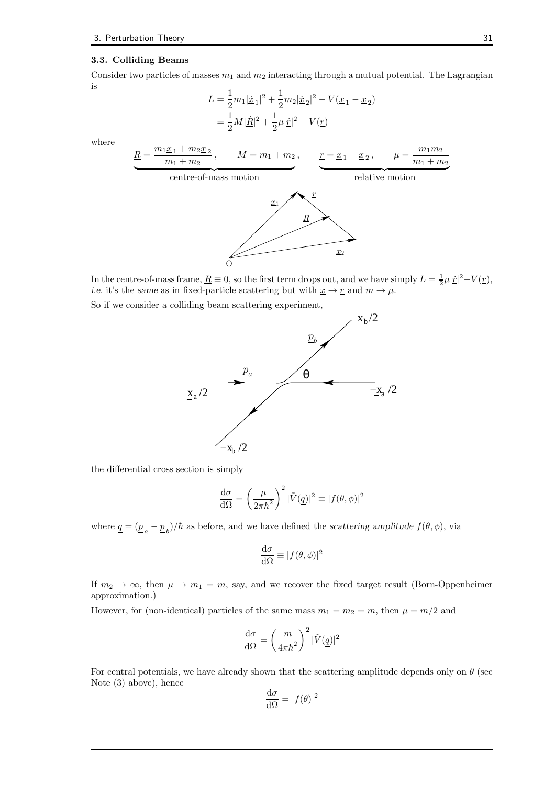#### 3.3. Colliding Beams

Consider two particles of masses  $m_1$  and  $m_2$  interacting through a mutual potential. The Lagrangian is

$$
L = \frac{1}{2}m_1|\dot{\underline{x}}_1|^2 + \frac{1}{2}m_2|\dot{\underline{x}}_2|^2 - V(\underline{x}_1 - \underline{x}_2)
$$
  
=  $\frac{1}{2}M|\dot{\underline{R}}|^2 + \frac{1}{2}\mu|\dot{\underline{r}}|^2 - V(\underline{r})$ 

where

$$
\underbrace{\frac{R}{m_1 + m_2 + m_1 + m_2}}_{\text{centre-of-mass motion}} \cdot \underbrace{r = x_1 - x_2}_{\text{relative motion}}, \quad \underbrace{\frac{r}{m_1 + m_2}}_{\text{relative motion}}
$$

In the centre-of-mass frame,  $\underline{R} \equiv 0$ , so the first term drops out, and we have simply  $L = \frac{1}{2}\mu |\dot{\underline{r}}|^2 - V(\underline{r})$ , i.e. it's the same as in fixed-particle scattering but with  $\underline{x} \to \underline{r}$  and  $m \to \mu$ .

So if we consider a colliding beam scattering experiment,

O



the differential cross section is simply

$$
\frac{\mathrm{d}\sigma}{\mathrm{d}\Omega} = \left(\frac{\mu}{2\pi\hbar^2}\right)^2 |\tilde{V}(\underline{q})|^2 \equiv |f(\theta,\phi)|^2
$$

where  $\underline{q} = (\underline{p}_a - \underline{p}_b)/\hbar$  as before, and we have defined the scattering amplitude  $f(\theta, \phi)$ , via

$$
\frac{\mathrm{d}\sigma}{\mathrm{d}\Omega} \equiv |f(\theta,\phi)|^2
$$

If  $m_2 \to \infty$ , then  $\mu \to m_1 = m$ , say, and we recover the fixed target result (Born-Oppenheimer approximation.)

However, for (non-identical) particles of the same mass  $m_1 = m_2 = m$ , then  $\mu = m/2$  and

$$
\frac{\mathrm{d}\sigma}{\mathrm{d}\Omega} = \left(\frac{m}{4\pi\hbar^2}\right)^2 |\tilde{V}(\underline{q})|^2
$$

For central potentials, we have already shown that the scattering amplitude depends only on  $\theta$  (see Note (3) above), hence

$$
\frac{\mathrm{d}\sigma}{\mathrm{d}\Omega} = |f(\theta)|^2
$$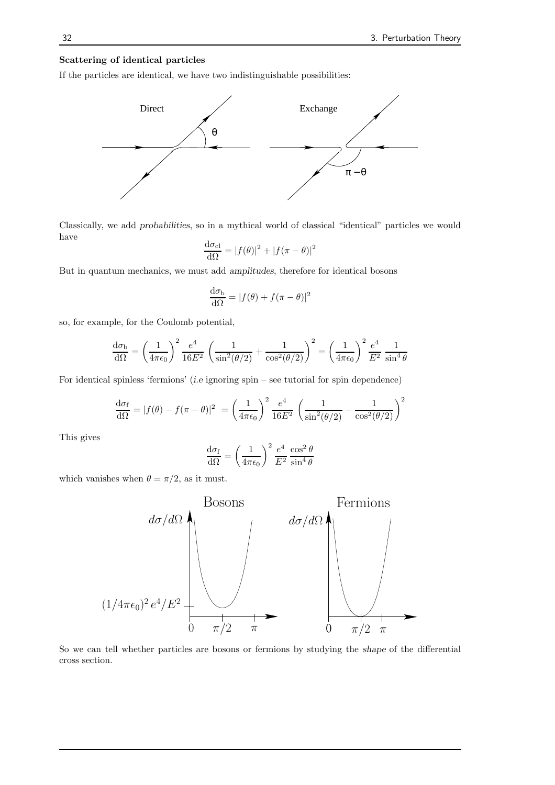#### Scattering of identical particles

If the particles are identical, we have two indistinguishable possibilities:



Classically, we add probabilities, so in a mythical world of classical "identical" particles we would have

$$
\frac{\mathrm{d}\sigma_{\rm cl}}{\mathrm{d}\Omega} = |f(\theta)|^2 + |f(\pi - \theta)|^2
$$

But in quantum mechanics, we must add amplitudes, therefore for identical bosons

$$
\frac{\mathrm{d}\sigma_{\mathrm{b}}}{\mathrm{d}\Omega} = |f(\theta) + f(\pi - \theta)|^2
$$

so, for example, for the Coulomb potential,

$$
\frac{\mathrm{d}\sigma_{\mathrm{b}}}{\mathrm{d}\Omega} = \left(\frac{1}{4\pi\epsilon_0}\right)^2 \frac{e^4}{16E^2} \left(\frac{1}{\sin^2(\theta/2)} + \frac{1}{\cos^2(\theta/2)}\right)^2 = \left(\frac{1}{4\pi\epsilon_0}\right)^2 \frac{e^4}{E^2} \frac{1}{\sin^4\theta}
$$

For identical spinless 'fermions' (i.e ignoring spin – see tutorial for spin dependence)

$$
\frac{d\sigma_f}{d\Omega} = |f(\theta) - f(\pi - \theta)|^2 = \left(\frac{1}{4\pi\epsilon_0}\right)^2 \frac{e^4}{16E^2} \left(\frac{1}{\sin^2(\theta/2)} - \frac{1}{\cos^2(\theta/2)}\right)^2
$$

This gives

$$
\frac{\mathrm{d}\sigma_{\rm f}}{\mathrm{d}\Omega} = \left(\frac{1}{4\pi\epsilon_0}\right)^2 \frac{e^4}{E^2} \frac{\cos^2\theta}{\sin^4\theta}
$$

which vanishes when  $\theta = \pi/2$ , as it must.



So we can tell whether particles are bosons or fermions by studying the shape of the differential cross section.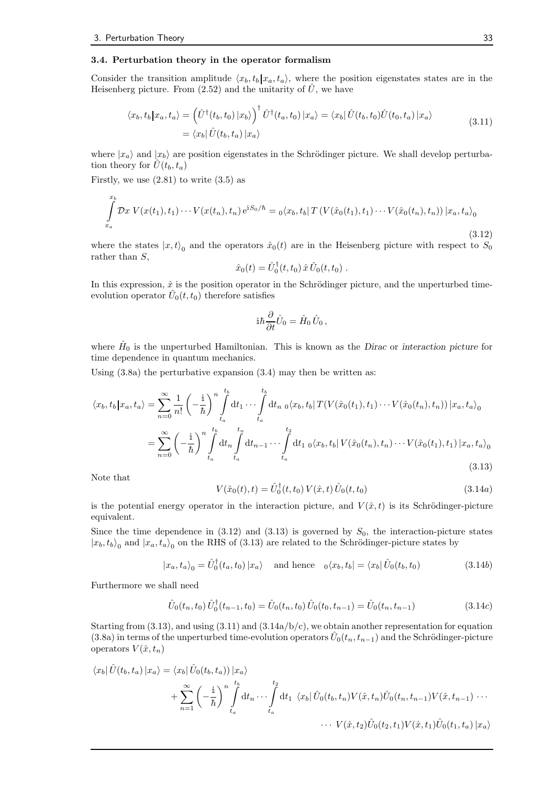#### 3.4. Perturbation theory in the operator formalism

Consider the transition amplitude  $\langle x_b, t_b | x_a, t_a \rangle$ , where the position eigenstates states are in the Heisenberg picture. From (2.52) and the unitarity of  $\hat{U}$ , we have

$$
\langle x_b, t_b | x_a, t_a \rangle = \left( \hat{U}^\dagger(t_b, t_0) | x_b \rangle \right)^\dagger \hat{U}^\dagger(t_a, t_0) | x_a \rangle = \langle x_b | \hat{U}(t_b, t_0) \hat{U}(t_0, t_a) | x_a \rangle
$$
\n
$$
= \langle x_b | \hat{U}(t_b, t_a) | x_a \rangle \tag{3.11}
$$

where  $|x_a\rangle$  and  $|x_b\rangle$  are position eigenstates in the Schrödinger picture. We shall develop perturbation theory for  $\hat{U}(t_b, t_a)$ 

Firstly, we use  $(2.81)$  to write  $(3.5)$  as

$$
\int_{x_a}^{x_b} \mathcal{D}x \ V(x(t_1), t_1) \cdots V(x(t_n), t_n) e^{iS_0/\hbar} = o\langle x_b, t_b | T \left( V(\hat{x}_0(t_1), t_1) \cdots V(\hat{x}_0(t_n), t_n) \right) | x_a, t_a \rangle_0
$$
\n(3.12)

where the states  $|x,t\rangle_0$  and the operators  $\hat{x}_0(t)$  are in the Heisenberg picture with respect to  $S_0$ rather than S,

$$
\hat{x}_0(t) = \hat{U}_0^{\dagger}(t,t_0) \,\hat{x} \,\hat{U}_0(t,t_0) \; .
$$

In this expression,  $\hat{x}$  is the position operator in the Schrödinger picture, and the unperturbed timeevolution operator  $\hat{U}_0(t,t_0)$  therefore satisfies

$$
i\hbar\frac{\partial}{\partial t}\hat{U}_0=\hat{H}_0\,\hat{U}_0\,,
$$

where  $\hat{H}_0$  is the unperturbed Hamiltonian. This is known as the Dirac or interaction picture for time dependence in quantum mechanics.

Using  $(3.8a)$  the perturbative expansion  $(3.4)$  may then be written as:

$$
\langle x_b, t_b | x_a, t_a \rangle = \sum_{n=0}^{\infty} \frac{1}{n!} \left( -\frac{i}{\hbar} \right)^n \int_{t_a}^{t_b} dt_1 \cdots \int_{t_a}^{t_b} dt_{n} \, o \langle x_b, t_b | T(V(\hat{x}_0(t_1), t_1) \cdots V(\hat{x}_0(t_n), t_n)) | x_a, t_a \rangle_0
$$

$$
= \sum_{n=0}^{\infty} \left( -\frac{i}{\hbar} \right)^n \int_{t_a}^{t_b} dt_n \int_{t_a}^{t_n} dt_{n-1} \cdots \int_{t_a}^{t_2} dt_{1} \, o \langle x_b, t_b | V(\hat{x}_0(t_n), t_n) \cdots V(\hat{x}_0(t_1), t_1) | x_a, t_a \rangle_0
$$
(3.13)

Note that

$$
V(\hat{x}_0(t),t) = \hat{U}_0^{\dagger}(t,t_0) V(\hat{x},t) \hat{U}_0(t,t_0)
$$
\n(3.14a)

is the potential energy operator in the interaction picture, and  $V(\hat{x}, t)$  is its Schrödinger-picture equivalent.

Since the time dependence in  $(3.12)$  and  $(3.13)$  is governed by  $S_0$ , the interaction-picture states  $|x_b, t_b\rangle_0$  and  $|x_a, t_a\rangle_0$  on the RHS of (3.13) are related to the Schrödinger-picture states by

$$
|x_a, t_a\rangle_0 = \hat{U}_0^{\dagger}(t_a, t_0) |x_a\rangle \quad \text{and hence} \quad_0 \langle x_b, t_b| = \langle x_b | \hat{U}_0(t_b, t_0) \rangle \tag{3.14b}
$$

Furthermore we shall need

$$
\hat{U}_0(t_n, t_0) \hat{U}_0^{\dagger}(t_{n-1}, t_0) = \hat{U}_0(t_n, t_0) \hat{U}_0(t_0, t_{n-1}) = \hat{U}_0(t_n, t_{n-1})
$$
\n(3.14c)

Starting from  $(3.13)$ , and using  $(3.11)$  and  $(3.14a/b/c)$ , we obtain another representation for equation (3.8a) in terms of the unperturbed time-evolution operators  $\hat{U}_0(t_n,t_{n-1})$  and the Schrödinger-picture operators  $V(\hat{x}, t_n)$ 

$$
\langle x_b | \hat{U}(t_b, t_a) | x_a \rangle = \langle x_b | \hat{U}_0(t_b, t_a) \rangle | x_a \rangle
$$
  
+ 
$$
\sum_{n=1}^{\infty} \left( -\frac{i}{\hbar} \right)^n \int_{t_a}^{t_b} dt_n \cdots \int_{t_a}^{t_2} dt_1 \langle x_b | \hat{U}_0(t_b, t_n) V(\hat{x}, t_n) \hat{U}_0(t_n, t_{n-1}) V(\hat{x}, t_{n-1}) \cdots
$$
  
... 
$$
V(\hat{x}, t_2) \hat{U}_0(t_2, t_1) V(\hat{x}, t_1) \hat{U}_0(t_1, t_a) | x_a \rangle
$$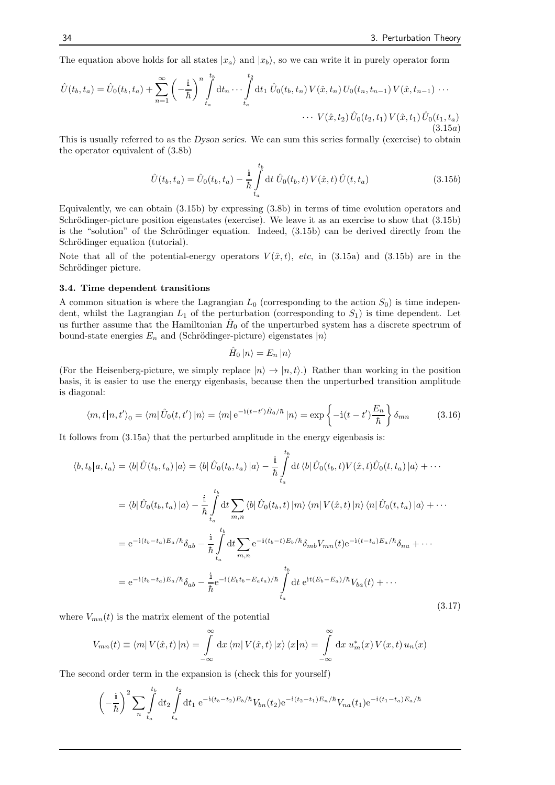The equation above holds for all states  $|x_a\rangle$  and  $|x_b\rangle$ , so we can write it in purely operator form

$$
\hat{U}(t_b, t_a) = \hat{U}_0(t_b, t_a) + \sum_{n=1}^{\infty} \left( -\frac{i}{\hbar} \right)^n \int_{t_a}^{t_b} dt_n \cdots \int_{t_a}^{t_2} dt_1 \, \hat{U}_0(t_b, t_n) \, V(\hat{x}, t_n) \, U_0(t_n, t_{n-1}) \, V(\hat{x}, t_{n-1}) \cdots
$$
\n
$$
\cdots \, V(\hat{x}, t_2) \, \hat{U}_0(t_2, t_1) \, V(\hat{x}, t_1) \, \hat{U}_0(t_1, t_a)
$$
\n(3.15a)

This is usually referred to as the Dyson series. We can sum this series formally (exercise) to obtain the operator equivalent of (3.8b)

$$
\hat{U}(t_b, t_a) = \hat{U}_0(t_b, t_a) - \frac{\mathrm{i}}{\hbar} \int_{t_a}^{t_b} \mathrm{d}t \; \hat{U}_0(t_b, t) \, V(\hat{x}, t) \, \hat{U}(t, t_a) \tag{3.15b}
$$

Equivalently, we can obtain (3.15b) by expressing (3.8b) in terms of time evolution operators and Schrödinger-picture position eigenstates (exercise). We leave it as an exercise to show that  $(3.15b)$ is the "solution" of the Schrödinger equation. Indeed,  $(3.15b)$  can be derived directly from the Schrödinger equation (tutorial).

Note that all of the potential-energy operators  $V(\hat{x}, t)$ , etc, in (3.15a) and (3.15b) are in the Schrödinger picture.

#### 3.4. Time dependent transitions

A common situation is where the Lagrangian  $L_0$  (corresponding to the action  $S_0$ ) is time independent, whilst the Lagrangian  $L_1$  of the perturbation (corresponding to  $S_1$ ) is time dependent. Let us further assume that the Hamiltonian  $\hat{H}_0$  of the unperturbed system has a discrete spectrum of bound-state energies  $E_n$  and (Schrödinger-picture) eigenstates  $|n\rangle$ 

$$
\hat{H}_0 |n\rangle = E_n |n\rangle
$$

(For the Heisenberg-picture, we simply replace  $|n\rangle \rightarrow |n, t\rangle$ .) Rather than working in the position basis, it is easier to use the energy eigenbasis, because then the unperturbed transition amplitude is diagonal:

$$
\langle m, t | n, t' \rangle_0 = \langle m | \hat{U}_0(t, t') | n \rangle = \langle m | e^{-i(t - t')\hat{H}_0/\hbar} | n \rangle = \exp \left\{ -i(t - t') \frac{E_n}{\hbar} \right\} \delta_{mn} \tag{3.16}
$$

It follows from (3.15a) that the perturbed amplitude in the energy eigenbasis is:

$$
\langle b, t_b | a, t_a \rangle = \langle b | \hat{U}(t_b, t_a) | a \rangle = \langle b | \hat{U}_0(t_b, t_a) | a \rangle - \frac{\mathrm{i}}{\hbar} \int_{t_a}^{t_b} \mathrm{d}t \langle b | \hat{U}_0(t_b, t) V(\hat{x}, t) \hat{U}_0(t, t_a) | a \rangle + \cdots
$$

$$
= \langle b | \hat{U}_0(t_b, t_a) | a \rangle - \frac{\mathrm{i}}{\hbar} \int_{t_a}^{t_b} \mathrm{d}t \sum_{m,n} \langle b | \hat{U}_0(t_b, t) | m \rangle \langle m | V(\hat{x}, t) | n \rangle \langle n | \hat{U}_0(t, t_a) | a \rangle + \cdots
$$

$$
= e^{-\mathrm{i}(t_b - t_a) E_a/\hbar} \delta_{ab} - \frac{\mathrm{i}}{\hbar} \int_{t_a}^{t_b} \mathrm{d}t \sum_{m,n} e^{-\mathrm{i}(t_b - t) E_b/\hbar} \delta_{mb} V_{mn}(t) e^{-\mathrm{i}(t - t_a) E_a/\hbar} \delta_{na} + \cdots
$$

$$
= e^{-\mathrm{i}(t_b - t_a) E_a/\hbar} \delta_{ab} - \frac{\mathrm{i}}{\hbar} e^{-\mathrm{i}(E_b t_b - E_a t_a)/\hbar} \int_{t_a}^{t_b} \mathrm{d}t e^{\mathrm{i}t(E_b - E_a)/\hbar} V_{ba}(t) + \cdots
$$
(3.17)

where  $V_{mn}(t)$  is the matrix element of the potential

$$
V_{mn}(t) \equiv \langle m | V(\hat{x},t) | n \rangle = \int_{-\infty}^{\infty} dx \langle m | V(\hat{x},t) | x \rangle \langle x | n \rangle = \int_{-\infty}^{\infty} dx u_m^*(x) V(x,t) u_n(x)
$$

The second order term in the expansion is (check this for yourself)

$$
\left(-\frac{i}{\hbar}\right)^2 \sum_{n} \int_{t_a}^{t_b} dt_2 \int_{t_a}^{t_2} dt_1 e^{-i(t_b - t_2)E_b/\hbar} V_{bn}(t_2) e^{-i(t_2 - t_1)E_n/\hbar} V_{na}(t_1) e^{-i(t_1 - t_a)E_a/\hbar}
$$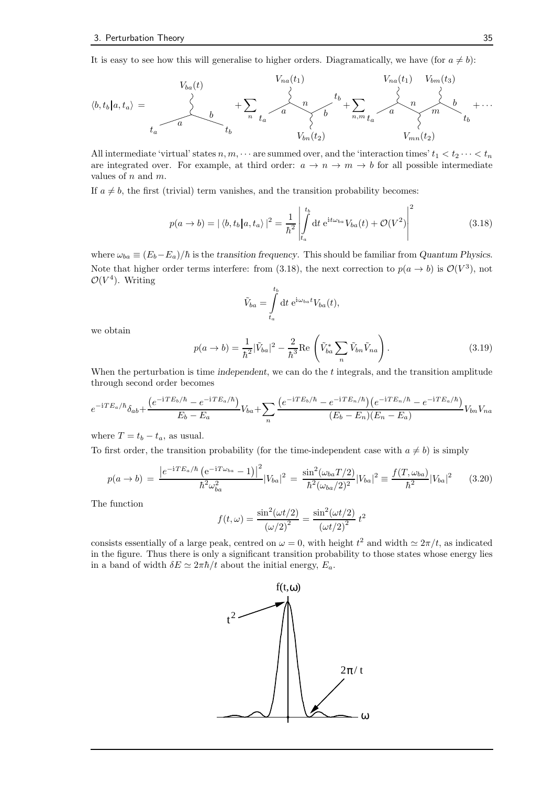It is easy to see how this will generalise to higher orders. Diagramatically, we have (for  $a \neq b$ ):

$$
\langle b, t_b | a, t_a \rangle = \n\begin{array}{c}\nV_{ba}(t) & V_{na}(t_1) & V_{ba}(t_1) & V_{bm}(t_3) \\
\downarrow & & \searrow & \searrow & \searrow & \searrow & \searrow & \searrow & \searrow & \searrow & \searrow & \searrow & \searrow & \searrow & \searrow & \searrow & \searrow & \searrow & \searrow & \searrow & \searrow & \searrow & \searrow & \searrow & \searrow & \searrow & \searrow & \searrow & \searrow & \searrow & \searrow & \searrow & \searrow & \searrow & \searrow & \searrow & \searrow & \searrow & \searrow & \searrow & \searrow & \searrow & \searrow & \searrow & \searrow & \searrow & \searrow & \searrow & \searrow & \searrow & \searrow & \searrow & \searrow & \searrow & \searrow & \searrow & \searrow & \searrow & \searrow & \searrow & \searrow & \searrow & \searrow & \searrow & \searrow & \searrow & \searrow & \searrow & \searrow & \searrow & \searrow & \searrow & \searrow & \searrow & \searrow & \searrow & \searrow & \searrow & \searrow & \searrow & \searrow & \searrow & \searrow & \searrow & \searrow & \searrow & \searrow & \searrow & \searrow & \searrow & \searrow & \searrow & \searrow & \searrow & \searrow & \searrow & \searrow & \searrow & \searrow & \searrow & \searrow & \searrow & \searrow & \searrow & \searrow & \searrow & \searrow & \searrow & \searrow & \searrow & \searrow & \searrow & \searrow & \searrow & \searrow & \searrow & \searrow
$$

All intermediate 'virtual' states  $n, m, \dots$  are summed over, and the 'interaction times'  $t_1 < t_2 \dots < t_n$ are integrated over. For example, at third order:  $a \to n \to m \to b$  for all possible intermediate values of  $n$  and  $m$ .

If  $a \neq b$ , the first (trivial) term vanishes, and the transition probability becomes:

$$
p(a \to b) = |\langle b, t_b | a, t_a \rangle|^2 = \frac{1}{\hbar^2} \left| \int_{t_a}^{t_b} dt \ e^{it\omega_{ba}} V_{ba}(t) + \mathcal{O}(V^2) \right|^2 \tag{3.18}
$$

where  $\omega_{ba} \equiv (E_b - E_a)/\hbar$  is the transition frequency. This should be familiar from Quantum Physics. Note that higher order terms interfere: from (3.18), the next correction to  $p(a \to b)$  is  $\mathcal{O}(V^3)$ , not  $\mathcal{O}(V^4)$ . Writing

$$
\tilde{V}_{ba} = \int\limits_{t_a}^{t_b} \mathrm{d}t \; \mathrm{e}^{\mathrm{i}\omega_{ba}t} V_{ba}(t),
$$

we obtain

$$
p(a \to b) = \frac{1}{\hbar^2} |\tilde{V}_{ba}|^2 - \frac{2}{\hbar^3} \text{Re}\left(\tilde{V}_{ba}^* \sum_n \tilde{V}_{bn} \tilde{V}_{na}\right).
$$
 (3.19)

When the perturbation is time independent, we can do the  $t$  integrals, and the transition amplitude through second order becomes

$$
e^{-iTE_a/\hbar}\delta_{ab}+\frac{\left(e^{-iTE_b/\hbar}-e^{-iTE_a/\hbar}\right)}{E_b-E_a}V_{ba}+\sum_n\frac{\left(e^{-iTE_b/\hbar}-e^{-iTE_n/\hbar}\right)\left(e^{-iTE_n/\hbar}-e^{-iTE_a/\hbar}\right)}{(E_b-E_n)(E_n-E_a)}V_{bn}V_{na}
$$

where  $T = t_b - t_a$ , as usual.

To first order, the transition probability (for the time-independent case with  $a \neq b$ ) is simply

$$
p(a \to b) = \frac{|e^{-iTE_a/\hbar} (e^{-iT\omega_{ba}} - 1)|^2}{\hbar^2 \omega_{ba}^2} |V_{ba}|^2 = \frac{\sin^2(\omega_{ba}T/2)}{\hbar^2(\omega_{ba}/2)^2} |V_{ba}|^2 \equiv \frac{f(T, \omega_{ba})}{\hbar^2} |V_{ba}|^2 \qquad (3.20)
$$

The function

$$
f(t,\omega) = \frac{\sin^2(\omega t/2)}{(\omega/2)^2} = \frac{\sin^2(\omega t/2)}{(\omega t/2)^2} t^2
$$

consists essentially of a large peak, centred on  $\omega = 0$ , with height  $t^2$  and width  $\simeq 2\pi/t$ , as indicated in the figure. Thus there is only a significant transition probability to those states whose energy lies in a band of width  $\delta E \simeq 2\pi\hbar/t$  about the initial energy,  $E_a$ .

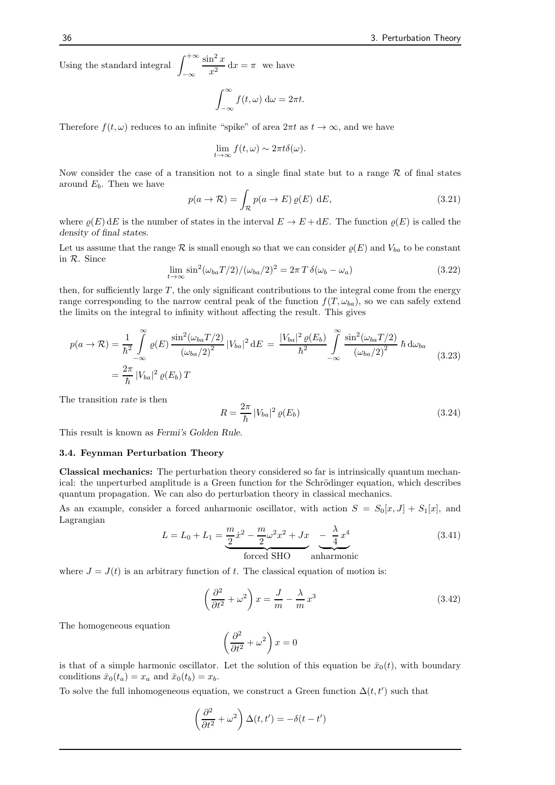Using the standard integral  $\int^{+\infty}$ −∞  $\sin^2 x$  $\frac{\pi}{x^2} dx = \pi$  we have

$$
\int_{-\infty}^{\infty} f(t, \omega) \, \mathrm{d}\omega = 2\pi t.
$$

Therefore  $f(t, \omega)$  reduces to an infinite "spike" of area  $2\pi t$  as  $t \to \infty$ , and we have

$$
\lim_{t \to \infty} f(t, \omega) \sim 2\pi t \delta(\omega).
$$

Now consider the case of a transition not to a single final state but to a range  $\mathcal R$  of final states around  $E_b$ . Then we have

$$
p(a \to \mathcal{R}) = \int_{\mathcal{R}} p(a \to E) \, \varrho(E) \, \mathrm{d}E,\tag{3.21}
$$

where  $\rho(E)$  dE is the number of states in the interval  $E \to E + dE$ . The function  $\rho(E)$  is called the density of final states.

Let us assume that the range  $\mathcal R$  is small enough so that we can consider  $\varrho(E)$  and  $V_{ba}$  to be constant in R. Since

$$
\lim_{t \to \infty} \sin^2(\omega_{ba} T/2) / (\omega_{ba} / 2)^2 = 2\pi T \delta(\omega_b - \omega_a)
$$
\n(3.22)

then, for sufficiently large  $T$ , the only significant contributions to the integral come from the energy range corresponding to the narrow central peak of the function  $f(T, \omega_{ba})$ , so we can safely extend the limits on the integral to infinity without affecting the result. This gives

$$
p(a \to \mathcal{R}) = \frac{1}{\hbar^2} \int_{-\infty}^{\infty} \varrho(E) \frac{\sin^2(\omega_{ba} T/2)}{(\omega_{ba}/2)^2} |V_{ba}|^2 dE = \frac{|V_{ba}|^2 \varrho(E_b)}{\hbar^2} \int_{-\infty}^{\infty} \frac{\sin^2(\omega_{ba} T/2)}{(\omega_{ba}/2)^2} \hbar d\omega_{ba}
$$
  
=  $\frac{2\pi}{\hbar} |V_{ba}|^2 \varrho(E_b) T$  (3.23)

The transition rate is then

$$
R = \frac{2\pi}{\hbar} |V_{ba}|^2 \varrho(E_b)
$$
\n
$$
(3.24)
$$

This result is known as Fermi's Golden Rule.

#### 3.4. Feynman Perturbation Theory

Classical mechanics: The perturbation theory considered so far is intrinsically quantum mechanical: the unperturbed amplitude is a Green function for the Schrödinger equation, which describes quantum propagation. We can also do perturbation theory in classical mechanics.

As an example, consider a forced anharmonic oscillator, with action  $S = S_0[x, J] + S_1[x]$ , and Lagrangian

$$
L = L_0 + L_1 = \underbrace{\frac{m}{2}\dot{x}^2 - \frac{m}{2}\omega^2 x^2 + Jx}_{\text{forced SHO}} - \underbrace{\frac{\lambda}{4}x^4}_{\text{anharmonic}} \tag{3.41}
$$

where  $J = J(t)$  is an arbitrary function of t. The classical equation of motion is:

$$
\left(\frac{\partial^2}{\partial t^2} + \omega^2\right)x = \frac{J}{m} - \frac{\lambda}{m}x^3\tag{3.42}
$$

The homogeneous equation

$$
\left(\frac{\partial^2}{\partial t^2} + \omega^2\right)x = 0
$$

is that of a simple harmonic oscillator. Let the solution of this equation be  $\bar{x}_0(t)$ , with boundary conditions  $\bar{x}_0(t_a) = x_a$  and  $\bar{x}_0(t_b) = x_b$ .

To solve the full inhomogeneous equation, we construct a Green function  $\Delta(t, t')$  such that

$$
\left(\frac{\partial^2}{\partial t^2}+\omega^2\right)\Delta(t,t')=-\delta(t-t')
$$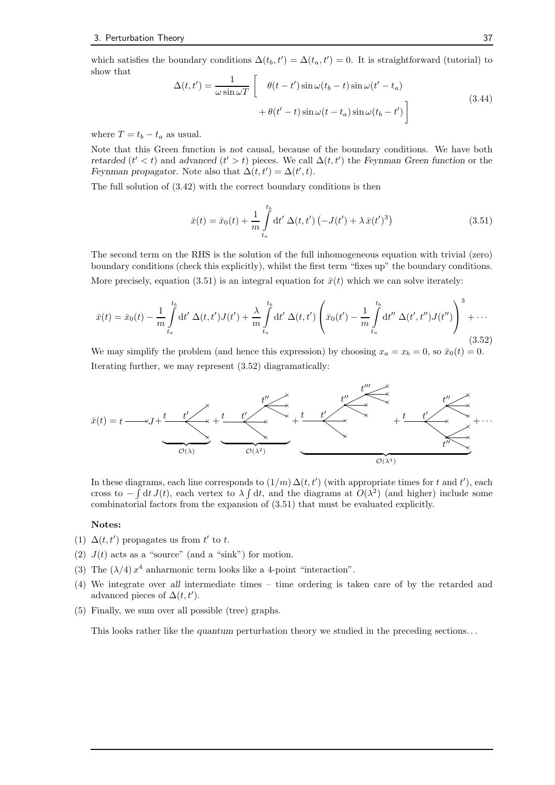which satisfies the boundary conditions  $\Delta(t_b, t') = \Delta(t_a, t') = 0$ . It is straightforward (tutorial) to show that

$$
\Delta(t, t') = \frac{1}{\omega \sin \omega T} \left[ \theta(t - t') \sin \omega (t_b - t) \sin \omega (t' - t_a) + \theta(t' - t) \sin \omega (t - t_a) \sin \omega (t_b - t') \right]
$$
\n(3.44)

where  $T = t_b - t_a$  as usual.

Note that this Green function is not causal, because of the boundary conditions. We have both retarded  $(t' < t)$  and advanced  $(t' > t)$  pieces. We call  $\Delta(t, t')$  the Feynman Green function or the Feynman propagator. Note also that  $\Delta(t, t') = \Delta(t', t)$ .

The full solution of (3.42) with the correct boundary conditions is then

$$
\bar{x}(t) = \bar{x}_0(t) + \frac{1}{m} \int_{t_a}^{t_b} dt' \, \Delta(t, t') \left( -J(t') + \lambda \, \bar{x}(t')^3 \right) \tag{3.51}
$$

The second term on the RHS is the solution of the full inhomogeneous equation with trivial (zero) boundary conditions (check this explicitly), whilst the first term "fixes up" the boundary conditions. More precisely, equation (3.51) is an integral equation for  $\bar{x}(t)$  which we can solve iterately:

$$
\bar{x}(t) = \bar{x}_0(t) - \frac{1}{m} \int_{t_a}^{t_b} dt' \, \Delta(t, t') J(t') + \frac{\lambda}{m} \int_{t_a}^{t_b} dt' \, \Delta(t, t') \left( \bar{x}_0(t') - \frac{1}{m} \int_{t_a}^{t_b} dt'' \, \Delta(t', t'') J(t'') \right)^3 + \cdots
$$
\n(3.52)

We may simplify the problem (and hence this expression) by choosing  $x_a = x_b = 0$ , so  $\bar{x}_0(t) = 0$ . Iterating further, we may represent (3.52) diagramatically:



In these diagrams, each line corresponds to  $(1/m) \Delta(t, t')$  (with appropriate times for t and t'), each cross to  $-\int dt J(t)$ , each vertex to  $\lambda \int dt$ , and the diagrams at  $O(\lambda^2)$  (and higher) include some combinatorial factors from the expansion of (3.51) that must be evaluated explicitly.

#### Notes:

- (1)  $\Delta(t, t')$  propagates us from  $t'$  to t.
- (2)  $J(t)$  acts as a "source" (and a "sink") for motion.
- (3) The  $(\lambda/4) x^4$  anharmonic term looks like a 4-point "interaction".
- (4) We integrate over all intermediate times time ordering is taken care of by the retarded and advanced pieces of  $\Delta(t, t')$ .
- (5) Finally, we sum over all possible (tree) graphs.

This looks rather like the quantum perturbation theory we studied in the preceding sections...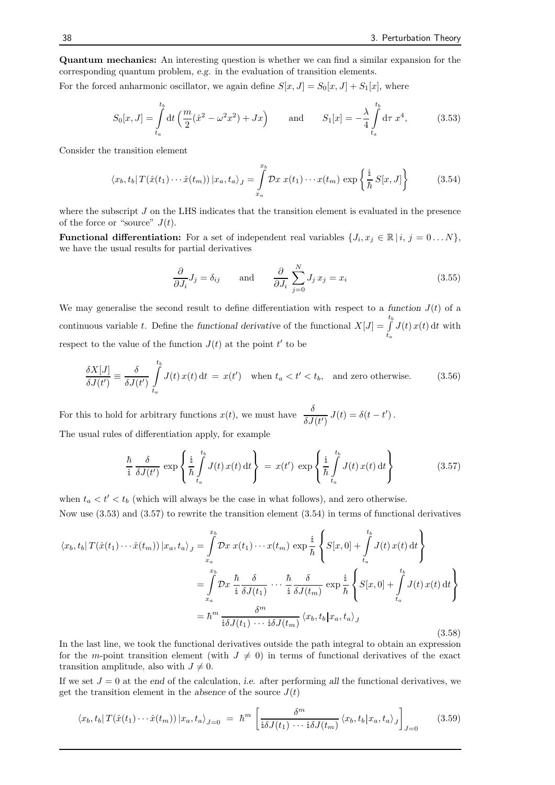Quantum mechanics: An interesting question is whether we can find a similar expansion for the corresponding quantum problem, e.g. in the evaluation of transition elements.

For the forced anharmonic oscillator, we again define  $S[x, J] = S_0[x, J] + S_1[x]$ , where

$$
S_0[x, J] = \int_{t_a}^{t_b} dt \left( \frac{m}{2} (\dot{x}^2 - \omega^2 x^2) + Jx \right) \quad \text{and} \quad S_1[x] = -\frac{\lambda}{4} \int_{t_a}^{t_b} d\tau \ x^4, \quad (3.53)
$$

Consider the transition element

$$
\langle x_b, t_b | T(\hat{x}(t_1) \cdots \hat{x}(t_m)) | x_a, t_a \rangle_J = \int_{x_a}^{x_b} \mathcal{D}x \ x(t_1) \cdots x(t_m) \ \exp\left\{ \frac{\mathrm{i}}{\hbar} \ S[x, J] \right\} \tag{3.54}
$$

where the subscript  $J$  on the LHS indicates that the transition element is evaluated in the presence of the force or "source"  $J(t)$ .

**Functional differentiation:** For a set of independent real variables  $\{J_i, x_j \in \mathbb{R} \mid i, j = 0 \dots N\},\$ we have the usual results for partial derivatives

$$
\frac{\partial}{\partial J_i} J_j = \delta_{ij} \quad \text{and} \quad \frac{\partial}{\partial J_i} \sum_{j=0}^N J_j x_j = x_i \tag{3.55}
$$

We may generalise the second result to define differentiation with respect to a function  $J(t)$  of a continuous variable t. Define the functional derivative of the functional  $X[J] = \int_{a}^{t_b}$  $t_a$  $J(t) x(t) dt$  with respect to the value of the function  $J(t)$  at the point t' to be

$$
\frac{\delta X[J]}{\delta J(t')} \equiv \frac{\delta}{\delta J(t')} \int_{t_a}^{t_b} J(t) x(t) dt = x(t') \quad \text{when } t_a < t' < t_b, \text{ and zero otherwise.}
$$
\n(3.56)

For this to hold for arbitrary functions  $x(t)$ , we must have  $\frac{\delta}{\delta J(t')} J(t) = \delta(t-t')$ . The usual rules of differentiation apply, for example

$$
\frac{\hbar}{i} \frac{\delta}{\delta J(t')} \exp\left\{ \frac{i}{\hbar} \int_{t_a}^{t_b} J(t) x(t) dt \right\} = x(t') \exp\left\{ \frac{i}{\hbar} \int_{t_a}^{t_b} J(t) x(t) dt \right\}
$$
(3.57)

when  $t_a < t' < t_b$  (which will always be the case in what follows), and zero otherwise.

Now use (3.53) and (3.57) to rewrite the transition element (3.54) in terms of functional derivatives

$$
\langle x_b, t_b | T(\hat{x}(t_1) \cdots \hat{x}(t_m)) | x_a, t_a \rangle_J = \int_{x_a}^{x_b} \mathcal{D}x \ x(t_1) \cdots x(t_m) \ \exp \frac{i}{\hbar} \left\{ S[x, 0] + \int_{t_a}^{t_b} J(t) \ x(t) \ \mathrm{d}t \right\}
$$

$$
= \int_{x_a}^{x_b} \mathcal{D}x \ \frac{\hbar}{\mathrm{i}} \frac{\delta}{\delta J(t_1)} \cdots \frac{\hbar}{\mathrm{i}} \frac{\delta}{\delta J(t_m)} \ \exp \frac{i}{\hbar} \left\{ S[x, 0] + \int_{t_a}^{t_b} J(t) \ x(t) \ \mathrm{d}t \right\}
$$

$$
= \hbar^m \frac{\delta^m}{\mathrm{i} \delta J(t_1) \cdots \mathrm{i} \delta J(t_m)} \langle x_b, t_b | x_a, t_a \rangle_J \tag{3.58}
$$

In the last line, we took the functional derivatives outside the path integral to obtain an expression for the m-point transition element (with  $J \neq 0$ ) in terms of functional derivatives of the exact transition amplitude, also with  $J \neq 0$ .

If we set  $J = 0$  at the end of the calculation, *i.e.* after performing all the functional derivatives, we get the transition element in the absence of the source  $J(t)$ 

$$
\langle x_b, t_b | T(\hat{x}(t_1) \cdots \hat{x}(t_m)) | x_a, t_a \rangle_{J=0} = \hbar^m \left[ \frac{\delta^m}{i \delta J(t_1) \cdots i \delta J(t_m)} \langle x_b, t_b | x_a, t_a \rangle_J \right]_{J=0} \tag{3.59}
$$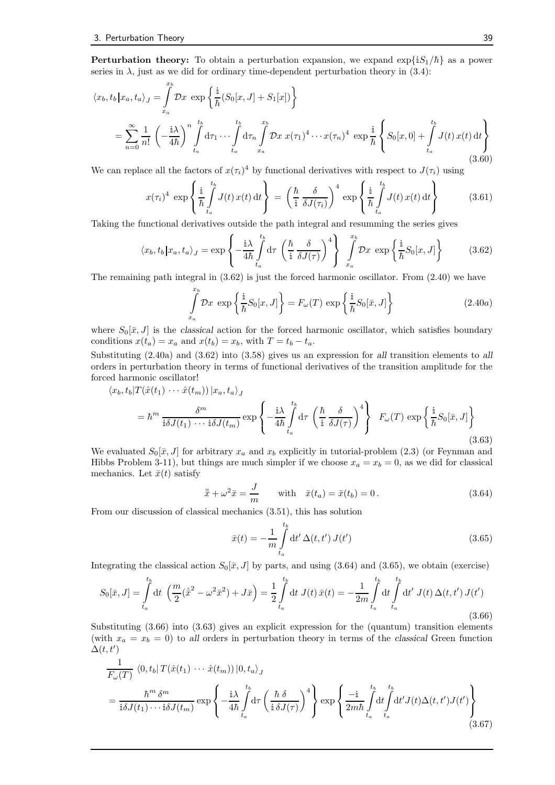**Perturbation theory:** To obtain a perturbation expansion, we expand  $\exp{iS_1/\hbar}$  as a power series in  $\lambda$ , just as we did for ordinary time-dependent perturbation theory in (3.4):

$$
\langle x_b, t_b | x_a, t_a \rangle_J = \int_{x_a}^{x_b} \mathcal{D}x \exp\left\{ \frac{\mathbb{I}}{\hbar} (S_0[x, J] + S_1[x]) \right\}
$$
  

$$
= \sum_{n=0}^{\infty} \frac{1}{n!} \left( -\frac{\mathbb{I}\lambda}{4\hbar} \right)^n \int_{t_a}^{t_b} d\tau_1 \cdots \int_{t_a}^{t_b} d\tau_n \int_{x_a}^{x_b} \mathcal{D}x \ x(\tau_1)^4 \cdots x(\tau_n)^4 \ \exp\frac{\mathbb{I}}{\hbar} \left\{ S_0[x, 0] + \int_{t_a}^{t_b} J(t) \ x(t) \ dt \right\} \tag{3.60}
$$

We can replace all the factors of  $x(\tau_i)^4$  by functional derivatives with respect to  $J(\tau_i)$  using

$$
x(\tau_i)^4 \exp\left\{\frac{i}{\hbar} \int_{t_a}^{t_b} J(t) x(t) dt\right\} = \left(\frac{\hbar}{i} \frac{\delta}{\delta J(\tau_i)}\right)^4 \exp\left\{\frac{i}{\hbar} \int_{t_a}^{t_b} J(t) x(t) dt\right\}
$$
(3.61)

Taking the functional derivatives outside the path integral and resumming the series gives

$$
\langle x_b, t_b | x_a, t_a \rangle_J = \exp\left\{-\frac{\mathrm{i}\lambda}{4\hbar} \int_{t_a}^{t_b} \mathrm{d}\tau \left(\frac{\hbar}{\mathrm{i}} \frac{\delta}{\delta J(\tau)}\right)^4\right\} \int_{x_a}^{x_b} \mathcal{D}x \, \exp\left\{\frac{\mathrm{i}}{\hbar} S_0[x, J]\right\} \tag{3.62}
$$

The remaining path integral in (3.62) is just the forced harmonic oscillator. From (2.40) we have

$$
\int_{x_a}^{x_b} \mathcal{D}x \exp\left\{\frac{i}{\hbar}S_0[x,J]\right\} = F_{\omega}(T) \exp\left\{\frac{i}{\hbar}S_0[\bar{x},J]\right\}
$$
\n(2.40a)

where  $S_0[\bar{x}, J]$  is the classical action for the forced harmonic oscillator, which satisfies boundary conditions  $x(t_a) = x_a$  and  $x(t_b) = x_b$ , with  $T = t_b - t_a$ .

Substituting (2.40a) and (3.62) into (3.58) gives us an expression for all transition elements to all orders in perturbation theory in terms of functional derivatives of the transition amplitude for the forced harmonic oscillator!

$$
\langle x_b, t_b | T(\hat{x}(t_1) \cdots \hat{x}(t_m)) | x_a, t_a \rangle_J
$$
  
=  $\hbar^m \frac{\delta^m}{\mathbf{i} \delta J(t_1) \cdots \mathbf{i} \delta J(t_m)} \exp \left\{-\frac{\mathbf{i}\lambda}{4\hbar} \int_{t_a}^{t_b} d\tau \left(\frac{\hbar}{\mathbf{i}} \frac{\delta}{\delta J(\tau)}\right)^4\right\} F_\omega(T) \exp \left\{\frac{\mathbf{i}}{\hbar} S_0[\bar{x}, J]\right\}$  (3.63)

We evaluated  $S_0[\bar{x}, J]$  for arbitrary  $x_a$  and  $x_b$  explicitly in tutorial-problem (2.3) (or Feynman and Hibbs Problem 3-11), but things are much simpler if we choose  $x_a = x_b = 0$ , as we did for classical mechanics. Let  $\bar{x}(t)$  satisfy

$$
\ddot{\overline{x}} + \omega^2 \overline{x} = \frac{J}{m} \quad \text{with} \quad \overline{x}(t_a) = \overline{x}(t_b) = 0. \tag{3.64}
$$

From our discussion of classical mechanics (3.51), this has solution

$$
\bar{x}(t) = -\frac{1}{m} \int_{t_a}^{t_b} dt' \,\Delta(t, t') \, J(t')
$$
\n(3.65)

Integrating the classical action  $S_0[\bar{x}, J]$  by parts, and using (3.64) and (3.65), we obtain (exercise)

$$
S_0[\bar{x}, J] = \int_{t_a}^{t_b} dt \left( \frac{m}{2} (\dot{\bar{x}}^2 - \omega^2 \bar{x}^2) + J\bar{x} \right) = \frac{1}{2} \int_{t_a}^{t_b} dt \, J(t) \, \bar{x}(t) = -\frac{1}{2m} \int_{t_a}^{t_b} dt \int_{t_a}^{t_b} dt' \, J(t) \, \Delta(t, t') \, J(t')
$$
\n(3.66)

Substituting (3.66) into (3.63) gives an explicit expression for the (quantum) transition elements (with  $x_a = x_b = 0$ ) to all orders in perturbation theory in terms of the classical Green function  $\Delta(t,t')$ 

$$
\frac{1}{F_{\omega}(T)} \langle 0, t_b | T(\hat{x}(t_1) \cdots \hat{x}(t_m)) | 0, t_a \rangle_J
$$
\n
$$
= \frac{\hbar^m \delta^m}{\mathbf{i}\delta J(t_1) \cdots \mathbf{i}\delta J(t_m)} \exp\left\{-\frac{\mathbf{i}\lambda}{4\hbar} \int_{t_a}^{t_b} d\tau \left(\frac{\hbar \delta}{\mathbf{i}\delta J(\tau)}\right)^4\right\} \exp\left\{\frac{-\mathbf{i}}{2m\hbar} \int_{t_a}^{t_b} dt' J(t) \Delta(t, t') J(t')\right\}
$$
\n(3.67)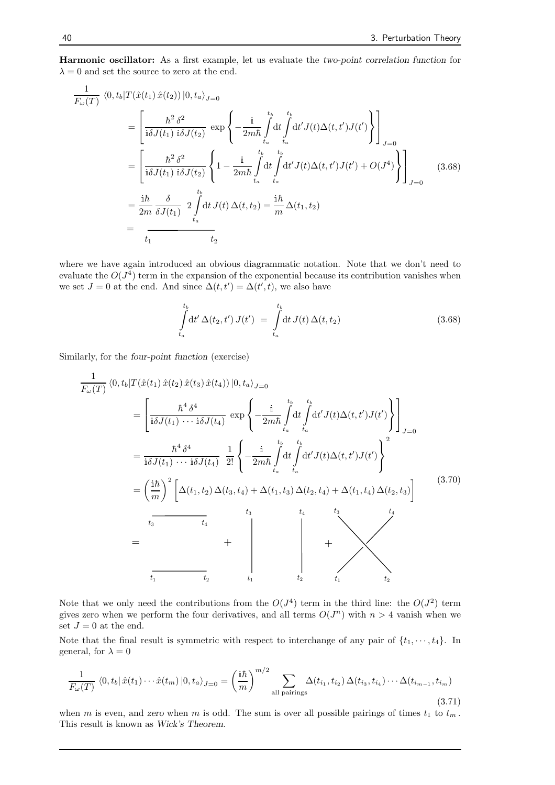Harmonic oscillator: As a first example, let us evaluate the two-point correlation function for  $\lambda = 0$  and set the source to zero at the end.

$$
\frac{1}{F_{\omega}(T)} \langle 0, t_b | T(\hat{x}(t_1) \hat{x}(t_2)) | 0, t_a \rangle_{J=0}
$$
\n
$$
= \left[ \frac{\hbar^2 \delta^2}{\mathrm{i} \delta J(t_1) \mathrm{i} \delta J(t_2)} \exp \left\{ -\frac{\mathrm{i}}{2m \hbar} \int_{t_a}^{t_b} \mathrm{d}t' J(t) \Delta(t, t') J(t') \right\} \right]_{J=0}
$$
\n
$$
= \left[ \frac{\hbar^2 \delta^2}{\mathrm{i} \delta J(t_1) \mathrm{i} \delta J(t_2)} \left\{ 1 - \frac{\mathrm{i}}{2m \hbar} \int_{t_a}^{t_b} \mathrm{d}t' J(t) \Delta(t, t') J(t') + O(J^4) \right\} \right]_{J=0}
$$
\n
$$
= \frac{\mathrm{i} \hbar}{2m} \frac{\delta}{\delta J(t_1)} \frac{t_b}{\delta J(t_1)} \frac{t_b}{\delta t_a} \mathrm{d}t J(t) \Delta(t, t_2) = \frac{\mathrm{i} \hbar}{m} \Delta(t_1, t_2)
$$
\n
$$
= \frac{\mathrm{i} \hbar}{t_1} \frac{\delta}{t_2}
$$
\n(3.68)

where we have again introduced an obvious diagrammatic notation. Note that we don't need to evaluate the  $O(J^4)$  term in the expansion of the exponential because its contribution vanishes when we set  $J = 0$  at the end. And since  $\Delta(t, t') = \Delta(t', t)$ , we also have

$$
\int_{t_a}^{t_b} dt' \,\Delta(t_2, t') \, J(t') = \int_{t_a}^{t_b} dt \, J(t) \,\Delta(t, t_2) \tag{3.68}
$$

Similarly, for the four-point function (exercise)

$$
\frac{1}{F_{\omega}(T)} \langle 0, t_b | T(\hat{x}(t_1) \hat{x}(t_2) \hat{x}(t_3) \hat{x}(t_4) ) | 0, t_a \rangle_{J=0}
$$
\n
$$
= \left[ \frac{\hbar^4 \delta^4}{i \delta J(t_1) \cdots i \delta J(t_4)} \exp \left\{ -\frac{i}{2m \hbar} \int_{t_a}^{t_b} dt' J(t) \Delta(t, t') J(t') \right\} \right]_{J=0}
$$
\n
$$
= \frac{\hbar^4 \delta^4}{i \delta J(t_1) \cdots i \delta J(t_4)} \frac{1}{2!} \left\{ -\frac{i}{2m \hbar} \int_{t_a}^{t_b} dt' J(t) \Delta(t, t') J(t') \right\}^2
$$
\n
$$
= \left( \frac{i \hbar}{m} \right)^2 \left[ \Delta(t_1, t_2) \Delta(t_3, t_4) + \Delta(t_1, t_3) \Delta(t_2, t_4) + \Delta(t_1, t_4) \Delta(t_2, t_3) \right]
$$
\n
$$
= \frac{t_3}{t_3} \frac{t_3}{t_4} + \frac{t_3}{t_1} \frac{t_4}{t_2} + \frac{t_4}{t_1} \frac{t_3}{t_2} + \frac{t_4}{t_1} \frac{t_3}{t_2} + \frac{t_4}{t_1} \frac{t_3}{t_2} + \frac{t_4}{t_1} \frac{t_3}{t_2} + \frac{t_4}{t_1} \frac{t_3}{t_2} + \frac{t_4}{t_2} \frac{t_4}{t_1} \frac{t_3}{t_2} + \frac{t_4}{t_2} \frac{t_4}{t_1} \frac{t_3}{t_2} + \frac{t_4}{t_2} \frac{t_4}{t_1} \frac{t_3}{t_2} + \frac{t_4}{t_2} \frac{t_4}{t_2} \frac{t_4}{t_1} + \frac{t_4}{t_2} \frac{t_4}{t_2} \frac{t_4}{t_2} + \frac{t_4}{t_2} \frac{t_4}{t_2} \frac{t_4}{t_2} + \frac{t_4}{t_2} \frac{t_4}{t_2} \frac{t_4}{t_2
$$

Note that we only need the contributions from the  $O(J^4)$  term in the third line: the  $O(J^2)$  term gives zero when we perform the four derivatives, and all terms  $O(J^n)$  with  $n > 4$  vanish when we set  $J = 0$  at the end.

Note that the final result is symmetric with respect to interchange of any pair of  $\{t_1, \dots, t_4\}$ . In general, for  $\lambda = 0$ 

$$
\frac{1}{F_{\omega}(T)} \langle 0, t_b | \hat{x}(t_1) \cdots \hat{x}(t_m) | 0, t_a \rangle_{J=0} = \left(\frac{i\hbar}{m}\right)^{m/2} \sum_{\text{all pairings}} \Delta(t_{i_1}, t_{i_2}) \Delta(t_{i_3}, t_{i_4}) \cdots \Delta(t_{i_{m-1}}, t_{i_m})
$$
\n(3.71)

when m is even, and zero when m is odd. The sum is over all possible pairings of times  $t_1$  to  $t_m$ . This result is known as Wick's Theorem.

1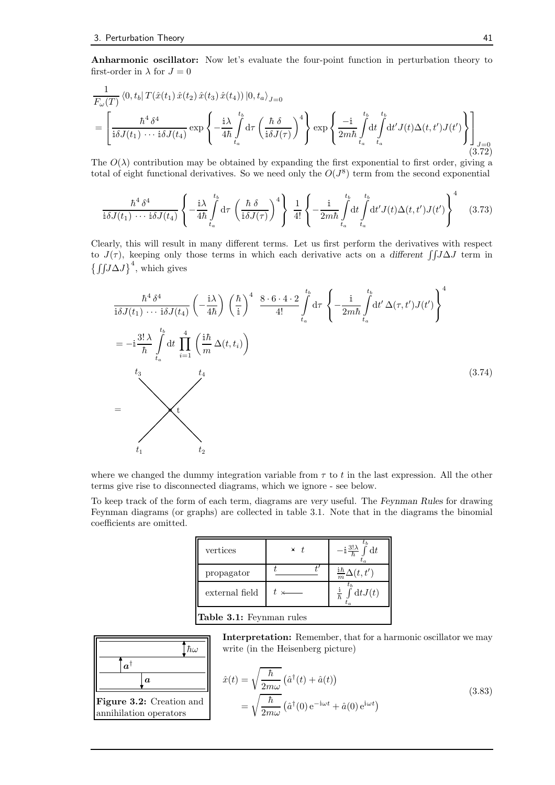Anharmonic oscillator: Now let's evaluate the four-point function in perturbation theory to first-order in  $\lambda$  for  $J=0$ 

$$
\frac{1}{F_{\omega}(T)} \langle 0, t_b | T(\hat{x}(t_1) \hat{x}(t_2) \hat{x}(t_3) \hat{x}(t_4)) | 0, t_a \rangle_{J=0}
$$
\n
$$
= \left[ \frac{\hbar^4 \delta^4}{i \delta J(t_1) \cdots i \delta J(t_4)} \exp \left\{ -\frac{i \lambda}{4 \hbar} \int_{t_a}^{t_b} d\tau \left( \frac{\hbar \delta}{i \delta J(\tau)} \right)^4 \right\} \exp \left\{ \frac{-i}{2m \hbar} \int_{t_a}^{t_b} dt' J(t) \Delta(t, t') J(t') \right\} \right]_{J=0}
$$
\n(3.72)

The  $O(\lambda)$  contribution may be obtained by expanding the first exponential to first order, giving a total of eight functional derivatives. So we need only the  $O(J^8)$  term from the second exponential

$$
\frac{\hbar^4 \delta^4}{\mathbf{i}\delta J(t_1)\cdots\mathbf{i}\delta J(t_4)} \left\{ -\frac{\mathbf{i}\lambda}{4\hbar} \int_{t_a}^{t_b} d\tau \left( \frac{\hbar \delta}{\mathbf{i}\delta J(\tau)} \right)^4 \right\} \frac{1}{4!} \left\{ -\frac{\mathbf{i}}{2m\hbar} \int_{t_a}^{t_b} dt \int_{t_a}^{t_b} dt' J(t) \Delta(t, t') J(t') \right\}^4 \quad (3.73)
$$

Clearly, this will result in many different terms. Let us first perform the derivatives with respect to  $J(\tau)$ , keeping only those terms in which each derivative acts on a different  $\int \int J \Delta J$  term in  $\left\{\int\int J\Delta J\right\}^4$ , which gives

$$
\frac{\hbar^4 \delta^4}{\mathbf{i}\delta J(t_1)\cdots\mathbf{i}\delta J(t_4)} \left(-\frac{\mathbf{i}\lambda}{4\hbar}\right) \left(\frac{\hbar}{\mathbf{i}}\right)^4 \frac{8 \cdot 6 \cdot 4 \cdot 2}{4!} \int_{t_a}^{t_b} d\tau \left\{-\frac{\mathbf{i}}{2m\hbar} \int_{t_a}^{t_b} dt' \Delta(\tau, t') J(t')\right\}^4
$$
\n
$$
= -\mathbf{i} \frac{3!\lambda}{\hbar} \int_{t_a}^{t_b} dt \prod_{i=1}^4 \left(\frac{\mathbf{i}\hbar}{m} \Delta(t, t_i)\right)
$$
\n
$$
t_3
$$
\n
$$
t_1
$$
\n
$$
(3.74)
$$
\n
$$
(3.74)
$$

where we changed the dummy integration variable from  $\tau$  to t in the last expression. All the other terms give rise to disconnected diagrams, which we ignore - see below.

To keep track of the form of each term, diagrams are very useful. The Feynman Rules for drawing Feynman diagrams (or graphs) are collected in table 3.1. Note that in the diagrams the binomial coefficients are omitted.

| vertices                | $\times t$ | $\int d t$<br>$-\mathrm{i} \frac{3!\lambda}{\hbar}$ . |
|-------------------------|------------|-------------------------------------------------------|
| propagator              |            | $\frac{\mathrm{i}\hbar}{m}\Delta(t,t')$               |
| external field          | $t \times$ | $\int dt J(t)$<br>$\hbar$                             |
| . .<br>$\sim$<br>$\sim$ |            |                                                       |



Figure 3.2: Creation and annihilation operators

Interpretation: Remember, that for a harmonic oscillator we may write (in the Heisenberg picture)

$$
\hat{x}(t) = \sqrt{\frac{\hbar}{2m\omega}} \left(\hat{a}^\dagger(t) + \hat{a}(t)\right)
$$
\n
$$
= \sqrt{\frac{\hbar}{2m\omega}} \left(\hat{a}^\dagger(0) e^{-i\omega t} + \hat{a}(0) e^{i\omega t}\right)
$$
\n(3.83)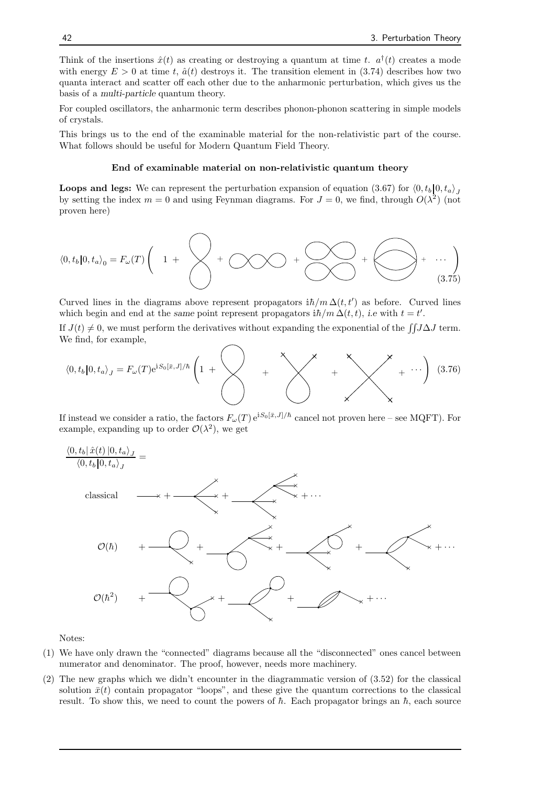Think of the insertions  $\hat{x}(t)$  as creating or destroying a quantum at time t.  $a^{\dagger}(t)$  creates a mode with energy  $E > 0$  at time t,  $\hat{a}(t)$  destroys it. The transition element in (3.74) describes how two quanta interact and scatter off each other due to the anharmonic perturbation, which gives us the basis of a multi-particle quantum theory.

For coupled oscillators, the anharmonic term describes phonon-phonon scattering in simple models of crystals.

This brings us to the end of the examinable material for the non-relativistic part of the course. What follows should be useful for Modern Quantum Field Theory.

#### End of examinable material on non-relativistic quantum theory

**Loops and legs:** We can represent the perturbation expansion of equation (3.67) for  $\langle 0, t_b | 0, t_a \rangle$ by setting the index  $m = 0$  and using Feynman diagrams. For  $J = 0$ , we find, through  $O(\lambda^2)$  (not proven here)

$$
\langle 0, t_b | 0, t_a \rangle_0 = F_{\omega}(T) \left( 1 + \left\langle \right\rangle + \left\langle \bigwedge \right\rangle + \left\langle \bigwedge \right\rangle + \left\langle \bigwedge \right\rangle + \cdots \right) \tag{3.75}
$$

Curved lines in the diagrams above represent propagators  $i\hbar/m\Delta(t,t')$  as before. Curved lines which begin and end at the same point represent propagators  $i\hbar/m \Delta(t, t)$ , *i.e* with  $t = t'$ .

If  $J(t) \neq 0$ , we must perform the derivatives without expanding the exponential of the  $\int J\Delta J$  term. We find, for example,

$$
\langle 0, t_b | 0, t_a \rangle_J = F_\omega(T) e^{i S_0[\bar{x}, J]/\hbar} \left( 1 + \begin{matrix} 1 & \cdots & \cdots & \cdots \\ \cdots & \cdots & \cdots & \cdots \\ \cdots & \cdots & \cdots & \cdots \end{matrix} \right) \quad (3.76)
$$

If instead we consider a ratio, the factors  $F_{\omega}(T) e^{iS_0[\bar{x},J]/\hbar}$  cancel not proven here – see MQFT). For example, expanding up to order  $\mathcal{O}(\lambda^2)$ , we get



Notes:

- (1) We have only drawn the "connected" diagrams because all the "disconnected" ones cancel between numerator and denominator. The proof, however, needs more machinery.
- (2) The new graphs which we didn't encounter in the diagrammatic version of (3.52) for the classical solution  $\bar{x}(t)$  contain propagator "loops", and these give the quantum corrections to the classical result. To show this, we need to count the powers of  $\hbar$ . Each propagator brings an  $\hbar$ , each source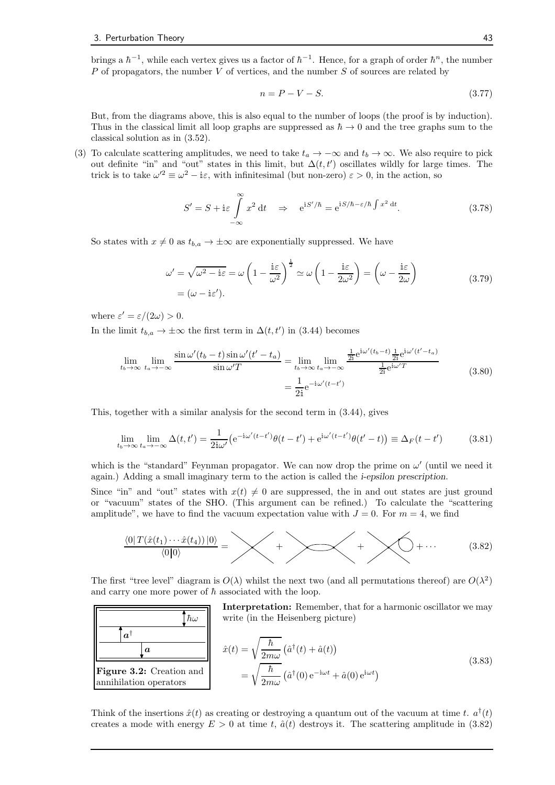brings a  $\hbar^{-1}$ , while each vertex gives us a factor of  $\hbar^{-1}$ . Hence, for a graph of order  $\hbar^n$ , the number  $P$  of propagators, the number  $V$  of vertices, and the number  $S$  of sources are related by

$$
n = P - V - S.\tag{3.77}
$$

But, from the diagrams above, this is also equal to the number of loops (the proof is by induction). Thus in the classical limit all loop graphs are suppressed as  $\hbar \to 0$  and the tree graphs sum to the classical solution as in (3.52).

(3) To calculate scattering amplitudes, we need to take  $t_a \to -\infty$  and  $t_b \to \infty$ . We also require to pick out definite "in" and "out" states in this limit, but  $\Delta(t, t')$  oscillates wildly for large times. The trick is to take  $\omega'^2 \equiv \omega^2 - i\varepsilon$ , with infinitesimal (but non-zero)  $\varepsilon > 0$ , in the action, so

$$
S' = S + i\varepsilon \int_{-\infty}^{\infty} x^2 dt \quad \Rightarrow \quad e^{iS'/\hbar} = e^{iS/\hbar - \varepsilon/\hbar \int x^2 dt}.
$$
 (3.78)

So states with  $x \neq 0$  as  $t_{b,a} \to \pm \infty$  are exponentially suppressed. We have

$$
\omega' = \sqrt{\omega^2 - i\varepsilon} = \omega \left( 1 - \frac{i\varepsilon}{\omega^2} \right)^{\frac{1}{2}} \simeq \omega \left( 1 - \frac{i\varepsilon}{2\omega^2} \right) = \left( \omega - \frac{i\varepsilon}{2\omega} \right)
$$
\n
$$
= (\omega - i\varepsilon'). \tag{3.79}
$$

where  $\varepsilon' = \varepsilon/(2\omega) > 0$ .

In the limit  $t_{b,a} \to \pm \infty$  the first term in  $\Delta(t,t')$  in (3.44) becomes

$$
\lim_{t_b \to \infty} \lim_{t_a \to -\infty} \frac{\sin \omega'(t_b - t) \sin \omega'(t' - t_a)}{\sin \omega' T} = \lim_{t_b \to \infty} \lim_{t_a \to -\infty} \frac{\frac{1}{2i} e^{i\omega'(t_b - t)} \frac{1}{2i} e^{i\omega'(t' - t_a)}}{\frac{1}{2i} e^{i\omega' T}}
$$
\n
$$
= \frac{1}{2i} e^{-i\omega'(t - t')} \tag{3.80}
$$

This, together with a similar analysis for the second term in (3.44), gives

 $\hbar\omega$ 

 $\bm{a}^\dagger$ 

a

$$
\lim_{t_b \to \infty} \lim_{t_a \to -\infty} \Delta(t, t') = \frac{1}{2i\omega'} \left( e^{-i\omega'(t-t')} \theta(t-t') + e^{i\omega'(t-t')} \theta(t'-t) \right) \equiv \Delta_F(t-t')
$$
(3.81)

which is the "standard" Feynman propagator. We can now drop the prime on  $\omega'$  (until we need it again.) Adding a small imaginary term to the action is called the i-epsilon prescription.

Since "in" and "out" states with  $x(t) \neq 0$  are suppressed, the in and out states are just ground or "vacuum" states of the SHO. (This argument can be refined.) To calculate the "scattering amplitude", we have to find the vacuum expectation value with  $J = 0$ . For  $m = 4$ , we find

$$
\underbrace{\langle 0|T(\hat{x}(t_1)\cdots\hat{x}(t_4))|0\rangle}_{\langle 0|0\rangle} = \underbrace{\bigvee}_{\text{+}} + \underbrace{\bigvee}_{\text{+}} + \underbrace{\bigvee}_{\text{+}} + \cdots \tag{3.82}
$$

The first "tree level" diagram is  $O(\lambda)$  whilst the next two (and all permutations thereof) are  $O(\lambda^2)$ and carry one more power of  $\hbar$  associated with the loop.

> Interpretation: Remember, that for a harmonic oscillator we may write (in the Heisenberg picture)

| $a^{\dagger}$                                          | $\hat{x}(t) = \sqrt{\frac{\hbar}{2m\omega}} \left(\hat{a}^{\dagger}(t) + \hat{a}(t)\right)$                           |
|--------------------------------------------------------|-----------------------------------------------------------------------------------------------------------------------|
| <b>Figure 3.2:</b> Creation and annihilation operators | $\hat{b} = \sqrt{\frac{\hbar}{2m\omega}} \left(\hat{a}^{\dagger}(0) e^{-i\omega t} + \hat{a}(0) e^{i\omega t}\right)$ |

Think of the insertions  $\hat{x}(t)$  as creating or destroying a quantum out of the vacuum at time t.  $a^{\dagger}(t)$ creates a mode with energy  $E > 0$  at time t,  $\hat{a}(t)$  destroys it. The scattering amplitude in (3.82)